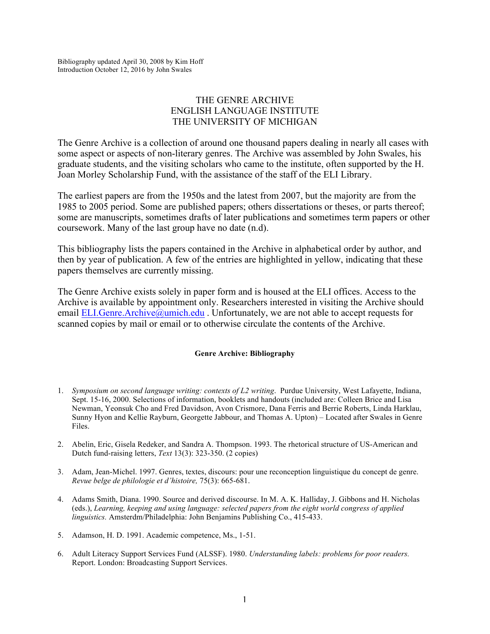Bibliography updated April 30, 2008 by Kim Hoff Introduction October 12, 2016 by John Swales

# THE GENRE ARCHIVE ENGLISH LANGUAGE INSTITUTE THE UNIVERSITY OF MICHIGAN

The Genre Archive is a collection of around one thousand papers dealing in nearly all cases with some aspect or aspects of non-literary genres. The Archive was assembled by John Swales, his graduate students, and the visiting scholars who came to the institute, often supported by the H. Joan Morley Scholarship Fund, with the assistance of the staff of the ELI Library.

The earliest papers are from the 1950s and the latest from 2007, but the majority are from the 1985 to 2005 period. Some are published papers; others dissertations or theses, or parts thereof; some are manuscripts, sometimes drafts of later publications and sometimes term papers or other coursework. Many of the last group have no date (n.d).

This bibliography lists the papers contained in the Archive in alphabetical order by author, and then by year of publication. A few of the entries are highlighted in yellow, indicating that these papers themselves are currently missing.

The Genre Archive exists solely in paper form and is housed at the ELI offices. Access to the Archive is available by appointment only. Researchers interested in visiting the Archive should email ELI.Genre.Archive@umich.edu. Unfortunately, we are not able to accept requests for scanned copies by mail or email or to otherwise circulate the contents of the Archive.

# **Genre Archive: Bibliography**

- 1. *Symposium on second language writing: contexts of L2 writing*. Purdue University, West Lafayette, Indiana, Sept. 15-16, 2000. Selections of information, booklets and handouts (included are: Colleen Brice and Lisa Newman, Yeonsuk Cho and Fred Davidson, Avon Crismore, Dana Ferris and Berrie Roberts, Linda Harklau, Sunny Hyon and Kellie Rayburn, Georgette Jabbour, and Thomas A. Upton) – Located after Swales in Genre Files.
- 2. Abelin, Eric, Gisela Redeker, and Sandra A. Thompson. 1993. The rhetorical structure of US-American and Dutch fund-raising letters, *Text* 13(3): 323-350. (2 copies)
- 3. Adam, Jean-Michel. 1997. Genres, textes, discours: pour une reconception linguistique du concept de genre. *Revue belge de philologie et d'histoire,* 75(3): 665-681.
- 4. Adams Smith, Diana. 1990. Source and derived discourse. In M. A. K. Halliday, J. Gibbons and H. Nicholas (eds.), *Learning, keeping and using language: selected papers from the eight world congress of applied linguistics.* Amsterdm/Philadelphia: John Benjamins Publishing Co., 415-433.
- 5. Adamson, H. D. 1991. Academic competence, Ms., 1-51.
- 6. Adult Literacy Support Services Fund (ALSSF). 1980. *Understanding labels: problems for poor readers.* Report. London: Broadcasting Support Services.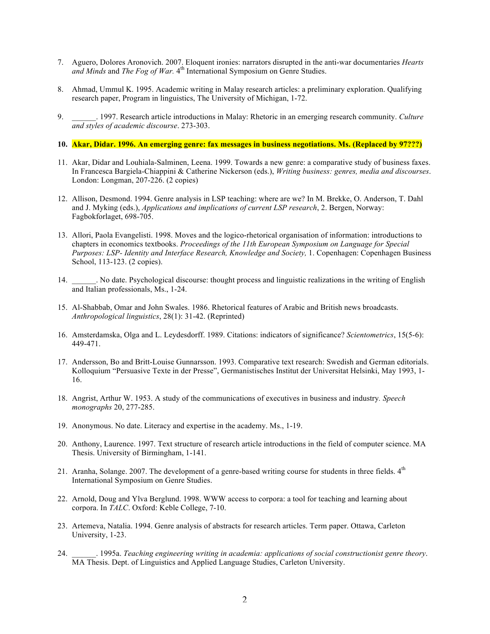- 7. Aguero, Dolores Aronovich. 2007. Eloquent ironies: narrators disrupted in the anti-war documentaries *Hearts*  and Minds and *The Fog of War*. 4<sup>th</sup> International Symposium on Genre Studies.
- 8. Ahmad, Ummul K. 1995. Academic writing in Malay research articles: a preliminary exploration. Qualifying research paper, Program in linguistics, The University of Michigan, 1-72.
- 9. \_\_\_\_\_\_. 1997. Research article introductions in Malay: Rhetoric in an emerging research community. *Culture and styles of academic discourse*. 273-303.

#### **10. Akar, Didar. 1996. An emerging genre: fax messages in business negotiations. Ms. (Replaced by 97???)**

- 11. Akar, Didar and Louhiala-Salminen, Leena. 1999. Towards a new genre: a comparative study of business faxes. In Francesca Bargiela-Chiappini & Catherine Nickerson (eds.), *Writing business: genres, media and discourses*. London: Longman, 207-226. (2 copies)
- 12. Allison, Desmond. 1994. Genre analysis in LSP teaching: where are we? In M. Brekke, O. Anderson, T. Dahl and J. Myking (eds.), *Applications and implications of current LSP research*, 2. Bergen, Norway: Fagbokforlaget, 698-705.
- 13. Allori, Paola Evangelisti. 1998. Moves and the logico-rhetorical organisation of information: introductions to chapters in economics textbooks. *Proceedings of the 11th European Symposium on Language for Special Purposes: LSP- Identity and Interface Research, Knowledge and Society,* 1. Copenhagen: Copenhagen Business School, 113-123. (2 copies).
- 14. \_\_\_\_\_\_. No date. Psychological discourse: thought process and linguistic realizations in the writing of English and Italian professionals, Ms., 1-24.
- 15. Al-Shabbab, Omar and John Swales. 1986. Rhetorical features of Arabic and British news broadcasts. *Anthropological linguistics*, 28(1): 31-42. (Reprinted)
- 16. Amsterdamska, Olga and L. Leydesdorff. 1989. Citations: indicators of significance? *Scientometrics*, 15(5-6): 449-471.
- 17. Andersson, Bo and Britt-Louise Gunnarsson. 1993. Comparative text research: Swedish and German editorials. Kolloquium "Persuasive Texte in der Presse", Germanistisches Institut der Universitat Helsinki, May 1993, 1- 16.
- 18. Angrist, Arthur W. 1953. A study of the communications of executives in business and industry*. Speech monographs* 20, 277-285.
- 19. Anonymous. No date. Literacy and expertise in the academy. Ms., 1-19.
- 20. Anthony, Laurence. 1997. Text structure of research article introductions in the field of computer science. MA Thesis. University of Birmingham, 1-141.
- 21. Aranha, Solange. 2007. The development of a genre-based writing course for students in three fields.  $4<sup>th</sup>$ International Symposium on Genre Studies.
- 22. Arnold, Doug and Ylva Berglund. 1998. WWW access to corpora: a tool for teaching and learning about corpora. In *TALC*. Oxford: Keble College, 7-10.
- 23. Artemeva, Natalia. 1994. Genre analysis of abstracts for research articles. Term paper. Ottawa, Carleton University, 1-23.
- 24. \_\_\_\_\_\_. 1995a. *Teaching engineering writing in academia: applications of social constructionist genre theory*. MA Thesis. Dept. of Linguistics and Applied Language Studies, Carleton University.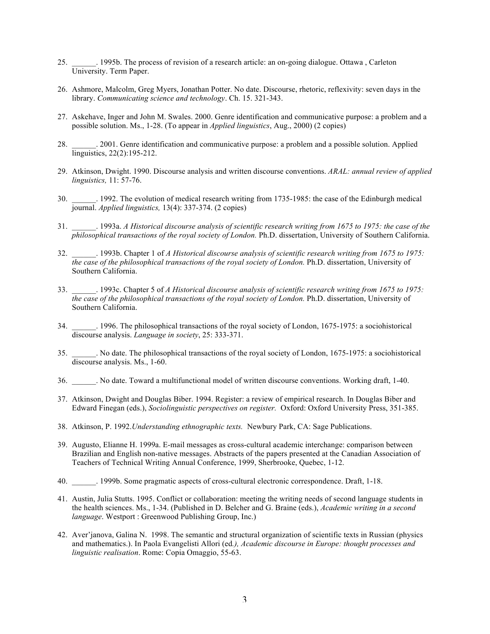- 25. \_\_\_\_\_\_. 1995b. The process of revision of a research article: an on-going dialogue. Ottawa , Carleton University. Term Paper.
- 26. Ashmore, Malcolm, Greg Myers, Jonathan Potter. No date. Discourse, rhetoric, reflexivity: seven days in the library. *Communicating science and technology*. Ch. 15. 321-343.
- 27. Askehave, Inger and John M. Swales. 2000. Genre identification and communicative purpose: a problem and a possible solution. Ms., 1-28. (To appear in *Applied linguistics*, Aug., 2000) (2 copies)
- 28. \_\_\_\_\_\_. 2001. Genre identification and communicative purpose: a problem and a possible solution. Applied linguistics, 22(2):195-212.
- 29. Atkinson, Dwight. 1990. Discourse analysis and written discourse conventions. *ARAL: annual review of applied linguistics,* 11: 57-76.
- 30. \_\_\_\_\_\_. 1992. The evolution of medical research writing from 1735-1985: the case of the Edinburgh medical journal. *Applied linguistics,* 13(4): 337-374. (2 copies)
- 31. \_\_\_\_\_\_. 1993a. *A Historical discourse analysis of scientific research writing from 1675 to 1975: the case of the philosophical transactions of the royal society of London.* Ph.D. dissertation, University of Southern California.
- 32. \_\_\_\_\_\_. 1993b. Chapter 1 of *A Historical discourse analysis of scientific research writing from 1675 to 1975: the case of the philosophical transactions of the royal society of London.* Ph.D. dissertation, University of Southern California.
- 33. \_\_\_\_\_\_. 1993c. Chapter 5 of *A Historical discourse analysis of scientific research writing from 1675 to 1975: the case of the philosophical transactions of the royal society of London.* Ph.D. dissertation, University of Southern California.
- 34. \_\_\_\_\_\_. 1996. The philosophical transactions of the royal society of London, 1675-1975: a sociohistorical discourse analysis. *Language in society*, 25: 333-371.
- 35. \_\_\_\_\_\_. No date. The philosophical transactions of the royal society of London, 1675-1975: a sociohistorical discourse analysis. Ms., 1-60.
- 36. \_\_\_\_\_\_. No date. Toward a multifunctional model of written discourse conventions. Working draft, 1-40.
- 37. Atkinson, Dwight and Douglas Biber. 1994. Register: a review of empirical research. In Douglas Biber and Edward Finegan (eds.), *Sociolinguistic perspectives on register.* Oxford: Oxford University Press, 351-385.
- 38. Atkinson, P. 1992.*Understanding ethnographic texts.* Newbury Park, CA: Sage Publications.
- 39. Augusto, Elianne H. 1999a. E-mail messages as cross-cultural academic interchange: comparison between Brazilian and English non-native messages. Abstracts of the papers presented at the Canadian Association of Teachers of Technical Writing Annual Conference, 1999, Sherbrooke, Quebec, 1-12.
- 40. \_\_\_\_\_\_. 1999b. Some pragmatic aspects of cross-cultural electronic correspondence. Draft, 1-18.
- 41. Austin, Julia Stutts. 1995. Conflict or collaboration: meeting the writing needs of second language students in the health sciences. Ms., 1-34. (Published in D. Belcher and G. Braine (eds.), *Academic writing in a second language*. Westport : Greenwood Publishing Group, Inc.)
- 42. Aver'janova, Galina N. 1998. The semantic and structural organization of scientific texts in Russian (physics and mathematics.). In Paola Evangelisti Allori (ed*.), Academic discourse in Europe: thought processes and linguistic realisation*. Rome: Copia Omaggio, 55-63.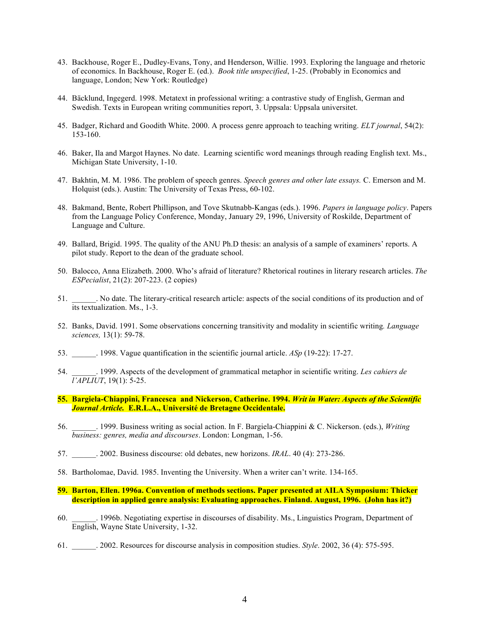- 43. Backhouse, Roger E., Dudley-Evans, Tony, and Henderson, Willie. 1993. Exploring the language and rhetoric of economics. In Backhouse, Roger E. (ed.). *Book title unspecified*, 1-25. (Probably in Economics and language, London; New York: Routledge)
- 44. Bäcklund, Ingegerd. 1998. Metatext in professional writing: a contrastive study of English, German and Swedish. Texts in European writing communities report, 3. Uppsala: Uppsala universitet.
- 45. Badger, Richard and Goodith White. 2000. A process genre approach to teaching writing. *ELT journal*, 54(2): 153-160.
- 46. Baker, Ila and Margot Haynes. No date. Learning scientific word meanings through reading English text. Ms., Michigan State University, 1-10.
- 47. Bakhtin, M. M. 1986. The problem of speech genres. *Speech genres and other late essays.* C. Emerson and M. Holquist (eds.). Austin: The University of Texas Press, 60-102.
- 48. Bakmand, Bente, Robert Phillipson, and Tove Skutnabb-Kangas (eds.). 1996. *Papers in language policy*. Papers from the Language Policy Conference, Monday, January 29, 1996, University of Roskilde, Department of Language and Culture.
- 49. Ballard, Brigid. 1995. The quality of the ANU Ph.D thesis: an analysis of a sample of examiners' reports. A pilot study. Report to the dean of the graduate school.
- 50. Balocco, Anna Elizabeth. 2000. Who's afraid of literature? Rhetorical routines in literary research articles. *The ESPecialist*, 21(2): 207-223. (2 copies)
- 51. \_\_\_\_\_\_. No date. The literary-critical research article: aspects of the social conditions of its production and of its textualization. Ms., 1-3.
- 52. Banks, David. 1991. Some observations concerning transitivity and modality in scientific writing*. Language sciences,* 13(1): 59-78.
- 53. \_\_\_\_\_\_. 1998. Vague quantification in the scientific journal article. *ASp* (19-22): 17-27.
- 54. \_\_\_\_\_\_. 1999. Aspects of the development of grammatical metaphor in scientific writing. *Les cahiers de l'APLIUT*, 19(1): 5-25.
- **55. Bargiela-Chiappini, Francesca and Nickerson, Catherine. 1994.** *Writ in Water: Aspects of the Scientific Journal Article.* **E.R.L.A., Université de Bretagne Occidentale.**
- 56. \_\_\_\_\_\_. 1999. Business writing as social action. In F. Bargiela-Chiappini & C. Nickerson. (eds.), *Writing business: genres, media and discourses*. London: Longman, 1-56.
- 57. \_\_\_\_\_\_. 2002. Business discourse: old debates, new horizons. *IRAL*. 40 (4): 273-286.
- 58. Bartholomae, David. 1985. Inventing the University. When a writer can't write. 134-165.
- **59. Barton, Ellen. 1996a. Convention of methods sections. Paper presented at AILA Symposium: Thicker description in applied genre analysis: Evaluating approaches. Finland. August, 1996. (John has it?)**
- 60. \_\_\_\_\_\_. 1996b. Negotiating expertise in discourses of disability. Ms., Linguistics Program, Department of English, Wayne State University, 1-32.
- 61. \_\_\_\_\_\_. 2002. Resources for discourse analysis in composition studies. *Style*. 2002, 36 (4): 575-595.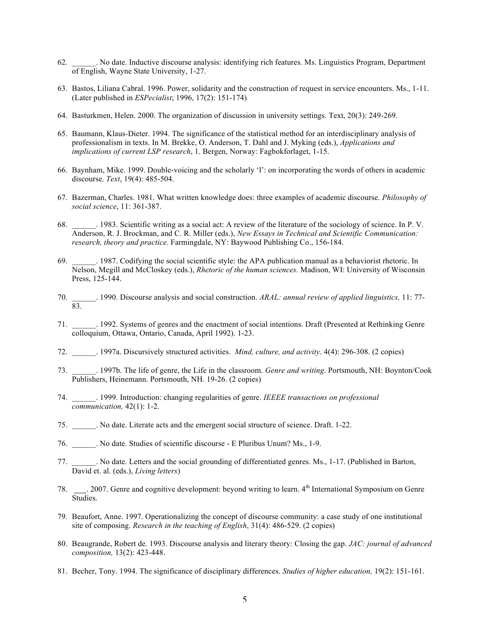- 62. \_\_\_\_\_\_. No date. Inductive discourse analysis: identifying rich features. Ms. Linguistics Program, Department of English, Wayne State University, 1-27.
- 63. Bastos, Liliana Cabral. 1996. Power, solidarity and the construction of request in service encounters. Ms., 1-11. (Later published in *ESPecialist*; 1996, 17(2): 151-174)
- 64. Basturkmen, Helen. 2000. The organization of discussion in university settings. Text, 20(3): 249-269.
- 65. Baumann, Klaus-Dieter. 1994. The significance of the statistical method for an interdisciplinary analysis of professionalism in texts. In M. Brekke, O. Anderson, T. Dahl and J. Myking (eds.), *Applications and implications of current LSP research*, 1. Bergen, Norway: Fagbokforlaget, 1-15.
- 66. Baynham, Mike. 1999. Double-voicing and the scholarly 'l': on incorporating the words of others in academic discourse. *Text*, 19(4): 485-504.
- 67. Bazerman, Charles. 1981. What written knowledge does: three examples of academic discourse. *Philosophy of social science*, 11: 361-387.
- 68. \_\_\_\_\_\_. 1983. Scientific writing as a social act: A review of the literature of the sociology of science. In P. V. Anderson, R. J. Brockman, and C. R. Miller (eds.), *New Essays in Technical and Scientific Communication: research, theory and practice.* Farmingdale, NY: Baywood Publishing Co., 156-184.
- 69. \_\_\_\_\_\_. 1987. Codifying the social scientific style: the APA publication manual as a behaviorist rhetoric. In Nelson, Megill and McCloskey (eds.), *Rhetoric of the human sciences.* Madison, WI: University of Wisconsin Press, 125-144.
- 70. \_\_\_\_\_\_. 1990. Discourse analysis and social construction. *ARAL: annual review of applied linguistics,* 11: 77- 83.
- 71. \_\_\_\_\_\_. 1992. Systems of genres and the enactment of social intentions. Draft (Presented at Rethinking Genre colloquium, Ottawa, Ontario, Canada, April 1992). 1-23.
- 72. \_\_\_\_\_\_. 1997a. Discursively structured activities. *Mind, culture, and activity*. 4(4): 296-308. (2 copies)
- 73. \_\_\_\_\_\_. 1997b. The life of genre, the Life in the classroom. *Genre and writing*. Portsmouth, NH: Boynton/Cook Publishers, Heinemann. Portsmouth, NH. 19-26. (2 copies)
- 74. \_\_\_\_\_\_. 1999. Introduction: changing regularities of genre. *IEEEE transactions on professional communication,* 42(1): 1-2.
- 75. \_\_\_\_\_\_. No date. Literate acts and the emergent social structure of science. Draft. 1-22.
- 76. \_\_\_\_\_\_. No date. Studies of scientific discourse E Pluribus Unum? Ms., 1-9.
- 77. \_\_\_\_\_\_. No date. Letters and the social grounding of differentiated genres. Ms., 1-17. (Published in Barton, David et. al. (eds.), *Living letters*)
- 78. \_\_\_\_. 2007. Genre and cognitive development: beyond writing to learn. 4<sup>th</sup> International Symposium on Genre Studies.
- 79. Beaufort, Anne. 1997. Operationalizing the concept of discourse community: a case study of one institutional site of composing. *Research in the teaching of English*, 31(4): 486-529. (2 copies)
- 80. Beaugrande, Robert de. 1993. Discourse analysis and literary theory: Closing the gap. *JAC: journal of advanced composition,* 13(2): 423-448.
- 81. Becher, Tony. 1994. The significance of disciplinary differences. *Studies of higher education,* 19(2): 151-161.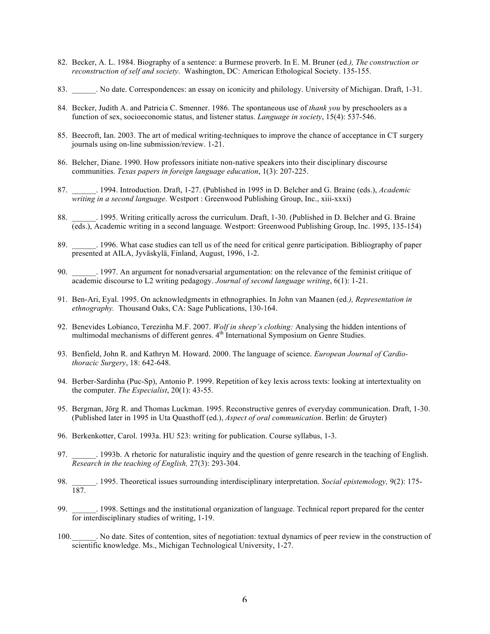- 82. Becker, A. L. 1984. Biography of a sentence: a Burmese proverb. In E. M. Bruner (ed*.), The construction or reconstruction of self and society*. Washington, DC: American Ethological Society. 135-155.
- 83. No date. Correspondences: an essay on iconicity and philology. University of Michigan. Draft, 1-31.
- 84. Becker, Judith A. and Patricia C. Smenner. 1986. The spontaneous use of *thank you* by preschoolers as a function of sex, socioeconomic status, and listener status. *Language in society*, 15(4): 537-546.
- 85. Beecroft, Ian. 2003. The art of medical writing-techniques to improve the chance of acceptance in CT surgery journals using on-line submission/review. 1-21.
- 86. Belcher, Diane. 1990. How professors initiate non-native speakers into their disciplinary discourse communities. *Texas papers in foreign language education*, 1(3): 207-225.
- 87. \_\_\_\_\_\_. 1994. Introduction. Draft, 1-27. (Published in 1995 in D. Belcher and G. Braine (eds.), *Academic writing in a second language*. Westport : Greenwood Publishing Group, Inc., xiii-xxxi)
- 88. **1995.** Writing critically across the curriculum. Draft, 1-30. (Published in D. Belcher and G. Braine (eds.), Academic writing in a second language*.* Westport: Greenwood Publishing Group, Inc. 1995, 135-154)
- 89. 1996. What case studies can tell us of the need for critical genre participation. Bibliography of paper presented at AILA, Jyväskylä, Finland, August, 1996, 1-2.
- 90. \_\_\_\_\_\_. 1997. An argument for nonadversarial argumentation: on the relevance of the feminist critique of academic discourse to L2 writing pedagogy. *Journal of second language writing*, 6(1): 1-21.
- 91. Ben-Ari, Eyal. 1995. On acknowledgments in ethnographies. In John van Maanen (ed*.), Representation in ethnography.* Thousand Oaks, CA: Sage Publications, 130-164.
- 92. Benevides Lobianco, Terezinha M.F. 2007. *Wolf in sheep's clothing:* Analysing the hidden intentions of multimodal mechanisms of different genres. 4<sup>th</sup> International Symposium on Genre Studies.
- 93. Benfield, John R. and Kathryn M. Howard. 2000. The language of science. *European Journal of Cardiothoracic Surgery*, 18: 642-648.
- 94. Berber-Sardinha (Puc-Sp), Antonio P. 1999. Repetition of key lexis across texts: looking at intertextuality on the computer. *The Especialist*, 20(1): 43-55.
- 95. Bergman, Jörg R. and Thomas Luckman. 1995. Reconstructive genres of everyday communication. Draft, 1-30. (Published later in 1995 in Uta Quasthoff (ed.), *Aspect of oral communication*. Berlin: de Gruyter)
- 96. Berkenkotter, Carol. 1993a. HU 523: writing for publication. Course syllabus, 1-3.
- 97. \_\_\_\_\_\_. 1993b. A rhetoric for naturalistic inquiry and the question of genre research in the teaching of English. *Research in the teaching of English,* 27(3): 293-304.
- 98. \_\_\_\_\_\_. 1995. Theoretical issues surrounding interdisciplinary interpretation. *Social epistemology,* 9(2): 175- 187.
- 1998. Settings and the institutional organization of language. Technical report prepared for the center for interdisciplinary studies of writing, 1-19.
- 100.\_\_\_\_\_\_. No date. Sites of contention, sites of negotiation: textual dynamics of peer review in the construction of scientific knowledge. Ms., Michigan Technological University, 1-27.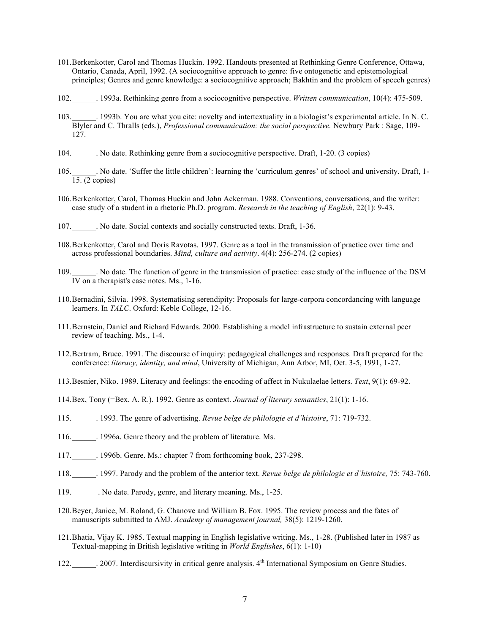- 101.Berkenkotter, Carol and Thomas Huckin. 1992. Handouts presented at Rethinking Genre Conference, Ottawa, Ontario, Canada, April, 1992. (A sociocognitive approach to genre: five ontogenetic and epistemological principles; Genres and genre knowledge: a sociocognitive approach; Bakhtin and the problem of speech genres)
- 102.\_\_\_\_\_\_. 1993a. Rethinking genre from a sociocognitive perspective. *Written communication*, 10(4): 475-509.
- 103.\_\_\_\_\_\_. 1993b. You are what you cite: novelty and intertextuality in a biologist's experimental article. In N. C. Blyler and C. Thralls (eds.), *Professional communication: the social perspective.* Newbury Park : Sage, 109- 127.
- 104.\_\_\_\_\_\_. No date. Rethinking genre from a sociocognitive perspective. Draft, 1-20. (3 copies)
- 105. No date. 'Suffer the little children': learning the 'curriculum genres' of school and university. Draft, 1- $\overline{15}$ . (2 copies)
- 106.Berkenkotter, Carol, Thomas Huckin and John Ackerman. 1988. Conventions, conversations, and the writer: case study of a student in a rhetoric Ph.D. program. *Research in the teaching of English*, 22(1): 9-43.
- 107.\_\_\_\_\_\_. No date. Social contexts and socially constructed texts. Draft, 1-36.
- 108.Berkenkotter, Carol and Doris Ravotas. 1997. Genre as a tool in the transmission of practice over time and across professional boundaries. *Mind, culture and activity*. 4(4): 256-274. (2 copies)
- 109. No date. The function of genre in the transmission of practice: case study of the influence of the DSM  $\overline{IV}$  on a therapist's case notes. Ms., 1-16.
- 110.Bernadini, Silvia. 1998. Systematising serendipity: Proposals for large-corpora concordancing with language learners. In *TALC*. Oxford: Keble College, 12-16.
- 111.Bernstein, Daniel and Richard Edwards. 2000. Establishing a model infrastructure to sustain external peer review of teaching. Ms., 1-4.
- 112.Bertram, Bruce. 1991. The discourse of inquiry: pedagogical challenges and responses. Draft prepared for the conference: *literacy, identity, and mind*, University of Michigan, Ann Arbor, MI, Oct. 3-5, 1991, 1-27.
- 113.Besnier, Niko. 1989. Literacy and feelings: the encoding of affect in Nukulaelae letters. *Text*, 9(1): 69-92.
- 114.Bex, Tony (=Bex, A. R.). 1992. Genre as context. *Journal of literary semantics*, 21(1): 1-16.
- 115.\_\_\_\_\_\_. 1993. The genre of advertising. *Revue belge de philologie et d'histoire*, 71: 719-732.
- 116. 1996a. Genre theory and the problem of literature. Ms.
- 117.\_\_\_\_\_\_. 1996b. Genre. Ms.: chapter 7 from forthcoming book, 237-298.
- 118.\_\_\_\_\_\_. 1997. Parody and the problem of the anterior text. *Revue belge de philologie et d'histoire,* 75: 743-760.
- 119. No date. Parody, genre, and literary meaning. Ms., 1-25.
- 120.Beyer, Janice, M. Roland, G. Chanove and William B. Fox. 1995. The review process and the fates of manuscripts submitted to AMJ. *Academy of management journal,* 38(5): 1219-1260.
- 121.Bhatia, Vijay K. 1985. Textual mapping in English legislative writing. Ms., 1-28. (Published later in 1987 as Textual-mapping in British legislative writing in *World Englishes*, 6(1): 1-10)
- 122. 2007. Interdiscursivity in critical genre analysis.  $4<sup>th</sup>$  International Symposium on Genre Studies.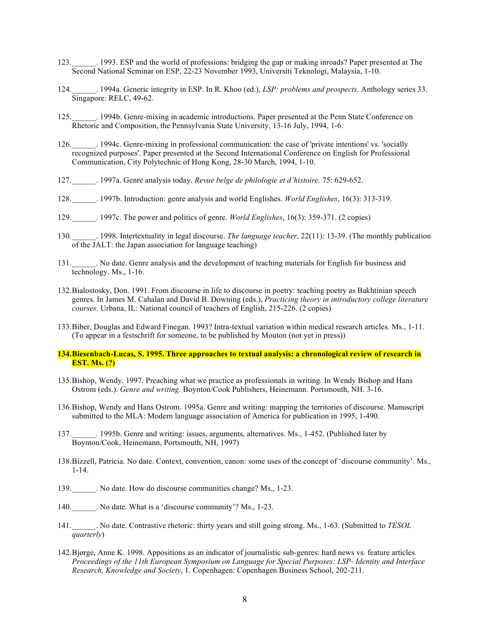- 123.\_\_\_\_\_\_. 1993. ESP and the world of professions: bridging the gap or making inroads? Paper presented at The Second National Seminar on ESP, 22-23 November 1993, Universiti Teknologi, Malaysia, 1-10.
- 124.\_\_\_\_\_\_. 1994a. Generic integrity in ESP. In R. Khoo (ed.), *LSP: problems and prospects.* Anthology series 33. Singapore: RELC, 49-62.
- 125.\_\_\_\_\_\_. 1994b. Genre-mixing in academic introductions. Paper presented at the Penn State Conference on Rhetoric and Composition, the Pennsylvania State University, 13-16 July, 1994, 1-6.
- 126.\_\_\_\_\_\_. 1994c. Genre-mixing in professional communication: the case of 'private intentions' vs. 'socially recognized purposes'. Paper presented at the Second International Conference on English for Professional Communication, City Polytechnic of Hong Kong, 28-30 March, 1994, 1-10.
- 127.\_\_\_\_\_\_. 1997a. Genre analysis today. *Revue belge de philologie et d'histoire,* 75: 629-652.
- 128.\_\_\_\_\_\_. 1997b. Introduction: genre analysis and world Englishes. *World Englishes*, 16(3): 313-319.
- 129.\_\_\_\_\_\_. 1997c. The power and politics of genre. *World Englishes*, 16(3): 359-371. (2 copies)
- 130.\_\_\_\_\_\_. 1998. Intertextuality in legal discourse. *The language teacher,* 22(11): 13-39. (The monthly publication of the JALT: the Japan association for language teaching)
- 131.\_\_\_\_\_\_. No date. Genre analysis and the development of teaching materials for English for business and technology. Ms., 1-16.
- 132.Bialostosky, Don. 1991. From discourse in life to discourse in poetry: teaching poetry as Bakhtinian speech genres. In James M. Cahalan and David B. Downing (eds.), *Practicing theory in introductory college literature courses.* Urbana, IL: National council of teachers of English, 215-226. (2 copies)
- 133.Biber, Douglas and Edward Finegan. 1993? Intra-textual variation within medical research articles. Ms., 1-11. (To appear in a festschrift for someone, to be published by Mouton (not yet in press))
- **134.Biesenbach-Lucas, S. 1995. Three approaches to textual analysis: a chronological review of research in EST. Ms. (?)**
- 135.Bishop, Wendy. 1997. Preaching what we practice as professionals in writing*.* In Wendy Bishop and Hans Ostrom (eds.). *Genre and writing.* Boynton/Cook Publishers, Heinemann. Portsmouth, NH. 3-16.
- 136.Bishop, Wendy and Hans Ostrom. 1995a. Genre and writing: mapping the territories of discourse. Manuscript submitted to the MLA: Modern language association of America for publication in 1995, 1-490.
- 137.\_\_\_\_\_\_. 1995b. Genre and writing: issues, arguments, alternatives. Ms., 1-452. (Published later by Boynton/Cook, Heinemann, Portsmouth, NH, 1997)
- 138.Bizzell, Patricia. No date. Context, convention, canon: some uses of the concept of 'discourse community'. Ms., 1-14.
- 139. No date. How do discourse communities change? Ms., 1-23.
- 140. No date. What is a 'discourse community'? Ms., 1-23.
- 141.\_\_\_\_\_\_. No date. Contrastive rhetoric: thirty years and still going strong. Ms., 1-63. (Submitted to *TESOL quarterly*)
- 142.Bjørge, Anne K. 1998. Appositions as an indicator of journalistic sub-genres: hard news vs. feature articles*. Proceedings of the 11th European Symposium on Language for Special Purposes: LSP- Identity and Interface Research, Knowledge and Society*, 1. Copenhagen: Copenhagen Business School, 202-211.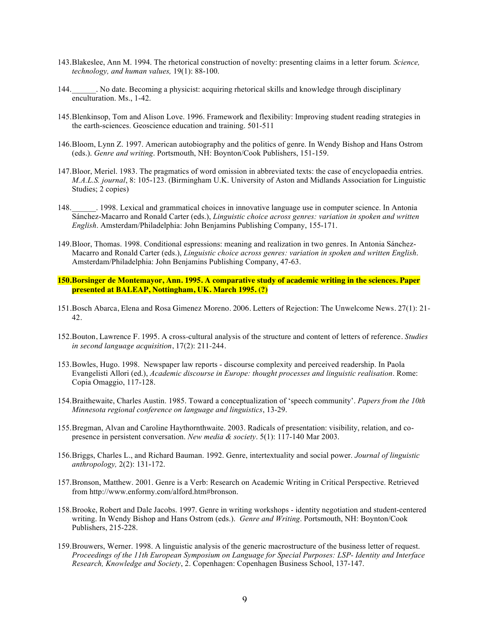- 143.Blakeslee, Ann M. 1994. The rhetorical construction of novelty: presenting claims in a letter forum*. Science, technology, and human values,* 19(1): 88-100.
- 144.\_\_\_\_\_\_. No date. Becoming a physicist: acquiring rhetorical skills and knowledge through disciplinary enculturation. Ms., 1-42.
- 145.Blenkinsop, Tom and Alison Love. 1996. Framework and flexibility: Improving student reading strategies in the earth-sciences. Geoscience education and training. 501-511
- 146.Bloom, Lynn Z. 1997. American autobiography and the politics of genre. In Wendy Bishop and Hans Ostrom (eds.). *Genre and writing*. Portsmouth, NH: Boynton/Cook Publishers, 151-159.
- 147.Bloor, Meriel. 1983. The pragmatics of word omission in abbreviated texts: the case of encyclopaedia entries. *M.A.L.S. journal*, 8: 105-123. (Birmingham U.K. University of Aston and Midlands Association for Linguistic Studies; 2 copies)
- 148.\_\_\_\_\_\_. 1998. Lexical and grammatical choices in innovative language use in computer science. In Antonia Sánchez-Macarro and Ronald Carter (eds.), *Linguistic choice across genres: variation in spoken and written English*. Amsterdam/Philadelphia: John Benjamins Publishing Company, 155-171.
- 149.Bloor, Thomas. 1998. Conditional espressions: meaning and realization in two genres. In Antonia Sánchez-Macarro and Ronald Carter (eds.), *Linguistic choice across genres: variation in spoken and written English*. Amsterdam/Philadelphia: John Benjamins Publishing Company, 47-63.
- **150.Borsinger de Montemayor, Ann. 1995. A comparative study of academic writing in the sciences. Paper presented at BALEAP, Nottingham, UK. March 1995. (?)**
- 151.Bosch Abarca, Elena and Rosa Gimenez Moreno. 2006. Letters of Rejection: The Unwelcome News. 27(1): 21- 42.
- 152.Bouton, Lawrence F. 1995. A cross-cultural analysis of the structure and content of letters of reference. *Studies in second language acquisition*, 17(2): 211-244.
- 153.Bowles, Hugo. 1998. Newspaper law reports discourse complexity and perceived readership. In Paola Evangelisti Allori (ed.), *Academic discourse in Europe: thought processes and linguistic realisation*. Rome: Copia Omaggio, 117-128.
- 154.Braithewaite, Charles Austin. 1985. Toward a conceptualization of 'speech community'. *Papers from the 10th Minnesota regional conference on language and linguistics*, 13-29.
- 155.Bregman, Alvan and Caroline Haythornthwaite. 2003. Radicals of presentation: visibility, relation, and copresence in persistent conversation. *New media & society*. 5(1): 117-140 Mar 2003.
- 156.Briggs, Charles L., and Richard Bauman. 1992. Genre, intertextuality and social power. *Journal of linguistic anthropology,* 2(2): 131-172.
- 157.Bronson, Matthew. 2001. Genre is a Verb: Research on Academic Writing in Critical Perspective. Retrieved from http://www.enformy.com/alford.htm#bronson.
- 158.Brooke, Robert and Dale Jacobs. 1997. Genre in writing workshops identity negotiation and student-centered writing. In Wendy Bishop and Hans Ostrom (eds.). *Genre and Writing*. Portsmouth, NH: Boynton/Cook Publishers, 215-228.
- 159.Brouwers, Werner. 1998. A linguistic analysis of the generic macrostructure of the business letter of request. *Proceedings of the 11th European Symposium on Language for Special Purposes: LSP- Identity and Interface Research, Knowledge and Society*, 2. Copenhagen: Copenhagen Business School, 137-147.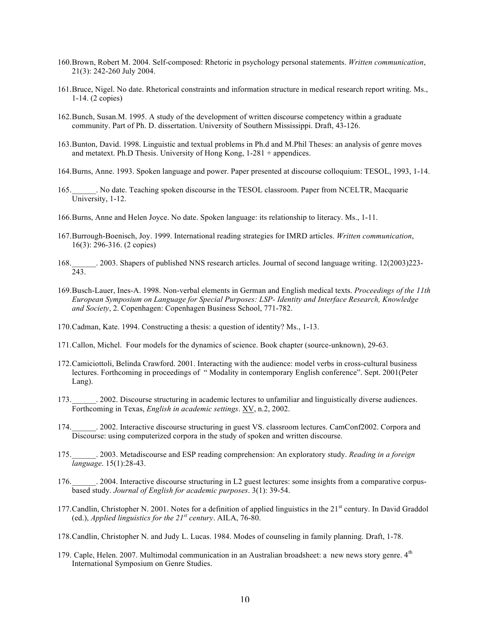- 160.Brown, Robert M. 2004. Self-composed: Rhetoric in psychology personal statements. *Written communication*, 21(3): 242-260 July 2004.
- 161.Bruce, Nigel. No date. Rhetorical constraints and information structure in medical research report writing. Ms., 1-14. (2 copies)
- 162.Bunch, Susan.M. 1995. A study of the development of written discourse competency within a graduate community. Part of Ph. D. dissertation. University of Southern Mississippi. Draft, 43-126.
- 163.Bunton, David. 1998. Linguistic and textual problems in Ph.d and M.Phil Theses: an analysis of genre moves and metatext. Ph.D Thesis. University of Hong Kong, 1-281 + appendices.
- 164.Burns, Anne. 1993. Spoken language and power. Paper presented at discourse colloquium: TESOL, 1993, 1-14.
- 165.\_\_\_\_\_\_. No date. Teaching spoken discourse in the TESOL classroom. Paper from NCELTR, Macquarie University, 1-12.
- 166.Burns, Anne and Helen Joyce. No date. Spoken language: its relationship to literacy. Ms., 1-11.
- 167.Burrough-Boenisch, Joy. 1999. International reading strategies for IMRD articles. *Written communication*, 16(3): 296-316. (2 copies)
- 168. 2003. Shapers of published NNS research articles. Journal of second language writing. 12(2003)223- $168.$  $\frac{1}{243.}$
- 169.Busch-Lauer, Ines-A. 1998. Non-verbal elements in German and English medical texts. *Proceedings of the 11th European Symposium on Language for Special Purposes: LSP- Identity and Interface Research, Knowledge and Society*, 2. Copenhagen: Copenhagen Business School, 771-782.
- 170.Cadman, Kate. 1994. Constructing a thesis: a question of identity? Ms., 1-13.
- 171.Callon, Michel. Four models for the dynamics of science. Book chapter (source-unknown), 29-63.
- 172.Camiciottoli, Belinda Crawford. 2001. Interacting with the audience: model verbs in cross-cultural business lectures. Forthcoming in proceedings of " Modality in contemporary English conference". Sept. 2001(Peter Lang).
- 173.\_\_\_\_\_\_. 2002. Discourse structuring in academic lectures to unfamiliar and linguistically diverse audiences. Forthcoming in Texas, *English in academic settings*. XV, n.2, 2002.
- 174. 2002. Interactive discourse structuring in guest VS. classroom lectures. CamConf2002. Corpora and Discourse: using computerized corpora in the study of spoken and written discourse.
- 175.\_\_\_\_\_\_. 2003. Metadiscourse and ESP reading comprehension: An exploratory study. *Reading in a foreign language*. 15(1):28-43.
- 176.\_\_\_\_\_\_. 2004. Interactive discourse structuring in L2 guest lectures: some insights from a comparative corpusbased study. *Journal of English for academic purposes*. 3(1): 39-54.
- 177. Candlin, Christopher N. 2001. Notes for a definition of applied linguistics in the  $21<sup>st</sup>$  century. In David Graddol (ed.), *Applied linguistics for the 21st century*. AILA, 76-80.
- 178.Candlin, Christopher N. and Judy L. Lucas. 1984. Modes of counseling in family planning. Draft, 1-78.
- 179. Caple, Helen. 2007. Multimodal communication in an Australian broadsheet: a new news story genre.  $4<sup>th</sup>$ International Symposium on Genre Studies.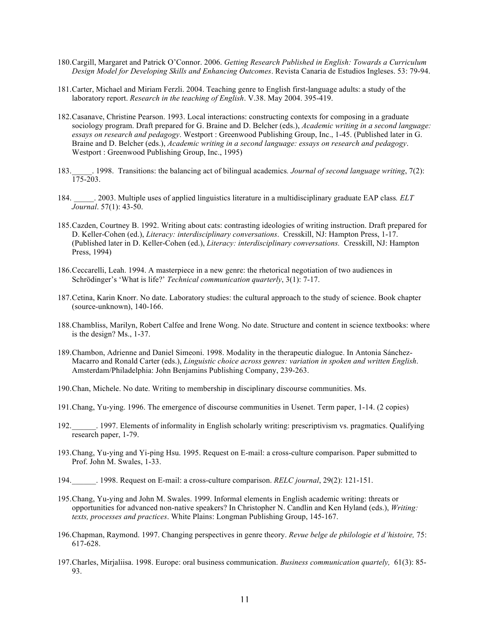- 180.Cargill, Margaret and Patrick O'Connor. 2006. *Getting Research Published in English: Towards a Curriculum Design Model for Developing Skills and Enhancing Outcomes*. Revista Canaria de Estudios Ingleses. 53: 79-94.
- 181.Carter, Michael and Miriam Ferzli. 2004. Teaching genre to English first-language adults: a study of the laboratory report. *Research in the teaching of English*. V.38. May 2004. 395-419.
- 182.Casanave, Christine Pearson. 1993. Local interactions: constructing contexts for composing in a graduate sociology program. Draft prepared for G. Braine and D. Belcher (eds.), *Academic writing in a second language: essays on research and pedagogy*. Westport : Greenwood Publishing Group, Inc., 1-45. (Published later in G. Braine and D. Belcher (eds.), *Academic writing in a second language: essays on research and pedagogy*. Westport : Greenwood Publishing Group, Inc., 1995)
- 183.\_\_\_\_\_. 1998. Transitions: the balancing act of bilingual academics*. Journal of second language writing*, 7(2): 175-203.
- 184. \_\_\_\_\_. 2003. Multiple uses of applied linguistics literature in a multidisciplinary graduate EAP class*. ELT Journal*. 57(1): 43-50.
- 185.Cazden, Courtney B. 1992. Writing about cats: contrasting ideologies of writing instruction. Draft prepared for D. Keller-Cohen (ed.), *Literacy: interdisciplinary conversations*. Cresskill, NJ: Hampton Press, 1-17. (Published later in D. Keller-Cohen (ed.), *Literacy: interdisciplinary conversations.* Cresskill, NJ: Hampton Press, 1994)
- 186.Ceccarelli, Leah. 1994. A masterpiece in a new genre: the rhetorical negotiation of two audiences in Schrödinger's 'What is life?' *Technical communication quarterly*, 3(1): 7-17.
- 187.Cetina, Karin Knorr. No date. Laboratory studies: the cultural approach to the study of science. Book chapter (source-unknown), 140-166.
- 188.Chambliss, Marilyn, Robert Calfee and Irene Wong. No date. Structure and content in science textbooks: where is the design? Ms., 1-37.
- 189.Chambon, Adrienne and Daniel Simeoni. 1998. Modality in the therapeutic dialogue. In Antonia Sánchez-Macarro and Ronald Carter (eds.), *Linguistic choice across genres: variation in spoken and written English*. Amsterdam/Philadelphia: John Benjamins Publishing Company, 239-263.
- 190.Chan, Michele. No date. Writing to membership in disciplinary discourse communities. Ms.
- 191.Chang, Yu-ying. 1996. The emergence of discourse communities in Usenet. Term paper, 1-14. (2 copies)
- 192.\_\_\_\_\_\_. 1997. Elements of informality in English scholarly writing: prescriptivism vs. pragmatics. Qualifying research paper, 1-79.
- 193.Chang, Yu-ying and Yi-ping Hsu. 1995. Request on E-mail: a cross-culture comparison. Paper submitted to Prof. John M. Swales, 1-33.
- 194.\_\_\_\_\_\_. 1998. Request on E-mail: a cross-culture comparison. *RELC journal*, 29(2): 121-151.
- 195.Chang, Yu-ying and John M. Swales. 1999. Informal elements in English academic writing: threats or opportunities for advanced non-native speakers? In Christopher N. Candlin and Ken Hyland (eds.), *Writing: texts, processes and practices*. White Plains: Longman Publishing Group, 145-167.
- 196.Chapman, Raymond. 1997. Changing perspectives in genre theory. *Revue belge de philologie et d'histoire,* 75: 617-628.
- 197.Charles, Mirjaliisa. 1998. Europe: oral business communication. *Business communication quartely,* 61(3): 85- 93.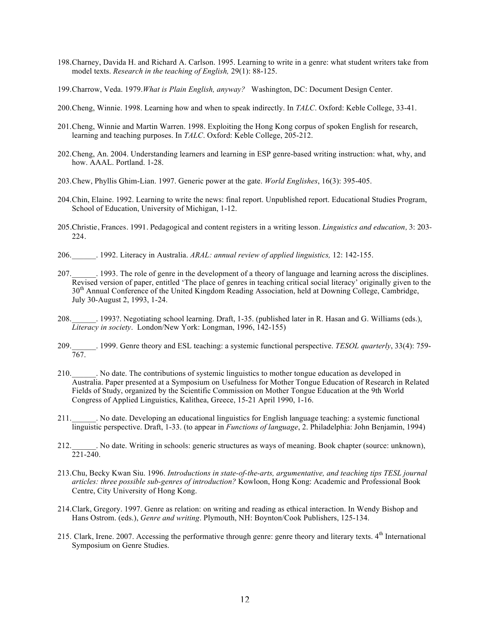- 198.Charney, Davida H. and Richard A. Carlson. 1995. Learning to write in a genre: what student writers take from model texts. *Research in the teaching of English,* 29(1): 88-125.
- 199.Charrow, Veda. 1979.*What is Plain English, anyway?* Washington, DC: Document Design Center.
- 200.Cheng, Winnie. 1998. Learning how and when to speak indirectly. In *TALC*. Oxford: Keble College, 33-41.
- 201.Cheng, Winnie and Martin Warren. 1998. Exploiting the Hong Kong corpus of spoken English for research, learning and teaching purposes. In *TALC*. Oxford: Keble College, 205-212.
- 202.Cheng, An. 2004. Understanding learners and learning in ESP genre-based writing instruction: what, why, and how. AAAL. Portland. 1-28.
- 203.Chew, Phyllis Ghim-Lian. 1997. Generic power at the gate. *World Englishes*, 16(3): 395-405.
- 204.Chin, Elaine. 1992. Learning to write the news: final report. Unpublished report. Educational Studies Program, School of Education, University of Michigan, 1-12.
- 205.Christie, Frances. 1991. Pedagogical and content registers in a writing lesson. *Linguistics and education,* 3: 203- 224.
- 206.\_\_\_\_\_\_. 1992. Literacy in Australia. *ARAL: annual review of applied linguistics,* 12: 142-155.
- 207.\_\_\_\_\_\_. 1993. The role of genre in the development of a theory of language and learning across the disciplines. Revised version of paper, entitled 'The place of genres in teaching critical social literacy' originally given to the 30<sup>th</sup> Annual Conference of the United Kingdom Reading Association, held at Downing College, Cambridge, July 30-August 2, 1993, 1-24.
- 208.\_\_\_\_\_\_. 1993?. Negotiating school learning. Draft, 1-35. (published later in R. Hasan and G. Williams (eds.), *Literacy in society*. London/New York: Longman, 1996, 142-155)
- 209.\_\_\_\_\_\_. 1999. Genre theory and ESL teaching: a systemic functional perspective. *TESOL quarterly*, 33(4): 759- 767.
- 210.\_\_\_\_\_\_. No date. The contributions of systemic linguistics to mother tongue education as developed in Australia. Paper presented at a Symposium on Usefulness for Mother Tongue Education of Research in Related Fields of Study, organized by the Scientific Commission on Mother Tongue Education at the 9th World Congress of Applied Linguistics, Kalithea, Greece, 15-21 April 1990, 1-16.
- 211.\_\_\_\_\_\_. No date. Developing an educational linguistics for English language teaching: a systemic functional linguistic perspective. Draft, 1-33. (to appear in *Functions of language*, 2. Philadelphia: John Benjamin, 1994)
- 212.\_\_\_\_\_\_. No date. Writing in schools: generic structures as ways of meaning. Book chapter (source: unknown), 221-240.
- 213.Chu, Becky Kwan Siu. 1996. *Introductions in state-of-the-arts, argumentative, and teaching tips TESL journal articles: three possible sub-genres of introduction?* Kowloon, Hong Kong: Academic and Professional Book Centre, City University of Hong Kong.
- 214.Clark, Gregory. 1997. Genre as relation: on writing and reading as ethical interaction. In Wendy Bishop and Hans Ostrom. (eds.), *Genre and writing*. Plymouth, NH: Boynton/Cook Publishers, 125-134.
- 215. Clark, Irene. 2007. Accessing the performative through genre: genre theory and literary texts. 4<sup>th</sup> International Symposium on Genre Studies.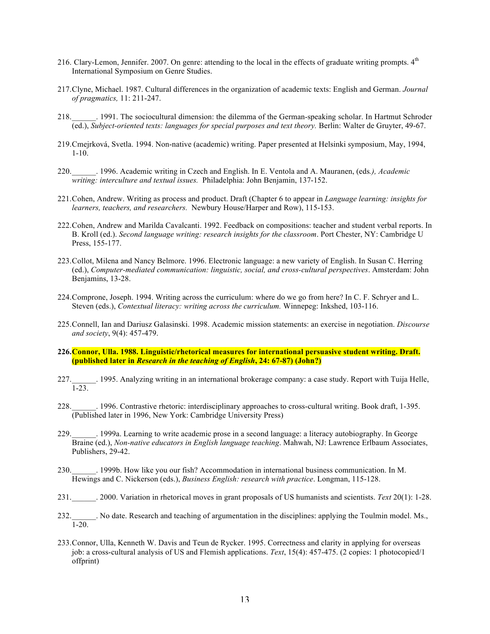- 216. Clary-Lemon, Jennifer. 2007. On genre: attending to the local in the effects of graduate writing prompts.  $4<sup>th</sup>$ International Symposium on Genre Studies.
- 217.Clyne, Michael. 1987. Cultural differences in the organization of academic texts: English and German. *Journal of pragmatics,* 11: 211-247.
- 218.\_\_\_\_\_\_. 1991. The sociocultural dimension: the dilemma of the German-speaking scholar. In Hartmut Schroder (ed.), *Subject-oriented texts: languages for special purposes and text theory.* Berlin: Walter de Gruyter, 49-67.
- 219.Cmejrková, Svetla. 1994. Non-native (academic) writing. Paper presented at Helsinki symposium, May, 1994, 1-10.
- 220.\_\_\_\_\_\_. 1996. Academic writing in Czech and English. In E. Ventola and A. Mauranen, (eds*.), Academic writing: interculture and textual issues.* Philadelphia: John Benjamin, 137-152.
- 221.Cohen, Andrew. Writing as process and product. Draft (Chapter 6 to appear in *Language learning: insights for learners, teachers, and researchers.* Newbury House/Harper and Row), 115-153.
- 222.Cohen, Andrew and Marilda Cavalcanti. 1992. Feedback on compositions: teacher and student verbal reports. In B. Kroll (ed.). *Second language writing: research insights for the classroom*. Port Chester, NY: Cambridge U Press, 155-177.
- 223.Collot, Milena and Nancy Belmore. 1996. Electronic language: a new variety of English. In Susan C. Herring (ed.), *Computer-mediated communication: linguistic, social, and cross-cultural perspectives*. Amsterdam: John Benjamins, 13-28.
- 224.Comprone, Joseph. 1994. Writing across the curriculum: where do we go from here? In C. F. Schryer and L. Steven (eds.), *Contextual literacy: writing across the curriculum.* Winnepeg: Inkshed, 103-116.
- 225.Connell, Ian and Dariusz Galasinski. 1998. Academic mission statements: an exercise in negotiation. *Discourse and society*, 9(4): 457-479.
- **226.Connor, Ulla. 1988. Linguistic/rhetorical measures for international persuasive student writing. Draft. (published later in** *Research in the teaching of English***, 24: 67-87) (John?)**
- 227.\_\_\_\_\_\_. 1995. Analyzing writing in an international brokerage company: a case study. Report with Tuija Helle, 1-23.
- 228.\_\_\_\_\_\_. 1996. Contrastive rhetoric: interdisciplinary approaches to cross-cultural writing. Book draft, 1-395. (Published later in 1996, New York: Cambridge University Press)
- 229.\_\_\_\_\_\_. 1999a. Learning to write academic prose in a second language: a literacy autobiography. In George Braine (ed.), *Non-native educators in English language teaching*. Mahwah, NJ: Lawrence Erlbaum Associates, Publishers, 29-42.
- 230.\_\_\_\_\_\_. 1999b. How like you our fish? Accommodation in international business communication. In M. Hewings and C. Nickerson (eds.), *Business English: research with practice*. Longman, 115-128.
- 231.\_\_\_\_\_\_. 2000. Variation in rhetorical moves in grant proposals of US humanists and scientists. *Text* 20(1): 1-28.
- 232.\_\_\_\_\_\_. No date. Research and teaching of argumentation in the disciplines: applying the Toulmin model. Ms., 1-20.
- 233.Connor, Ulla, Kenneth W. Davis and Teun de Rycker. 1995. Correctness and clarity in applying for overseas job: a cross-cultural analysis of US and Flemish applications. *Text*, 15(4): 457-475. (2 copies: 1 photocopied/1 offprint)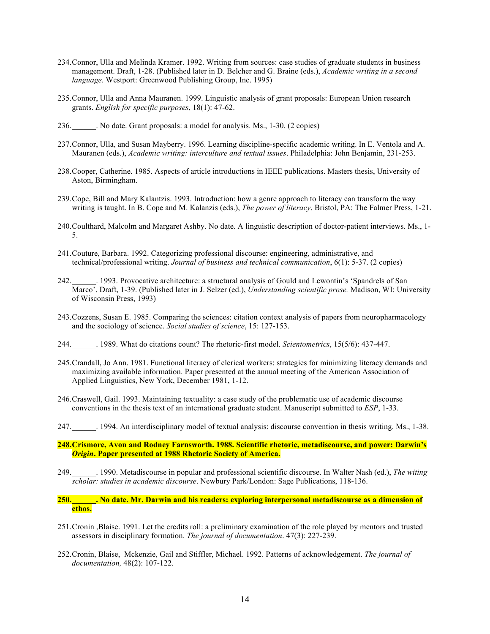- 234.Connor, Ulla and Melinda Kramer. 1992. Writing from sources: case studies of graduate students in business management. Draft, 1-28. (Published later in D. Belcher and G. Braine (eds.), *Academic writing in a second language*. Westport: Greenwood Publishing Group, Inc. 1995)
- 235.Connor, Ulla and Anna Mauranen. 1999. Linguistic analysis of grant proposals: European Union research grants. *English for specific purposes*, 18(1): 47-62.
- 236.\_\_\_\_\_\_. No date. Grant proposals: a model for analysis. Ms., 1-30. (2 copies)
- 237.Connor, Ulla, and Susan Mayberry. 1996. Learning discipline-specific academic writing. In E. Ventola and A. Mauranen (eds.), *Academic writing: interculture and textual issues*. Philadelphia: John Benjamin, 231-253.
- 238.Cooper, Catherine. 1985. Aspects of article introductions in IEEE publications. Masters thesis, University of Aston, Birmingham.
- 239.Cope, Bill and Mary Kalantzis. 1993. Introduction: how a genre approach to literacy can transform the way writing is taught. In B. Cope and M. Kalanzis (eds.), *The power of literacy*. Bristol, PA: The Falmer Press, 1-21.
- 240.Coulthard, Malcolm and Margaret Ashby. No date. A linguistic description of doctor-patient interviews. Ms., 1- 5.
- 241.Couture, Barbara. 1992. Categorizing professional discourse: engineering, administrative, and technical/professional writing. *Journal of business and technical communication*, 6(1): 5-37. (2 copies)
- 242.\_\_\_\_\_\_. 1993. Provocative architecture: a structural analysis of Gould and Lewontin's 'Spandrels of San Marco'. Draft, 1-39. (Published later in J. Selzer (ed.), *Understanding scientific prose.* Madison, WI: University of Wisconsin Press, 1993)
- 243.Cozzens, Susan E. 1985. Comparing the sciences: citation context analysis of papers from neuropharmacology and the sociology of science. *Social studies of science*, 15: 127-153.
- 244.\_\_\_\_\_\_. 1989. What do citations count? The rhetoric-first model. *Scientometrics*, 15(5/6): 437-447.
- 245.Crandall, Jo Ann. 1981. Functional literacy of clerical workers: strategies for minimizing literacy demands and maximizing available information. Paper presented at the annual meeting of the American Association of Applied Linguistics, New York, December 1981, 1-12.
- 246.Craswell, Gail. 1993. Maintaining textuality: a case study of the problematic use of academic discourse conventions in the thesis text of an international graduate student. Manuscript submitted to *ESP*, 1-33.
- 247.\_\_\_\_\_\_. 1994. An interdisciplinary model of textual analysis: discourse convention in thesis writing. Ms., 1-38.
- **248.Crismore, Avon and Rodney Farnsworth. 1988. Scientific rhetoric, metadiscourse, and power: Darwin's**  *Origin***. Paper presented at 1988 Rhetoric Society of America.**
- 249.\_\_\_\_\_\_. 1990. Metadiscourse in popular and professional scientific discourse. In Walter Nash (ed.), *The witing scholar: studies in academic discourse*. Newbury Park/London: Sage Publications, 118-136.
- **250.\_\_\_\_\_\_. No date. Mr. Darwin and his readers: exploring interpersonal metadiscourse as a dimension of ethos.**
- 251.Cronin ,Blaise. 1991. Let the credits roll: a preliminary examination of the role played by mentors and trusted assessors in disciplinary formation. *The journal of documentation*. 47(3): 227-239.
- 252.Cronin, Blaise, Mckenzie, Gail and Stiffler, Michael. 1992. Patterns of acknowledgement. *The journal of documentation,* 48(2): 107-122.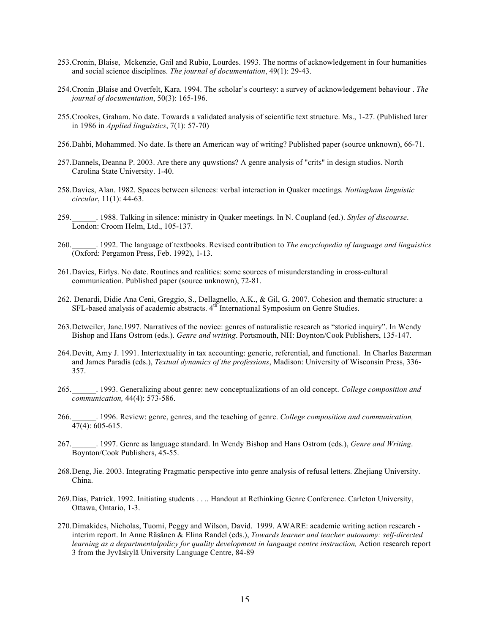- 253.Cronin, Blaise, Mckenzie, Gail and Rubio, Lourdes. 1993. The norms of acknowledgement in four humanities and social science disciplines. *The journal of documentation*, 49(1): 29-43.
- 254.Cronin ,Blaise and Overfelt, Kara. 1994. The scholar's courtesy: a survey of acknowledgement behaviour . *The journal of documentation*, 50(3): 165-196.
- 255.Crookes, Graham. No date. Towards a validated analysis of scientific text structure. Ms., 1-27. (Published later in 1986 in *Applied linguistics*, 7(1): 57-70)
- 256.Dahbi, Mohammed. No date. Is there an American way of writing? Published paper (source unknown), 66-71.
- 257.Dannels, Deanna P. 2003. Are there any quwstions? A genre analysis of "crits" in design studios. North Carolina State University. 1-40.
- 258.Davies, Alan. 1982. Spaces between silences: verbal interaction in Quaker meetings*. Nottingham linguistic circular*, 11(1): 44-63.
- 259.\_\_\_\_\_\_. 1988. Talking in silence: ministry in Quaker meetings. In N. Coupland (ed.). *Styles of discourse*. London: Croom Helm, Ltd., 105-137.
- 260.\_\_\_\_\_\_. 1992. The language of textbooks. Revised contribution to *The encyclopedia of language and linguistics* (Oxford: Pergamon Press, Feb. 1992), 1-13.
- 261.Davies, Eirlys. No date. Routines and realities: some sources of misunderstanding in cross-cultural communication. Published paper (source unknown), 72-81.
- 262. Denardi, Didie Ana Ceni, Greggio, S., Dellagnello, A.K., & Gil, G. 2007. Cohesion and thematic structure: a SFL-based analysis of academic abstracts. 4<sup>th</sup> International Symposium on Genre Studies.
- 263.Detweiler, Jane.1997. Narratives of the novice: genres of naturalistic research as "storied inquiry". In Wendy Bishop and Hans Ostrom (eds.). *Genre and writing*. Portsmouth, NH: Boynton/Cook Publishers, 135-147.
- 264.Devitt, Amy J. 1991. Intertextuality in tax accounting: generic, referential, and functional. In Charles Bazerman and James Paradis (eds.), *Textual dynamics of the professions*, Madison: University of Wisconsin Press, 336- 357.
- 265.\_\_\_\_\_\_. 1993. Generalizing about genre: new conceptualizations of an old concept. *College composition and communication,* 44(4): 573-586.
- 266.\_\_\_\_\_\_. 1996. Review: genre, genres, and the teaching of genre. *College composition and communication,*  $47(4): 605-615.$
- 267.\_\_\_\_\_\_. 1997. Genre as language standard. In Wendy Bishop and Hans Ostrom (eds.), *Genre and Writing*. Boynton/Cook Publishers, 45-55.
- 268.Deng, Jie. 2003. Integrating Pragmatic perspective into genre analysis of refusal letters. Zhejiang University. China.
- 269.Dias, Patrick. 1992. Initiating students . . .. Handout at Rethinking Genre Conference. Carleton University, Ottawa, Ontario, 1-3.
- 270.Dimakides, Nicholas, Tuomi, Peggy and Wilson, David. 1999. AWARE: academic writing action research interim report. In Anne Räsänen & Elina Randel (eds.), *Towards learner and teacher autonomy: self-directed*  learning as a departmentalpolicy for quality development in language centre instruction, Action research report 3 from the Jyväskylä University Language Centre, 84-89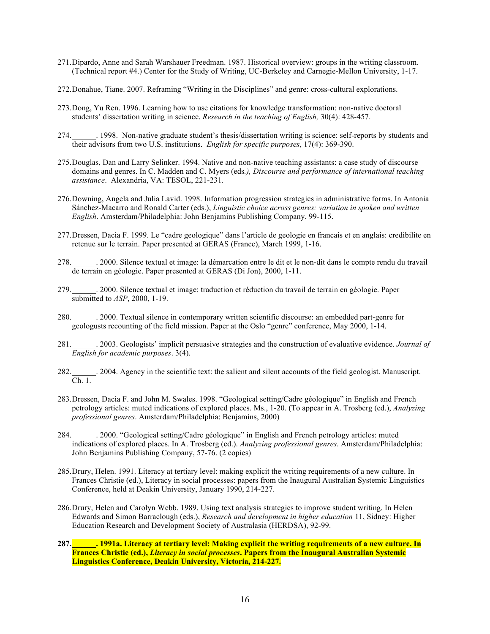- 271.Dipardo, Anne and Sarah Warshauer Freedman. 1987. Historical overview: groups in the writing classroom. (Technical report #4.) Center for the Study of Writing, UC-Berkeley and Carnegie-Mellon University, 1-17.
- 272.Donahue, Tiane. 2007. Reframing "Writing in the Disciplines" and genre: cross-cultural explorations.
- 273.Dong, Yu Ren. 1996. Learning how to use citations for knowledge transformation: non-native doctoral students' dissertation writing in science. *Research in the teaching of English,* 30(4): 428-457.
- 274.\_\_\_\_\_\_. 1998. Non-native graduate student's thesis/dissertation writing is science: self-reports by students and their advisors from two U.S. institutions. *English for specific purposes*, 17(4): 369-390.
- 275.Douglas, Dan and Larry Selinker. 1994. Native and non-native teaching assistants: a case study of discourse domains and genres. In C. Madden and C. Myers (eds*.), Discourse and performance of international teaching assistance*. Alexandria, VA: TESOL, 221-231.
- 276.Downing, Angela and Julia Lavid. 1998. Information progression strategies in administrative forms. In Antonia Sánchez-Macarro and Ronald Carter (eds.), *Linguistic choice across genres: variation in spoken and written English*. Amsterdam/Philadelphia: John Benjamins Publishing Company, 99-115.
- 277.Dressen, Dacia F. 1999. Le "cadre geologique" dans l'article de geologie en francais et en anglais: credibilite en retenue sur le terrain. Paper presented at GERAS (France), March 1999, 1-16.
- 278.\_\_\_\_\_\_. 2000. Silence textual et image: la démarcation entre le dit et le non-dit dans le compte rendu du travail de terrain en géologie. Paper presented at GERAS (Di Jon), 2000, 1-11.
- 279.\_\_\_\_\_\_. 2000. Silence textual et image: traduction et réduction du travail de terrain en géologie. Paper submitted to *ASP*, 2000, 1-19.
- 280.\_\_\_\_\_\_. 2000. Textual silence in contemporary written scientific discourse: an embedded part-genre for geologusts recounting of the field mission. Paper at the Oslo "genre" conference, May 2000, 1-14.
- 281.\_\_\_\_\_\_. 2003. Geologists' implicit persuasive strategies and the construction of evaluative evidence. *Journal of English for academic purposes*. 3(4).
- 282.\_\_\_\_\_\_. 2004. Agency in the scientific text: the salient and silent accounts of the field geologist. Manuscript. Ch. 1.
- 283.Dressen, Dacia F. and John M. Swales. 1998. "Geological setting/Cadre géologique" in English and French petrology articles: muted indications of explored places. Ms., 1-20. (To appear in A. Trosberg (ed.), *Analyzing professional genres*. Amsterdam/Philadelphia: Benjamins, 2000)
- 284.\_\_\_\_\_\_. 2000. "Geological setting/Cadre géologique" in English and French petrology articles: muted indications of explored places. In A. Trosberg (ed.). *Analyzing professional genres*. Amsterdam/Philadelphia: John Benjamins Publishing Company, 57-76. (2 copies)
- 285.Drury, Helen. 1991. Literacy at tertiary level: making explicit the writing requirements of a new culture. In Frances Christie (ed.), Literacy in social processes: papers from the Inaugural Australian Systemic Linguistics Conference, held at Deakin University, January 1990, 214-227.
- 286.Drury, Helen and Carolyn Webb. 1989. Using text analysis strategies to improve student writing. In Helen Edwards and Simon Barraclough (eds.), *Research and development in higher education* 11, Sidney: Higher Education Research and Development Society of Australasia (HERDSA), 92-99.
- **287.\_\_\_\_\_\_. 1991a. Literacy at tertiary level: Making explicit the writing requirements of a new culture. In Frances Christie (ed.),** *Literacy in social processes***. Papers from the Inaugural Australian Systemic Linguistics Conference, Deakin University, Victoria, 214-227.**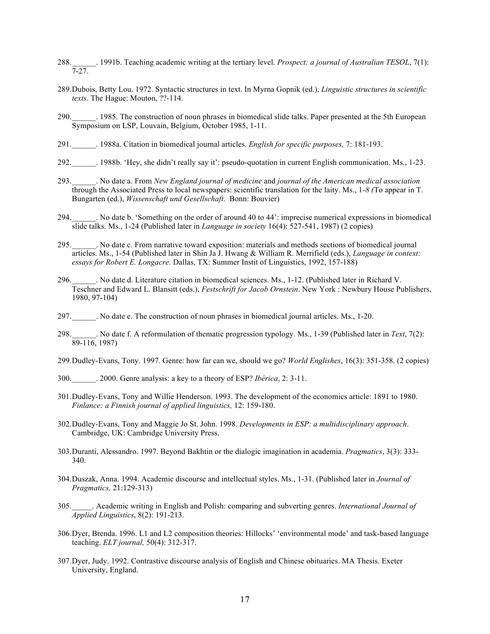- 288.\_\_\_\_\_\_. 1991b. Teaching academic writing at the tertiary level. *Prospect: a journal of Australian TESOL*, 7(1): 7-27.
- 289.Dubois, Betty Lou. 1972. Syntactic structures in text. In Myrna Gopnik (ed.), *Linguistic structures in scientific texts*. The Hague: Mouton, ??-114.
- 290.\_\_\_\_\_\_. 1985. The construction of noun phrases in biomedical slide talks. Paper presented at the 5th European Symposium on LSP, Louvain, Belgium, October 1985, 1-11.
- 291.\_\_\_\_\_\_. 1988a. Citation in biomedical journal articles. *English for specific purposes,* 7: 181-193.
- 292.\_\_\_\_\_\_. 1988b. 'Hey, she didn't really say it': pseudo-quotation in current English communication. Ms., 1-23.
- 293.\_\_\_\_\_\_. No date a. From *New England journal of medicine* and *journal of the American medical association* through the Associated Press to local newspapers: scientific translation for the laity. Ms., 1-*8 (*To appear in T. Bungarten (ed.), *Wissenschaft und Gesellschaft*. Bonn: Bouvier)
- 294.\_\_\_\_\_\_. No date b. 'Something on the order of around 40 to 44': imprecise numerical expressions in biomedical slide talks. Ms., 1-24 (Published later in *Language in society* 16(4): 527-541, 1987) (2 copies)
- 295.\_\_\_\_\_\_. No date c. From narrative toward exposition: materials and methods sections of biomedical journal articles. Ms., 1-54 (Published later in Shin Ja J. Hwang & William R. Merrifield (eds.), *Language in context: essays for Robert E. Longacre.* Dallas, TX: Summer Instit of Linguistics, 1992, 157-188)
- 296.\_\_\_\_\_\_. No date d. Literature citation in biomedical sciences. Ms., 1-12. (Published later in Richard V. Teschner and Edward L. Blansitt (eds.), *Festschrift for Jacob Ornstein*. New York : Newbury House Publishers, 1980, 97-104)
- 297.\_\_\_\_\_\_. No date e. The construction of noun phrases in biomedical journal articles. Ms., 1-20.
- 298.\_\_\_\_\_\_. No date f. A reformulation of thematic progression typology. Ms., 1-39 (Published later in *Text*, 7(2):  $89-116, 1987$
- 299.Dudley-Evans, Tony. 1997. Genre: how far can we, should we go? *World Englishes*, 16(3): 351-358. (2 copies)
- 300.\_\_\_\_\_\_. 2000. Genre analysis: a key to a theory of ESP? *Ibérica*, 2: 3-11.
- 301.Dudley-Evans, Tony and Willie Henderson. 1993. The development of the economics article: 1891 to 1980. *Finlance: a Finnish journal of applied linguistics,* 12: 159-180.
- 302.Dudley-Evans, Tony and Maggie Jo St. John. 1998. *Developments in ESP: a multidisciplinary approach*. Cambridge, UK: Cambridge University Press.
- 303.Duranti, Alessandro. 1997. Beyond Bakhtin or the dialogic imagination in academia. *Pragmatics*, 3(3): 333- 340.
- 304.Duszak, Anna. 1994. Academic discourse and intellectual styles. Ms., 1-31. (Published later in *Journal of Pragmatics,* 21:129-313)
- 305.\_\_\_\_\_. Academic writing in English and Polish: comparing and subverting genres. *International Journal of Applied Linguistics*, 8(2): 191-213.
- 306.Dyer, Brenda. 1996. L1 and L2 composition theories: Hillocks' 'environmental mode' and task-based language teaching. *ELT journal,* 50(4): 312-317.
- 307.Dyer, Judy. 1992. Contrastive discourse analysis of English and Chinese obituaries. MA Thesis. Exeter University, England.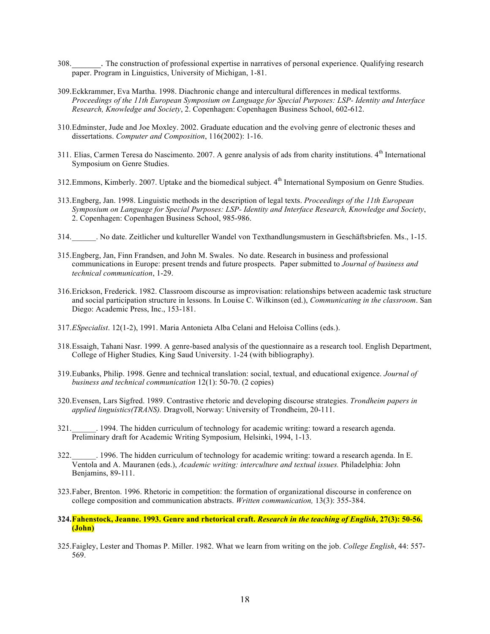- 308. The construction of professional expertise in narratives of personal experience. Qualifying research paper. Program in Linguistics, University of Michigan, 1-81.
- 309.Eckkrammer, Eva Martha. 1998. Diachronic change and intercultural differences in medical textforms*. Proceedings of the 11th European Symposium on Language for Special Purposes: LSP- Identity and Interface Research, Knowledge and Society*, 2. Copenhagen: Copenhagen Business School, 602-612.
- 310.Edminster, Jude and Joe Moxley. 2002. Graduate education and the evolving genre of electronic theses and dissertations. *Computer and Composition*, 116(2002): 1-16.
- 311. Elias, Carmen Teresa do Nascimento. 2007. A genre analysis of ads from charity institutions. 4<sup>th</sup> International Symposium on Genre Studies.
- 312. Emmons, Kimberly. 2007. Uptake and the biomedical subject. 4<sup>th</sup> International Symposium on Genre Studies.
- 313.Engberg, Jan. 1998. Linguistic methods in the description of legal texts. *Proceedings of the 11th European Symposium on Language for Special Purposes: LSP- Identity and Interface Research, Knowledge and Society*, 2. Copenhagen: Copenhagen Business School, 985-986.
- 314.\_\_\_\_\_\_. No date. Zeitlicher und kultureller Wandel von Texthandlungsmustern in Geschäftsbriefen. Ms., 1-15.
- 315.Engberg, Jan, Finn Frandsen, and John M. Swales. No date. Research in business and professional communications in Europe: present trends and future prospects. Paper submitted to *Journal of business and technical communication*, 1-29.
- 316.Erickson, Frederick. 1982. Classroom discourse as improvisation: relationships between academic task structure and social participation structure in lessons. In Louise C. Wilkinson (ed.), *Communicating in the classroom*. San Diego: Academic Press, Inc., 153-181.
- 317.*ESpecialist*. 12(1-2), 1991. Maria Antonieta Alba Celani and Heloisa Collins (eds.).
- 318.Essaigh, Tahani Nasr. 1999. A genre-based analysis of the questionnaire as a research tool. English Department, College of Higher Studies*,* King Saud University. 1-24 (with bibliography).
- 319.Eubanks, Philip. 1998. Genre and technical translation: social, textual, and educational exigence. *Journal of business and technical communication* 12(1): 50-70. (2 copies)
- 320.Evensen, Lars Sigfred. 1989. Contrastive rhetoric and developing discourse strategies. *Trondheim papers in applied linguistics(TRANS).* Dragvoll, Norway: University of Trondheim, 20-111.
- 321.\_\_\_\_\_\_. 1994. The hidden curriculum of technology for academic writing: toward a research agenda. Preliminary draft for Academic Writing Symposium*,* Helsinki, 1994, 1-13.
- 322.\_\_\_\_\_\_. 1996. The hidden curriculum of technology for academic writing: toward a research agenda. In E. Ventola and A. Mauranen (eds.), *Academic writing: interculture and textual issues.* Philadelphia: John Benjamins, 89-111.
- 323.Faber, Brenton. 1996. Rhetoric in competition: the formation of organizational discourse in conference on college composition and communication abstracts. *Written communication,* 13(3): 355-384.
- **324.Fahenstock, Jeanne. 1993. Genre and rhetorical craft.** *Research in the teaching of English***, 27(3): 50-56. (John)**
- 325.Faigley, Lester and Thomas P. Miller. 1982. What we learn from writing on the job. *College English*, 44: 557- 569.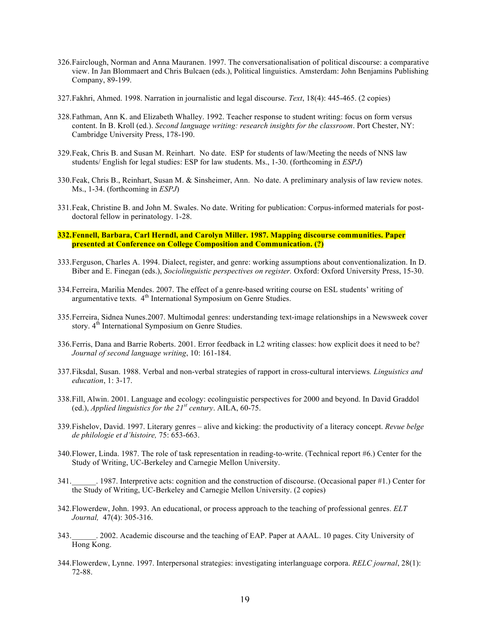- 326.Fairclough, Norman and Anna Mauranen. 1997. The conversationalisation of political discourse: a comparative view. In Jan Blommaert and Chris Bulcaen (eds.), Political linguistics. Amsterdam: John Benjamins Publishing Company, 89-199.
- 327.Fakhri, Ahmed. 1998. Narration in journalistic and legal discourse. *Text*, 18(4): 445-465. (2 copies)
- 328.Fathman, Ann K. and Elizabeth Whalley. 1992. Teacher response to student writing: focus on form versus content. In B. Kroll (ed.). *Second language writing: research insights for the classroom*. Port Chester, NY: Cambridge University Press, 178-190.
- 329.Feak, Chris B. and Susan M. Reinhart. No date. ESP for students of law/Meeting the needs of NNS law students/ English for legal studies: ESP for law students. Ms., 1-30. (forthcoming in *ESPJ*)
- 330.Feak, Chris B., Reinhart, Susan M. & Sinsheimer, Ann. No date. A preliminary analysis of law review notes. Ms., 1-34. (forthcoming in *ESPJ*)
- 331.Feak, Christine B. and John M. Swales. No date. Writing for publication: Corpus-informed materials for postdoctoral fellow in perinatology. 1-28.
- **332.Fennell, Barbara, Carl Herndl, and Carolyn Miller. 1987. Mapping discourse communities. Paper presented at Conference on College Composition and Communication. (?)**
- 333.Ferguson, Charles A. 1994. Dialect, register, and genre: working assumptions about conventionalization. In D. Biber and E. Finegan (eds.), *Sociolinguistic perspectives on register.* Oxford: Oxford University Press, 15-30.
- 334.Ferreira, Marilia Mendes. 2007. The effect of a genre-based writing course on ESL students' writing of argumentative texts. 4<sup>th</sup> International Symposium on Genre Studies.
- 335.Ferreira, Sidnea Nunes.2007. Multimodal genres: understanding text-image relationships in a Newsweek cover story. 4<sup>th</sup> International Symposium on Genre Studies.
- 336.Ferris, Dana and Barrie Roberts. 2001. Error feedback in L2 writing classes: how explicit does it need to be? *Journal of second language writing*, 10: 161-184.
- 337.Fiksdal, Susan. 1988. Verbal and non-verbal strategies of rapport in cross-cultural interviews*. Linguistics and education*, 1: 3-17.
- 338.Fill, Alwin. 2001. Language and ecology: ecolinguistic perspectives for 2000 and beyond. In David Graddol (ed.), *Applied linguistics for the*  $21^{st}$  *century*. AILA, 60-75.
- 339.Fishelov, David. 1997. Literary genres alive and kicking: the productivity of a literacy concept. *Revue belge de philologie et d'histoire,* 75: 653-663.
- 340.Flower, Linda. 1987. The role of task representation in reading-to-write. (Technical report #6.) Center for the Study of Writing, UC-Berkeley and Carnegie Mellon University.
- 341.\_\_\_\_\_\_. 1987. Interpretive acts: cognition and the construction of discourse. (Occasional paper #1.) Center for the Study of Writing, UC-Berkeley and Carnegie Mellon University. (2 copies)
- 342.Flowerdew, John. 1993. An educational, or process approach to the teaching of professional genres. *ELT Journal,* 47(4): 305-316.
- 343.\_\_\_\_\_\_. 2002. Academic discourse and the teaching of EAP. Paper at AAAL. 10 pages. City University of Hong Kong.
- 344.Flowerdew, Lynne. 1997. Interpersonal strategies: investigating interlanguage corpora. *RELC journal*, 28(1): 72-88.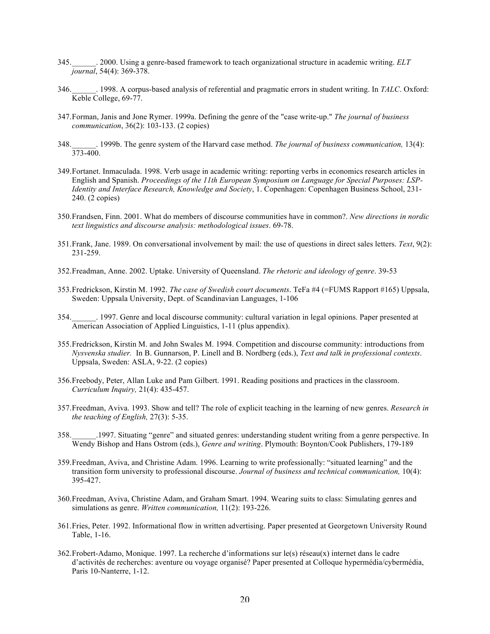- 345.\_\_\_\_\_\_. 2000. Using a genre-based framework to teach organizational structure in academic writing. *ELT journal*, 54(4): 369-378.
- 346.\_\_\_\_\_\_. 1998. A corpus-based analysis of referential and pragmatic errors in student writing. In *TALC*. Oxford: Keble College, 69-77.
- 347.Forman, Janis and Jone Rymer. 1999a. Defining the genre of the "case write-up." *The journal of business communication*, 36(2): 103-133. (2 copies)
- 348.\_\_\_\_\_\_. 1999b. The genre system of the Harvard case method. *The journal of business communication,* 13(4):  $373 - 400$ .
- 349.Fortanet. Inmaculada. 1998. Verb usage in academic writing: reporting verbs in economics research articles in English and Spanish. *Proceedings of the 11th European Symposium on Language for Special Purposes: LSP-Identity and Interface Research, Knowledge and Society*, 1. Copenhagen: Copenhagen Business School, 231- 240. (2 copies)
- 350.Frandsen, Finn. 2001. What do members of discourse communities have in common?. *New directions in nordic text linguistics and discourse analysis: methodological issues*. 69-78.
- 351.Frank, Jane. 1989. On conversational involvement by mail: the use of questions in direct sales letters. *Text*, 9(2): 231-259.
- 352.Freadman, Anne. 2002. Uptake. University of Queensland. *The rhetoric and ideology of genre*. 39-53
- 353.Fredrickson, Kirstin M. 1992. *The case of Swedish court documents*. TeFa #4 (=FUMS Rapport #165) Uppsala, Sweden: Uppsala University, Dept. of Scandinavian Languages, 1-106
- 354.\_\_\_\_\_\_. 1997. Genre and local discourse community: cultural variation in legal opinions. Paper presented at American Association of Applied Linguistics, 1-11 (plus appendix).
- 355.Fredrickson, Kirstin M. and John Swales M. 1994. Competition and discourse community: introductions from *Nysvenska studier.* In B. Gunnarson, P. Linell and B. Nordberg (eds.), *Text and talk in professional contexts*. Uppsala, Sweden: ASLA, 9-22. (2 copies)
- 356.Freebody, Peter, Allan Luke and Pam Gilbert. 1991. Reading positions and practices in the classroom. *Curriculum Inquiry,* 21(4): 435-457.
- 357.Freedman, Aviva. 1993. Show and tell? The role of explicit teaching in the learning of new genres. *Research in the teaching of English,* 27(3): 5-35.
- 358.\_\_\_\_\_\_.1997. Situating "genre" and situated genres: understanding student writing from a genre perspective. In Wendy Bishop and Hans Ostrom (eds.), *Genre and writing*. Plymouth: Boynton/Cook Publishers, 179-189
- 359.Freedman, Aviva, and Christine Adam. 1996. Learning to write professionally: "situated learning" and the transition form university to professional discourse. *Journal of business and technical communication,* 10(4): 395-427.
- 360.Freedman, Aviva, Christine Adam, and Graham Smart. 1994. Wearing suits to class: Simulating genres and simulations as genre. *Written communication,* 11(2): 193-226.
- 361.Fries, Peter. 1992. Informational flow in written advertising. Paper presented at Georgetown University Round Table, 1-16.
- 362.Frobert-Adamo, Monique. 1997. La recherche d'informations sur le(s) réseau(x) internet dans le cadre d'activités de recherches: aventure ou voyage organisé? Paper presented at Colloque hypermédia/cybermédia, Paris 10-Nanterre, 1-12.

 $\overline{a}$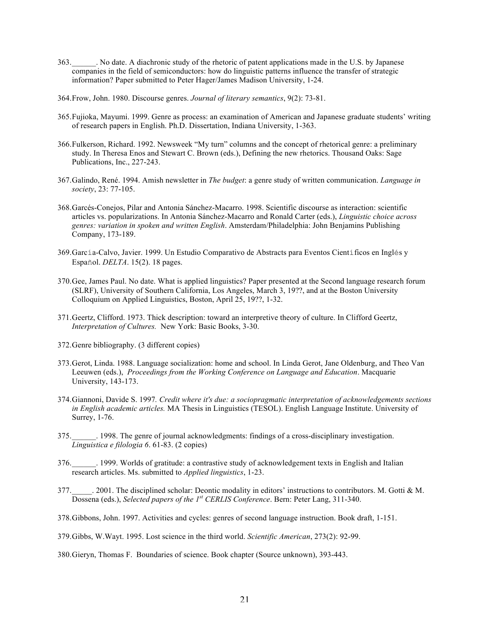- 363.\_\_\_\_\_\_. No date. A diachronic study of the rhetoric of patent applications made in the U.S. by Japanese companies in the field of semiconductors: how do linguistic patterns influence the transfer of strategic information? Paper submitted to Peter Hager/James Madison University, 1-24.
- 364.Frow, John. 1980. Discourse genres. *Journal of literary semantics*, 9(2): 73-81.
- 365.Fujioka, Mayumi. 1999. Genre as process: an examination of American and Japanese graduate students' writing of research papers in English. Ph.D. Dissertation, Indiana University, 1-363.
- 366.Fulkerson, Richard. 1992. Newsweek "My turn" columns and the concept of rhetorical genre: a preliminary study. In Theresa Enos and Stewart C. Brown (eds.), Defining the new rhetorics. Thousand Oaks: Sage Publications, Inc., 227-243.
- 367.Galindo, René. 1994. Amish newsletter in *The budget*: a genre study of written communication. *Language in society*, 23: 77-105.
- 368.Garcés-Conejos, Pilar and Antonia Sánchez-Macarro. 1998. Scientific discourse as interaction: scientific articles vs. popularizations. In Antonia Sánchez-Macarro and Ronald Carter (eds.), *Linguistic choice across genres: variation in spoken and written English*. Amsterdam/Philadelphia: John Benjamins Publishing Company, 173-189.
- 369.García-Calvo, Javier. 1999. Un Estudio Comparativo de Abstracts para Eventos Científicos en Inglés y Español. *DELTA*. 15(2). 18 pages.
- 370.Gee, James Paul. No date. What is applied linguistics? Paper presented at the Second language research forum (SLRF), University of Southern California, Los Angeles, March 3, 19??, and at the Boston University Colloquium on Applied Linguistics, Boston, April 25, 19??, 1-32.
- 371.Geertz, Clifford. 1973. Thick description: toward an interpretive theory of culture. In Clifford Geertz, *Interpretation of Cultures.* New York: Basic Books, 3-30.
- 372.Genre bibliography. (3 different copies)
- 373.Gerot, Linda. 1988. Language socialization: home and school. In Linda Gerot, Jane Oldenburg, and Theo Van Leeuwen (eds.), *Proceedings from the Working Conference on Language and Education*. Macquarie University, 143-173.
- 374.Giannoni, Davide S. 1997*. Credit where it's due: a sociopragmatic interpretation of acknowledgements sections in English academic articles.* MA Thesis in Linguistics (TESOL). English Language Institute. University of Surrey, 1-76.
- 375.\_\_\_\_\_\_. 1998. The genre of journal acknowledgments: findings of a cross-disciplinary investigation. *Linguistica e filologia 6*. 61-83. (2 copies)
- 376.\_\_\_\_\_\_. 1999. Worlds of gratitude: a contrastive study of acknowledgement texts in English and Italian research articles. Ms. submitted to *Applied linguistics*, 1-23.
- 377.\_\_\_\_\_. 2001. The disciplined scholar: Deontic modality in editors' instructions to contributors. M. Gotti & M. Dossena (eds.), *Selected papers of the 1st CERLIS Conference*. Bern: Peter Lang, 311-340.
- 378.Gibbons, John. 1997. Activities and cycles: genres of second language instruction. Book draft, 1-151.
- 379.Gibbs, W.Wayt. 1995. Lost science in the third world. *Scientific American*, 273(2): 92-99.
- 380.Gieryn, Thomas F. Boundaries of science. Book chapter (Source unknown), 393-443.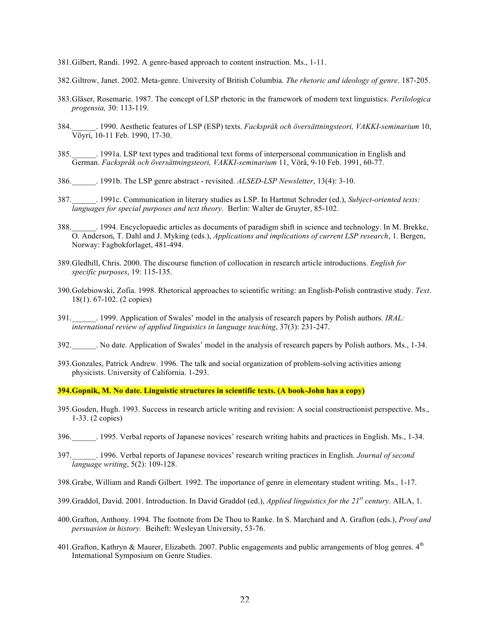- 381.Gilbert, Randi. 1992. A genre-based approach to content instruction. Ms., 1-11.
- 382.Giltrow, Janet. 2002. Meta-genre. University of British Columbia. *The rhetoric and ideology of genre*. 187-205.
- 383.Gläser, Rosemarie. 1987. The concept of LSP rhetoric in the framework of modern text linguistics. *Perilologica progensia,* 30: 113-119.
- 384.\_\_\_\_\_\_. 1990. Aesthetic features of LSP (ESP) texts. *Fackspråk och översättningsteori, VAKKI-seminarium* 10, Vöyri, 10-11 Feb. 1990, 17-30.
- 385.\_\_\_\_\_\_. 1991a. LSP text types and traditional text forms of interpersonal communication in English and German. *Fackspråk och översättningsteori, VAKKI-seminarium* 11, Vörå, 9-10 Feb. 1991, 60-77.
- 386.\_\_\_\_\_\_. 1991b. The LSP genre abstract revisited. *ALSED-LSP Newsletter*, 13(4): 3-10.
- 387.\_\_\_\_\_\_. 1991c. Communication in literary studies as LSP. In Hartmut Schroder (ed.), *Subject-oriented texts: languages for special purposes and text theory.* Berlin: Walter de Gruyter, 85-102.
- 388.\_\_\_\_\_\_. 1994. Encyclopaedic articles as documents of paradigm shift in science and technology. In M. Brekke, O. Anderson, T. Dahl and J. Myking (eds.), *Applications and implications of current LSP research*, 1. Bergen, Norway: Fagbokforlaget, 481-494.
- 389.Gledhill, Chris. 2000. The discourse function of collocation in research article introductions. *English for specific purposes*, 19: 115-135.
- 390.Golebiowski, Zofia. 1998. Rhetorical approaches to scientific writing: an English-Polish contrastive study. *Text*. 18(1). 67-102. (2 copies)
- 391.\_\_\_\_\_\_. 1999. Application of Swales' model in the analysis of research papers by Polish authors*. IRAL: international review of applied linguistics in language teaching*, 37(3): 231-247.
- 392.\_\_\_\_\_\_. No date. Application of Swales' model in the analysis of research papers by Polish authors. Ms., 1-34.
- 393.Gonzales, Patrick Andrew. 1996. The talk and social organization of problem-solving activities among physicists. University of California. 1-293.

**394.Gopnik, M. No date. Linguistic structures in scientific texts. (A book-John has a copy)**

- 395.Gosden, Hugh. 1993. Success in research article writing and revision: A social constructionist perspective. Ms., 1-33. (2 copies)
- 396.\_\_\_\_\_\_. 1995. Verbal reports of Japanese novices' research writing habits and practices in English. Ms., 1-34.
- 397.\_\_\_\_\_\_. 1996. Verbal reports of Japanese novices' research writing practices in English. *Journal of second language writing*, 5(2): 109-128.
- 398.Grabe, William and Randi Gilbert. 1992. The importance of genre in elementary student writing. Ms., 1-17.
- 399.Graddol, David. 2001. Introduction. In David Graddol (ed.), *Applied linguistics for the 21st century*. AILA, 1.
- 400.Grafton, Anthony. 1994. The footnote from De Thou to Ranke. In S. Marchard and A. Grafton (eds.), *Proof and persuasion in history.* Beiheft: Wesleyan University, 53-76.
- 401. Grafton, Kathryn & Maurer, Elizabeth. 2007. Public engagements and public arrangements of blog genres.  $4<sup>th</sup>$ International Symposium on Genre Studies.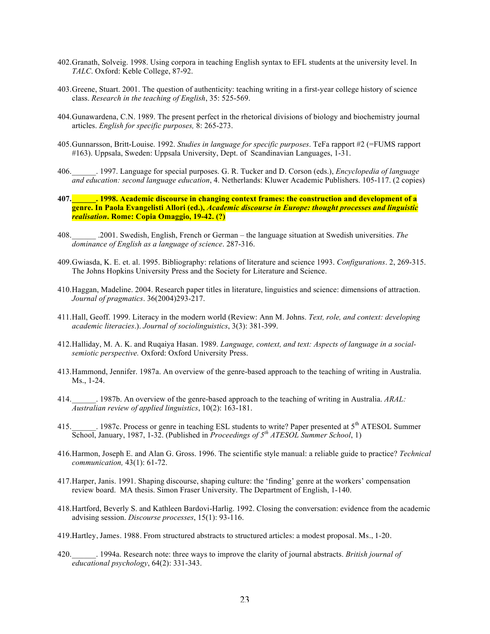- 402.Granath, Solveig. 1998. Using corpora in teaching English syntax to EFL students at the university level. In *TALC*. Oxford: Keble College, 87-92.
- 403.Greene, Stuart. 2001. The question of authenticity: teaching writing in a first-year college history of science class. *Research in the teaching of English*, 35: 525-569.
- 404.Gunawardena, C.N. 1989. The present perfect in the rhetorical divisions of biology and biochemistry journal articles. *English for specific purposes,* 8: 265-273.
- 405.Gunnarsson, Britt-Louise. 1992. *Studies in language for specific purposes*. TeFa rapport #2 (=FUMS rapport #163). Uppsala, Sweden: Uppsala University, Dept. of Scandinavian Languages, 1-31.
- 406.\_\_\_\_\_\_. 1997. Language for special purposes. G. R. Tucker and D. Corson (eds.), *Encyclopedia of language and education: second language education*, 4. Netherlands: Kluwer Academic Publishers. 105-117. (2 copies)
- **407.\_\_\_\_\_\_. 1998. Academic discourse in changing context frames: the construction and development of a genre. In Paola Evangelisti Allori (ed.),** *Academic discourse in Europe: thought processes and linguistic realisation***. Rome: Copia Omaggio, 19-42. (?)**
- 408.\_\_\_\_\_\_ .2001. Swedish, English, French or German the language situation at Swedish universities. *The dominance of English as a language of science*. 287-316.
- 409.Gwiasda, K. E. et. al. 1995. Bibliography: relations of literature and science 1993. *Configurations*. 2, 269-315. The Johns Hopkins University Press and the Society for Literature and Science.
- 410.Haggan, Madeline. 2004. Research paper titles in literature, linguistics and science: dimensions of attraction. *Journal of pragmatics*. 36(2004)293-217.
- 411.Hall, Geoff. 1999. Literacy in the modern world (Review: Ann M. Johns. *Text, role, and context: developing academic literacies*.). *Journal of sociolinguistics*, 3(3): 381-399.
- 412.Halliday, M. A. K. and Ruqaiya Hasan. 1989. *Language, context, and text: Aspects of language in a socialsemiotic perspective.* Oxford: Oxford University Press.
- 413.Hammond, Jennifer. 1987a. An overview of the genre-based approach to the teaching of writing in Australia. Ms., 1-24.
- 414.\_\_\_\_\_\_. 1987b. An overview of the genre-based approach to the teaching of writing in Australia. *ARAL: Australian review of applied linguistics*, 10(2): 163-181.
- 415. 1987c. Process or genre in teaching ESL students to write? Paper presented at 5<sup>th</sup> ATESOL Summer School, January, 1987, 1-32. (Published in *Proceedings of 5th ATESOL Summer School*, 1)
- 416.Harmon, Joseph E. and Alan G. Gross. 1996. The scientific style manual: a reliable guide to practice? *Technical communication,* 43(1): 61-72.
- 417.Harper, Janis. 1991. Shaping discourse, shaping culture: the 'finding' genre at the workers' compensation review board. MA thesis. Simon Fraser University. The Department of English, 1-140.
- 418.Hartford, Beverly S. and Kathleen Bardovi-Harlig. 1992. Closing the conversation: evidence from the academic advising session. *Discourse processes*, 15(1): 93-116.
- 419.Hartley, James. 1988. From structured abstracts to structured articles: a modest proposal. Ms., 1-20.
- 420.\_\_\_\_\_\_. 1994a. Research note: three ways to improve the clarity of journal abstracts. *British journal of educational psychology*, 64(2): 331-343.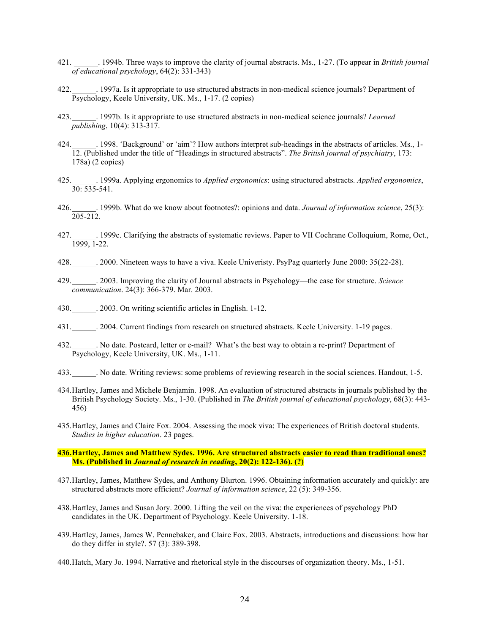- 421. \_\_\_\_\_\_. 1994b. Three ways to improve the clarity of journal abstracts. Ms., 1-27. (To appear in *British journal of educational psychology*, 64(2): 331-343)
- 422.\_\_\_\_\_\_. 1997a. Is it appropriate to use structured abstracts in non-medical science journals? Department of Psychology, Keele University, UK. Ms., 1-17. (2 copies)
- 423.\_\_\_\_\_\_. 1997b. Is it appropriate to use structured abstracts in non-medical science journals? *Learned publishing*, 10(4): 313-317.
- 424.  $\blacksquare$  . 1998. 'Background' or 'aim'? How authors interpret sub-headings in the abstracts of articles. Ms., 1-12. (Published under the title of "Headings in structured abstracts". *The British journal of psychiatry*, 173: 178a) (2 copies)
- 425.\_\_\_\_\_\_. 1999a. Applying ergonomics to *Applied ergonomics*: using structured abstracts. *Applied ergonomics*,  $30.535 - 541$
- 426.\_\_\_\_\_\_. 1999b. What do we know about footnotes?: opinions and data. *Journal of information science*, 25(3): 205-212.
- 427.\_\_\_\_\_\_. 1999c. Clarifying the abstracts of systematic reviews. Paper to VII Cochrane Colloquium, Rome, Oct., 1999, 1-22.
- 428.\_\_\_\_\_\_. 2000. Nineteen ways to have a viva. Keele Univeristy. PsyPag quarterly June 2000: 35(22-28).
- 429.\_\_\_\_\_\_. 2003. Improving the clarity of Journal abstracts in Psychology—the case for structure. *Science communication*. 24(3): 366-379. Mar. 2003.
- 430.  $\qquad$  . 2003. On writing scientific articles in English. 1-12.
- 431.\_\_\_\_\_\_. 2004. Current findings from research on structured abstracts. Keele University. 1-19 pages.
- 432.\_\_\_\_\_\_. No date. Postcard, letter or e-mail? What's the best way to obtain a re-print? Department of Psychology, Keele University, UK. Ms., 1-11.
- 433.\_\_\_\_\_\_. No date. Writing reviews: some problems of reviewing research in the social sciences. Handout, 1-5.
- 434.Hartley, James and Michele Benjamin. 1998. An evaluation of structured abstracts in journals published by the British Psychology Society. Ms., 1-30. (Published in *The British journal of educational psychology*, 68(3): 443- 456)
- 435.Hartley, James and Claire Fox. 2004. Assessing the mock viva: The experiences of British doctoral students. *Studies in higher education*. 23 pages.
- **436.Hartley, James and Matthew Sydes. 1996. Are structured abstracts easier to read than traditional ones? Ms. (Published in** *Journal of research in reading***, 20(2): 122-136). (?)**
- 437.Hartley, James, Matthew Sydes, and Anthony Blurton. 1996. Obtaining information accurately and quickly: are structured abstracts more efficient? *Journal of information science*, 22 (5): 349-356.
- 438.Hartley, James and Susan Jory. 2000. Lifting the veil on the viva: the experiences of psychology PhD candidates in the UK. Department of Psychology. Keele University. 1-18.
- 439.Hartley, James, James W. Pennebaker, and Claire Fox. 2003. Abstracts, introductions and discussions: how har do they differ in style?. 57 (3): 389-398.
- 440.Hatch, Mary Jo. 1994. Narrative and rhetorical style in the discourses of organization theory. Ms., 1-51.

 $\overline{\phantom{a}}$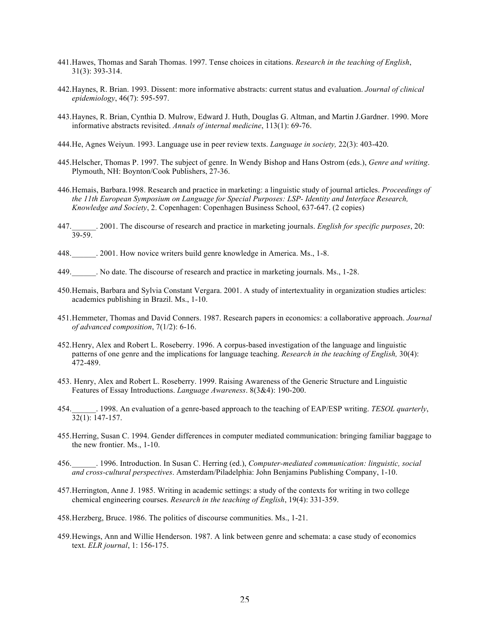- 441.Hawes, Thomas and Sarah Thomas. 1997. Tense choices in citations. *Research in the teaching of English*, 31(3): 393-314.
- 442.Haynes, R. Brian. 1993. Dissent: more informative abstracts: current status and evaluation. *Journal of clinical epidemiology*, 46(7): 595-597.
- 443.Haynes, R. Brian, Cynthia D. Mulrow, Edward J. Huth, Douglas G. Altman, and Martin J.Gardner. 1990. More informative abstracts revisited. *Annals of internal medicine*, 113(1): 69-76.
- 444.He, Agnes Weiyun. 1993. Language use in peer review texts. *Language in society,* 22(3): 403-420.
- 445.Helscher, Thomas P. 1997. The subject of genre. In Wendy Bishop and Hans Ostrom (eds.), *Genre and writing*. Plymouth, NH: Boynton/Cook Publishers, 27-36.
- 446.Hemais, Barbara.1998. Research and practice in marketing: a linguistic study of journal articles. *Proceedings of the 11th European Symposium on Language for Special Purposes: LSP- Identity and Interface Research, Knowledge and Society*, 2. Copenhagen: Copenhagen Business School, 637-647. (2 copies)
- 447.\_\_\_\_\_\_. 2001. The discourse of research and practice in marketing journals. *English for specific purposes*, 20: 39-59.
- 448.\_\_\_\_\_\_. 2001. How novice writers build genre knowledge in America. Ms., 1-8.
- 449.\_\_\_\_\_\_. No date. The discourse of research and practice in marketing journals. Ms., 1-28.
- 450.Hemais, Barbara and Sylvia Constant Vergara. 2001. A study of intertextuality in organization studies articles: academics publishing in Brazil. Ms., 1-10.
- 451.Hemmeter, Thomas and David Conners. 1987. Research papers in economics: a collaborative approach. *Journal of advanced composition*, 7(1/2): 6-16.
- 452.Henry, Alex and Robert L. Roseberry. 1996. A corpus-based investigation of the language and linguistic patterns of one genre and the implications for language teaching. *Research in the teaching of English,* 30(4): 472-489.
- 453. Henry, Alex and Robert L. Roseberry. 1999. Raising Awareness of the Generic Structure and Linguistic Features of Essay Introductions. *Language Awareness*. 8(3&4): 190-200.
- 454.\_\_\_\_\_\_. 1998. An evaluation of a genre-based approach to the teaching of EAP/ESP writing. *TESOL quarterly*, 32(1): 147-157.
- 455.Herring, Susan C. 1994. Gender differences in computer mediated communication: bringing familiar baggage to the new frontier. Ms., 1-10.
- 456.\_\_\_\_\_\_. 1996. Introduction. In Susan C. Herring (ed.), *Computer-mediated communication: linguistic, social and cross-cultural perspectives*. Amsterdam/Piladelphia: John Benjamins Publishing Company, 1-10.
- 457.Herrington, Anne J. 1985. Writing in academic settings: a study of the contexts for writing in two college chemical engineering courses. *Research in the teaching of English*, 19(4): 331-359.
- 458.Herzberg, Bruce. 1986. The politics of discourse communities. Ms., 1-21.
- 459.Hewings, Ann and Willie Henderson. 1987. A link between genre and schemata: a case study of economics text. *ELR journal*, 1: 156-175.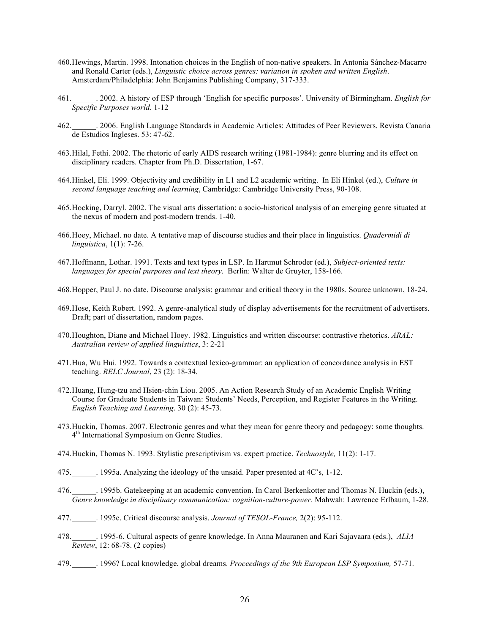- 460.Hewings, Martin. 1998. Intonation choices in the English of non-native speakers. In Antonia Sánchez-Macarro and Ronald Carter (eds.), *Linguistic choice across genres: variation in spoken and written English*. Amsterdam/Philadelphia: John Benjamins Publishing Company, 317-333.
- 461.\_\_\_\_\_\_. 2002. A history of ESP through 'English for specific purposes'. University of Birmingham. *English for Specific Purposes world*. 1-12
- 462.\_\_\_\_\_\_. 2006. English Language Standards in Academic Articles: Attitudes of Peer Reviewers. Revista Canaria de Estudios Ingleses. 53: 47-62.
- 463.Hilal, Fethi. 2002. The rhetoric of early AIDS research writing (1981-1984): genre blurring and its effect on disciplinary readers. Chapter from Ph.D. Dissertation, 1-67.
- 464.Hinkel, Eli. 1999. Objectivity and credibility in L1 and L2 academic writing. In Eli Hinkel (ed.), *Culture in second language teaching and learning*, Cambridge: Cambridge University Press, 90-108.
- 465.Hocking, Darryl. 2002. The visual arts dissertation: a socio-historical analysis of an emerging genre situated at the nexus of modern and post-modern trends. 1-40.
- 466.Hoey, Michael. no date. A tentative map of discourse studies and their place in linguistics. *Quadermidi di linguistica*, 1(1): 7-26.
- 467.Hoffmann, Lothar. 1991. Texts and text types in LSP. In Hartmut Schroder (ed.), *Subject-oriented texts: languages for special purposes and text theory.* Berlin: Walter de Gruyter, 158-166.
- 468.Hopper, Paul J. no date. Discourse analysis: grammar and critical theory in the 1980s. Source unknown, 18-24.
- 469.Hose, Keith Robert. 1992. A genre-analytical study of display advertisements for the recruitment of advertisers. Draft; part of dissertation, random pages.
- 470.Houghton, Diane and Michael Hoey. 1982. Linguistics and written discourse: contrastive rhetorics. *ARAL: Australian review of applied linguistics*, 3: 2-21
- 471.Hua, Wu Hui. 1992. Towards a contextual lexico-grammar: an application of concordance analysis in EST teaching. *RELC Journal*, 23 (2): 18-34.
- 472.Huang, Hung-tzu and Hsien-chin Liou. 2005. An Action Research Study of an Academic English Writing Course for Graduate Students in Taiwan: Students' Needs, Perception, and Register Features in the Writing. *English Teaching and Learning*. 30 (2): 45-73.
- 473.Huckin, Thomas. 2007. Electronic genres and what they mean for genre theory and pedagogy: some thoughts. 4<sup>th</sup> International Symposium on Genre Studies.
- 474.Huckin, Thomas N. 1993. Stylistic prescriptivism vs. expert practice. *Technostyle,* 11(2): 1-17.
- 475.\_\_\_\_\_\_. 1995a. Analyzing the ideology of the unsaid. Paper presented at 4C's, 1-12.
- 476.\_\_\_\_\_\_. 1995b. Gatekeeping at an academic convention. In Carol Berkenkotter and Thomas N. Huckin (eds.), *Genre knowledge in disciplinary communication: cognition-culture-power*. Mahwah: Lawrence Erlbaum, 1-28.
- 477.\_\_\_\_\_\_. 1995c. Critical discourse analysis. *Journal of TESOL-France,* 2(2): 95-112.
- 478.\_\_\_\_\_\_. 1995-6. Cultural aspects of genre knowledge. In Anna Mauranen and Kari Sajavaara (eds.), *ALIA Review*, 12: 68-78. (2 copies)
- 479.\_\_\_\_\_\_. 1996? Local knowledge, global dreams. *Proceedings of the 9th European LSP Symposium,* 57-71.

 $\overline{a}$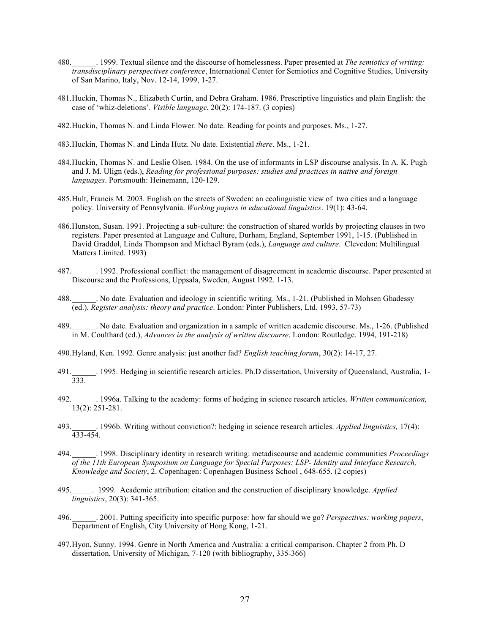- 480.\_\_\_\_\_\_. 1999. Textual silence and the discourse of homelessness. Paper presented at *The semiotics of writing: transdisciplinary perspectives conference*, International Center for Semiotics and Cognitive Studies, University of San Marino, Italy, Nov. 12-14, 1999, 1-27.
- 481.Huckin, Thomas N., Elizabeth Curtin, and Debra Graham. 1986. Prescriptive linguistics and plain English: the case of 'whiz-deletions'. *Visible language*, 20(2): 174-187. (3 copies)
- 482.Huckin, Thomas N. and Linda Flower. No date. Reading for points and purposes. Ms., 1-27.
- 483.Huckin, Thomas N. and Linda Hutz. No date. Existential *there*. Ms., 1-21.
- 484.Huckin, Thomas N. and Leslie Olsen. 1984. On the use of informants in LSP discourse analysis. In A. K. Pugh and J. M. Ulign (eds.), *Reading for professional purposes: studies and practices in native and foreign languages*. Portsmouth: Heinemann, 120-129.
- 485.Hult, Francis M. 2003. English on the streets of Sweden: an ecolinguistic view of two cities and a language policy. University of Pennsylvania. *Working papers in educational linguistics*. 19(1): 43-64.
- 486.Hunston, Susan. 1991. Projecting a sub-culture: the construction of shared worlds by projecting clauses in two registers. Paper presented at Language and Culture, Durham, England, September 1991, 1-15. (Published in David Graddol, Linda Thompson and Michael Byram (eds.), *Language and culture*. Clevedon: Multilingual Matters Limited. 1993)
- 487.\_\_\_\_\_\_. 1992. Professional conflict: the management of disagreement in academic discourse. Paper presented at Discourse and the Professions, Uppsala, Sweden, August 1992. 1-13.
- 488.\_\_\_\_\_\_. No date. Evaluation and ideology in scientific writing. Ms., 1-21. (Published in Mohsen Ghadessy (ed.), *Register analysis: theory and practice*. London: Pinter Publishers, Ltd. 1993, 57-73)
- 489. No date. Evaluation and organization in a sample of written academic discourse. Ms., 1-26. (Published in M. Coulthard (ed.), *Advances in the analysis of written discourse*. London: Routledge. 1994, 191-218)
- 490.Hyland, Ken. 1992. Genre analysis: just another fad? *English teaching forum*, 30(2): 14-17, 27.
- 491. [1995. Hedging in scientific research articles. Ph.D dissertation, University of Queensland, Australia, 1-333.
- 492.\_\_\_\_\_\_. 1996a. Talking to the academy: forms of hedging in science research articles. *Written communication,* 13(2): 251-281.
- 493.\_\_\_\_\_\_. 1996b. Writing without conviction?: hedging in science research articles. *Applied linguistics,* 17(4): 433-454.
- 494.\_\_\_\_\_\_. 1998. Disciplinary identity in research writing: metadiscourse and academic communities *Proceedings of the 11th European Symposium on Language for Special Purposes: LSP- Identity and Interface Research, Knowledge and Society*, 2. Copenhagen: Copenhagen Business School , 648-655. (2 copies)
- 495.\_\_\_\_\_. 1999. Academic attribution: citation and the construction of disciplinary knowledge. *Applied linguistics*, 20(3): 341-365.
- 496.\_\_\_\_\_\_. 2001. Putting specificity into specific purpose: how far should we go? *Perspectives: working papers*, Department of English, City University of Hong Kong, 1-21.
- 497.Hyon, Sunny. 1994. Genre in North America and Australia: a critical comparison. Chapter 2 from Ph. D dissertation, University of Michigan, 7-120 (with bibliography, 335-366)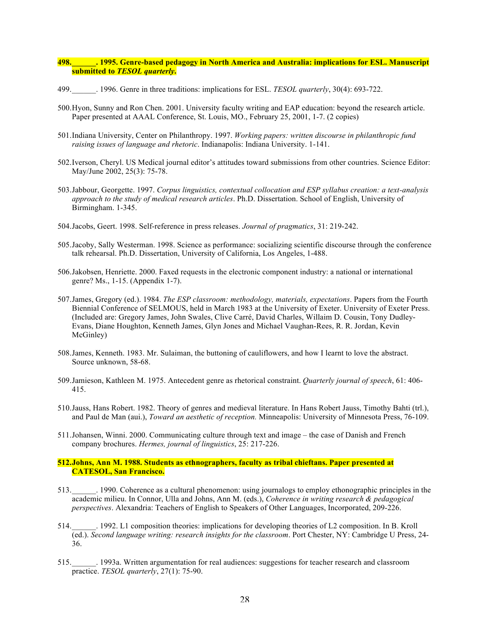## **498.\_\_\_\_\_\_. 1995. Genre-based pedagogy in North America and Australia: implications for ESL. Manuscript submitted to** *TESOL quarterly***.**

- 499.\_\_\_\_\_\_. 1996. Genre in three traditions: implications for ESL. *TESOL quarterly*, 30(4): 693-722.
- 500.Hyon, Sunny and Ron Chen. 2001. University faculty writing and EAP education: beyond the research article. Paper presented at AAAL Conference, St. Louis, MO., February 25, 2001, 1-7. (2 copies)
- 501.Indiana University, Center on Philanthropy. 1997. *Working papers: written discourse in philanthropic fund raising issues of language and rhetoric*. Indianapolis: Indiana University. 1-141.
- 502.Iverson, Cheryl. US Medical journal editor's attitudes toward submissions from other countries. Science Editor: May/June 2002, 25(3): 75-78.
- 503.Jabbour, Georgette. 1997. *Corpus linguistics, contextual collocation and ESP syllabus creation: a text-analysis approach to the study of medical research articles*. Ph.D. Dissertation. School of English, University of Birmingham. 1-345.
- 504.Jacobs, Geert. 1998. Self-reference in press releases. *Journal of pragmatics*, 31: 219-242.
- 505.Jacoby, Sally Westerman. 1998. Science as performance: socializing scientific discourse through the conference talk rehearsal. Ph.D. Dissertation, University of California, Los Angeles, 1-488.
- 506.Jakobsen, Henriette. 2000. Faxed requests in the electronic component industry: a national or international genre? Ms., 1-15. (Appendix 1-7).
- 507.James, Gregory (ed.). 1984. *The ESP classroom: methodology, materials, expectations*. Papers from the Fourth Biennial Conference of SELMOUS, held in March 1983 at the University of Exeter. University of Exeter Press. (Included are: Gregory James, John Swales, Clive Carré, David Charles, Willaim D. Cousin, Tony Dudley-Evans, Diane Houghton, Kenneth James, Glyn Jones and Michael Vaughan-Rees, R. R. Jordan, Kevin McGinley)
- 508.James, Kenneth. 1983. Mr. Sulaiman, the buttoning of cauliflowers, and how I learnt to love the abstract. Source unknown, 58-68.
- 509.Jamieson, Kathleen M. 1975. Antecedent genre as rhetorical constraint. *Quarterly journal of speech*, 61: 406- 415.
- 510.Jauss, Hans Robert. 1982. Theory of genres and medieval literature. In Hans Robert Jauss, Timothy Bahti (trl.), and Paul de Man (aui.), *Toward an aesthetic of reception.* Minneapolis: University of Minnesota Press, 76-109.
- 511.Johansen, Winni. 2000. Communicating culture through text and image the case of Danish and French company brochures. *Hermes, journal of linguistics*, 25: 217-226.

## **512.Johns, Ann M. 1988. Students as ethnographers, faculty as tribal chieftans. Paper presented at CATESOL, San Francisco.**

- 513.\_\_\_\_\_\_. 1990. Coherence as a cultural phenomenon: using journalogs to employ ethonographic principles in the academic milieu. In Connor, Ulla and Johns, Ann M. (eds.), *Coherence in writing research & pedagogical perspectives*. Alexandria: Teachers of English to Speakers of Other Languages, Incorporated, 209-226.
- 514.\_\_\_\_\_\_. 1992. L1 composition theories: implications for developing theories of L2 composition. In B. Kroll (ed.). *Second language writing: research insights for the classroom*. Port Chester, NY: Cambridge U Press, 24- 36.
- 515.\_\_\_\_\_\_. 1993a. Written argumentation for real audiences: suggestions for teacher research and classroom practice. *TESOL quarterly*, 27(1): 75-90.

 $\overline{a}$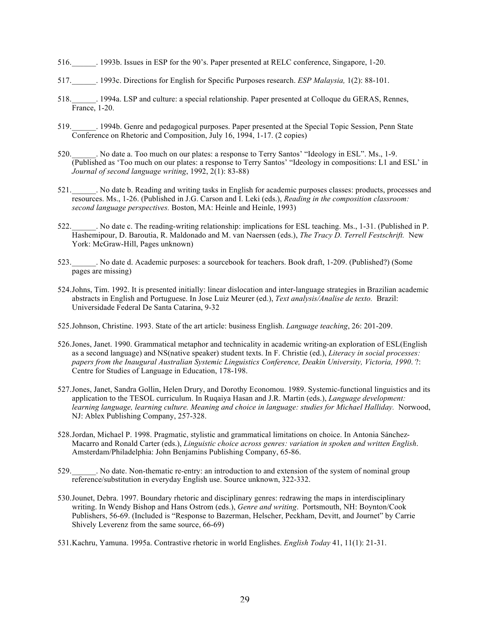- 516.\_\_\_\_\_\_. 1993b. Issues in ESP for the 90's. Paper presented at RELC conference, Singapore, 1-20.
- 517.\_\_\_\_\_\_. 1993c. Directions for English for Specific Purposes research. *ESP Malaysia,* 1(2): 88-101.
- 518.\_\_\_\_\_\_. 1994a. LSP and culture: a special relationship. Paper presented at Colloque du GERAS, Rennes, France, 1-20.
- 519.\_\_\_\_\_\_. 1994b. Genre and pedagogical purposes. Paper presented at the Special Topic Session, Penn State Conference on Rhetoric and Composition, July 16, 1994, 1-17. (2 copies)
- 520.\_\_\_\_\_\_. No date a. Too much on our plates: a response to Terry Santos' "Ideology in ESL". Ms., 1-9. (Published as 'Too much on our plates: a response to Terry Santos' "Ideology in compositions: L1 and ESL' in *Journal of second language writing*, 1992, 2(1): 83-88)
- 521.\_\_\_\_\_\_. No date b. Reading and writing tasks in English for academic purposes classes: products, processes and resources. Ms., 1-26. (Published in J.G. Carson and I. Leki (eds.), *Reading in the composition classroom: second language perspectives.* Boston, MA: Heinle and Heinle, 1993)
- 522.\_\_\_\_\_\_. No date c. The reading-writing relationship: implications for ESL teaching. Ms., 1-31. (Published in P. Hashemipour, D. Baroutia, R. Maldonado and M. van Naerssen (eds.), *The Tracy D. Terrell Festschrift.* New York: McGraw-Hill, Pages unknown)
- 523.\_\_\_\_\_\_. No date d. Academic purposes: a sourcebook for teachers. Book draft, 1-209. (Published?) (Some pages are missing)
- 524.Johns, Tim. 1992. It is presented initially: linear dislocation and inter-language strategies in Brazilian academic abstracts in English and Portuguese. In Jose Luiz Meurer (ed.), *Text analysis/Analise de texto.* Brazil: Universidade Federal De Santa Catarina, 9-32
- 525.Johnson, Christine. 1993. State of the art article: business English. *Language teaching*, 26: 201-209.
- 526.Jones, Janet. 1990. Grammatical metaphor and technicality in academic writing-an exploration of ESL(English as a second language) and NS(native speaker) student texts. In F. Christie (ed.), *Literacy in social processes: papers from the Inaugural Australian Systemic Linguistics Conference, Deakin University, Victoria, 1990*. ?: Centre for Studies of Language in Education, 178-198.
- 527.Jones, Janet, Sandra Gollin, Helen Drury, and Dorothy Economou. 1989. Systemic-functional linguistics and its application to the TESOL curriculum. In Ruqaiya Hasan and J.R. Martin (eds.), *Language development: learning language, learning culture. Meaning and choice in language: studies for Michael Halliday.* Norwood, NJ: Ablex Publishing Company, 257-328.
- 528.Jordan, Michael P. 1998. Pragmatic, stylistic and grammatical limitations on choice. In Antonia Sánchez-Macarro and Ronald Carter (eds.), *Linguistic choice across genres: variation in spoken and written English*. Amsterdam/Philadelphia: John Benjamins Publishing Company, 65-86.
- 529. No date. Non-thematic re-entry: an introduction to and extension of the system of nominal group reference/substitution in everyday English use. Source unknown, 322-332.
- 530.Jounet, Debra. 1997. Boundary rhetoric and disciplinary genres: redrawing the maps in interdisciplinary writing. In Wendy Bishop and Hans Ostrom (eds.), *Genre and writing*. Portsmouth, NH: Boynton/Cook Publishers, 56-69. (Included is "Response to Bazerman, Helscher, Peckham, Devitt, and Journet" by Carrie Shively Leverenz from the same source, 66-69)
- 531.Kachru, Yamuna. 1995a. Contrastive rhetoric in world Englishes. *English Today* 41, 11(1): 21-31.

 $\overline{a}$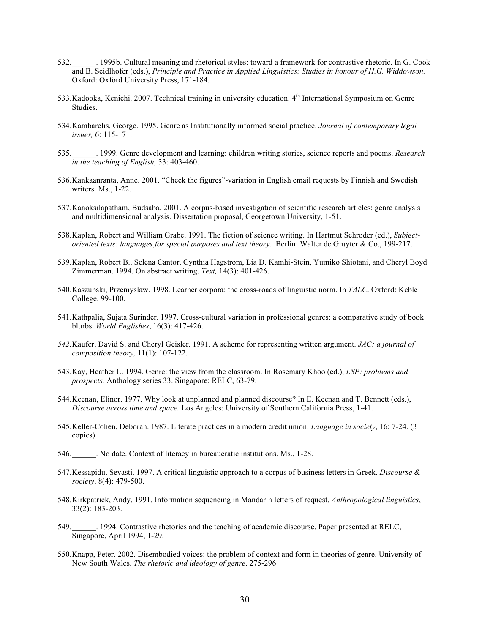- 532.\_\_\_\_\_\_. 1995b. Cultural meaning and rhetorical styles: toward a framework for contrastive rhetoric. In G. Cook and B. Seidlhofer (eds.), *Principle and Practice in Applied Linguistics: Studies in honour of H.G. Widdowson.*  Oxford: Oxford University Press, 171-184.
- 533.Kadooka, Kenichi. 2007. Technical training in university education. 4th International Symposium on Genre Studies.
- 534.Kambarelis, George. 1995. Genre as Institutionally informed social practice. *Journal of contemporary legal issues,* 6: 115-171.
- 535.\_\_\_\_\_\_. 1999. Genre development and learning: children writing stories, science reports and poems. *Research in the teaching of English,* 33: 403-460.
- 536.Kankaanranta, Anne. 2001. "Check the figures"-variation in English email requests by Finnish and Swedish writers. Ms., 1-22.
- 537.Kanoksilapatham, Budsaba. 2001. A corpus-based investigation of scientific research articles: genre analysis and multidimensional analysis. Dissertation proposal, Georgetown University, 1-51.
- 538.Kaplan, Robert and William Grabe. 1991. The fiction of science writing. In Hartmut Schroder (ed.), *Subjectoriented texts: languages for special purposes and text theory.* Berlin: Walter de Gruyter & Co., 199-217.
- 539.Kaplan, Robert B., Selena Cantor, Cynthia Hagstrom, Lia D. Kamhi-Stein, Yumiko Shiotani, and Cheryl Boyd Zimmerman. 1994. On abstract writing. *Text,* 14(3): 401-426.
- 540.Kaszubski, Przemyslaw. 1998. Learner corpora: the cross-roads of linguistic norm. In *TALC*. Oxford: Keble College, 99-100.
- 541.Kathpalia, Sujata Surinder. 1997. Cross-cultural variation in professional genres: a comparative study of book blurbs. *World Englishes*, 16(3): 417-426.
- *542.*Kaufer, David S. and Cheryl Geisler. 1991. A scheme for representing written argument. *JAC: a journal of composition theory,* 11(1): 107-122.
- 543.Kay, Heather L. 1994. Genre: the view from the classroom. In Rosemary Khoo (ed.), *LSP: problems and prospects.* Anthology series 33. Singapore: RELC, 63-79.
- 544.Keenan, Elinor. 1977. Why look at unplanned and planned discourse? In E. Keenan and T. Bennett (eds.), *Discourse across time and space.* Los Angeles: University of Southern California Press, 1-41.
- 545.Keller-Cohen, Deborah. 1987. Literate practices in a modern credit union. *Language in society*, 16: 7-24. (3 copies)
- 546.\_\_\_\_\_\_. No date. Context of literacy in bureaucratic institutions. Ms., 1-28.
- 547.Kessapidu, Sevasti. 1997. A critical linguistic approach to a corpus of business letters in Greek. *Discourse & society*, 8(4): 479-500.
- 548.Kirkpatrick, Andy. 1991. Information sequencing in Mandarin letters of request. *Anthropological linguistics*, 33(2): 183-203.
- 549.\_\_\_\_\_\_. 1994. Contrastive rhetorics and the teaching of academic discourse. Paper presented at RELC, Singapore, April 1994, 1-29.
- 550.Knapp, Peter. 2002. Disembodied voices: the problem of context and form in theories of genre. University of New South Wales. *The rhetoric and ideology of genre*. 275-296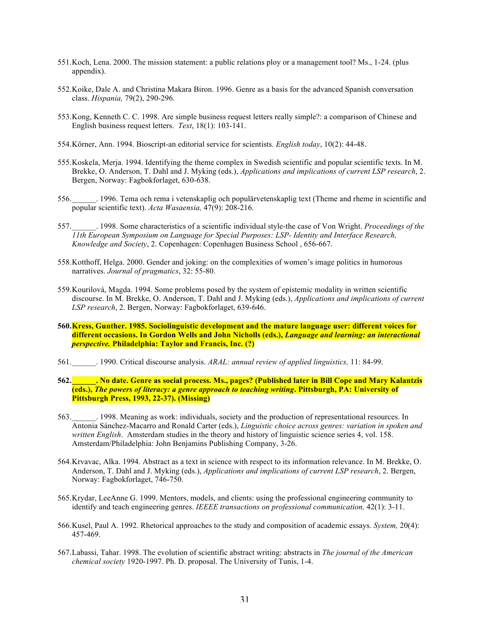- 551.Koch, Lena. 2000. The mission statement: a public relations ploy or a management tool? Ms., 1-24. (plus appendix).
- 552.Koike, Dale A. and Christina Makara Biron. 1996. Genre as a basis for the advanced Spanish conversation class. *Hispania,* 79(2), 290-296.
- 553.Kong, Kenneth C. C. 1998. Are simple business request letters really simple?: a comparison of Chinese and English business request letters. *Text*, 18(1): 103-141.
- 554.Körner, Ann. 1994. Bioscript-an editorial service for scientists. *English today*, 10(2): 44-48.
- 555.Koskela, Merja. 1994. Identifying the theme complex in Swedish scientific and popular scientific texts. In M. Brekke, O. Anderson, T. Dahl and J. Myking (eds.), *Applications and implications of current LSP research*, 2. Bergen, Norway: Fagbokforlaget, 630-638.
- 556.\_\_\_\_\_\_. 1996. Tema och rema i vetenskaplig och populärvetenskaplig text (Theme and rheme in scientific and popular scientific text). *Acta Wasaensia,* 47(9): 208-216.
- 557.\_\_\_\_\_\_. 1998. Some characteristics of a scientific individual style-the case of Von Wright. *Proceedings of the 11th European Symposium on Language for Special Purposes: LSP- Identity and Interface Research, Knowledge and Society*, 2. Copenhagen: Copenhagen Business School , 656-667.
- 558.Kotthoff, Helga. 2000. Gender and joking: on the complexities of women's image politics in humorous narratives. *Journal of pragmatics*, 32: 55-80.
- 559.Kourilová, Magda. 1994. Some problems posed by the system of epistemic modality in written scientific discourse. In M. Brekke, O. Anderson, T. Dahl and J. Myking (eds.), *Applications and implications of current LSP research*, 2. Bergen, Norway: Fagbokforlaget, 639-646.
- **560.Kress, Gunther. 1985. Sociolinguistic development and the mature language user: different voices for different occasions. In Gordon Wells and John Nicholls (eds.),** *Language and learning: an interactional perspective.* **Philadelphia: Taylor and Francis, Inc. (?)**
- 561.\_\_\_\_\_\_. 1990. Critical discourse analysis. *ARAL: annual review of applied linguistics,* 11: 84-99.
- **562.\_\_\_\_\_\_. No date. Genre as social process. Ms., pages? (Published later in Bill Cope and Mary Kalantzis (eds.),** *The powers of literacy: a genre approach to teaching writing***. Pittsburgh, PA: University of Pittsburgh Press, 1993, 22-37). (Missing)**
- 563.\_\_\_\_\_\_. 1998. Meaning as work: individuals, society and the production of representational resources. In Antonia Sánchez-Macarro and Ronald Carter (eds.), *Linguistic choice across genres: variation in spoken and written English*. Amsterdam studies in the theory and history of linguistic science series 4, vol. 158. Amsterdam/Philadelphia: John Benjamins Publishing Company, 3-26.
- 564.Krvavac, Alka. 1994. Abstract as a text in science with respect to its information relevance. In M. Brekke, O. Anderson, T. Dahl and J. Myking (eds.), *Applications and implications of current LSP research*, 2. Bergen, Norway: Fagbokforlaget, 746-750.
- 565.Krydar, LeeAnne G. 1999. Mentors, models, and clients: using the professional engineering community to identify and teach engineering genres. *IEEEE transactions on professional communication,* 42(1): 3-11.
- 566.Kusel, Paul A. 1992. Rhetorical approaches to the study and composition of academic essays. *System,* 20(4): 457-469.
- 567.Labassi, Tahar. 1998. The evolution of scientific abstract writing: abstracts in *The journal of the American chemical society* 1920-1997. Ph. D. proposal. The University of Tunis, 1-4.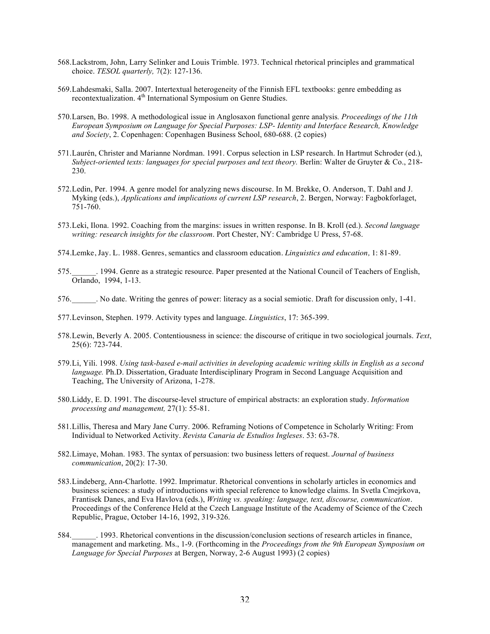- 568.Lackstrom, John, Larry Selinker and Louis Trimble. 1973. Technical rhetorical principles and grammatical choice. *TESOL quarterly,* 7(2): 127-136.
- 569.Lahdesmaki, Salla. 2007. Intertextual heterogeneity of the Finnish EFL textbooks: genre embedding as recontextualization. 4<sup>th</sup> International Symposium on Genre Studies.
- 570.Larsen, Bo. 1998. A methodological issue in Anglosaxon functional genre analysis*. Proceedings of the 11th European Symposium on Language for Special Purposes: LSP- Identity and Interface Research, Knowledge and Society*, 2. Copenhagen: Copenhagen Business School, 680-688. (2 copies)
- 571.Laurén, Christer and Marianne Nordman. 1991. Corpus selection in LSP research. In Hartmut Schroder (ed.), *Subject-oriented texts: languages for special purposes and text theory.* Berlin: Walter de Gruyter & Co., 218- 230.
- 572.Ledin, Per. 1994. A genre model for analyzing news discourse. In M. Brekke, O. Anderson, T. Dahl and J. Myking (eds.), *Applications and implications of current LSP research*, 2. Bergen, Norway: Fagbokforlaget, 751-760.
- 573.Leki, Ilona. 1992. Coaching from the margins: issues in written response. In B. Kroll (ed.). *Second language writing: research insights for the classroom*. Port Chester, NY: Cambridge U Press, 57-68.
- 574.Lemke, Jay. L. 1988. Genres, semantics and classroom education. *Linguistics and education,* 1: 81-89.
- 575.\_\_\_\_\_\_. 1994. Genre as a strategic resource. Paper presented at the National Council of Teachers of English, Orlando, 1994, 1-13.
- 576.\_\_\_\_\_\_. No date. Writing the genres of power: literacy as a social semiotic. Draft for discussion only, 1-41.
- 577.Levinson, Stephen. 1979. Activity types and language. *Linguistics*, 17: 365-399.
- 578.Lewin, Beverly A. 2005. Contentiousness in science: the discourse of critique in two sociological journals. *Text*, 25(6): 723-744.
- 579.Li, Yili. 1998. *Using task-based e-mail activities in developing academic writing skills in English as a second language.* Ph.D. Dissertation, Graduate Interdisciplinary Program in Second Language Acquisition and Teaching, The University of Arizona, 1-278.
- 580.Liddy, E. D. 1991. The discourse-level structure of empirical abstracts: an exploration study. *Information processing and management,* 27(1): 55-81.
- 581.Lillis, Theresa and Mary Jane Curry. 2006. Reframing Notions of Competence in Scholarly Writing: From Individual to Networked Activity. *Revista Canaria de Estudios Ingleses*. 53: 63-78.
- 582.Limaye, Mohan. 1983. The syntax of persuasion: two business letters of request. *Journal of business communication*, 20(2): 17-30.
- 583.Lindeberg, Ann-Charlotte. 1992. Imprimatur. Rhetorical conventions in scholarly articles in economics and business sciences: a study of introductions with special reference to knowledge claims. In Svetla Cmejrkova, Frantisek Danes, and Eva Havlova (eds.), *Writing vs. speaking: language, text, discourse, communication*. Proceedings of the Conference Held at the Czech Language Institute of the Academy of Science of the Czech Republic, Prague, October 14-16, 1992, 319-326.
- 584.\_\_\_\_\_\_. 1993. Rhetorical conventions in the discussion/conclusion sections of research articles in finance, management and marketing. Ms., 1-9. (Forthcoming in the *Proceedings from the 9th European Symposium on Language for Special Purposes* at Bergen, Norway, 2-6 August 1993) (2 copies)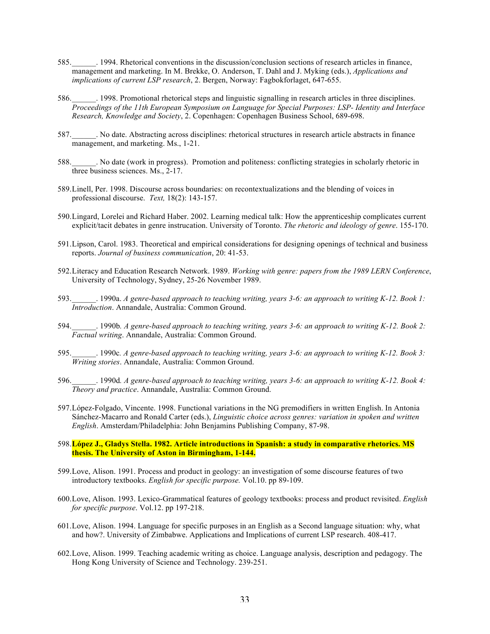- 585.\_\_\_\_\_\_. 1994. Rhetorical conventions in the discussion/conclusion sections of research articles in finance, management and marketing. In M. Brekke, O. Anderson, T. Dahl and J. Myking (eds.), *Applications and implications of current LSP research*, 2. Bergen, Norway: Fagbokforlaget, 647-655.
- 586.\_\_\_\_\_\_. 1998. Promotional rhetorical steps and linguistic signalling in research articles in three disciplines. *Proceedings of the 11th European Symposium on Language for Special Purposes: LSP- Identity and Interface Research, Knowledge and Society*, 2. Copenhagen: Copenhagen Business School, 689-698.
- 587.\_\_\_\_\_\_. No date. Abstracting across disciplines: rhetorical structures in research article abstracts in finance management, and marketing. Ms., 1-21.
- 588. No date (work in progress). Promotion and politeness: conflicting strategies in scholarly rhetoric in three business sciences. Ms., 2-17.
- 589.Linell, Per. 1998. Discourse across boundaries: on recontextualizations and the blending of voices in professional discourse. *Text,* 18(2): 143-157.
- 590.Lingard, Lorelei and Richard Haber. 2002. Learning medical talk: How the apprenticeship complicates current explicit/tacit debates in genre instrucation. University of Toronto. *The rhetoric and ideology of genre*. 155-170.
- 591.Lipson, Carol. 1983. Theoretical and empirical considerations for designing openings of technical and business reports. *Journal of business communication*, 20: 41-53.
- 592.Literacy and Education Research Network. 1989. *Working with genre: papers from the 1989 LERN Conference*, University of Technology, Sydney, 25-26 November 1989.
- 593.\_\_\_\_\_\_. 1990a. *A genre-based approach to teaching writing, years 3-6: an approach to writing K-12. Book 1: Introduction*. Annandale, Australia: Common Ground.
- 594.\_\_\_\_\_\_. 1990b*. A genre-based approach to teaching writing, years 3-6: an approach to writing K-12. Book 2: Factual writing*. Annandale, Australia: Common Ground.
- 595.\_\_\_\_\_\_. 1990c*. A genre-based approach to teaching writing, years 3-6: an approach to writing K-12. Book 3: Writing stories*. Annandale, Australia: Common Ground.
- 596.\_\_\_\_\_\_. 1990d*. A genre-based approach to teaching writing, years 3-6: an approach to writing K-12. Book 4: Theory and practice*. Annandale, Australia: Common Ground.
- 597.López-Folgado, Vincente. 1998. Functional variations in the NG premodifiers in written English. In Antonia Sánchez-Macarro and Ronald Carter (eds.), *Linguistic choice across genres: variation in spoken and written English*. Amsterdam/Philadelphia: John Benjamins Publishing Company, 87-98.
- 598.**López J., Gladys Stella. 1982. Article introductions in Spanish: a study in comparative rhetorics. MS thesis. The University of Aston in Birmingham, 1-144.**
- 599.Love, Alison. 1991. Process and product in geology: an investigation of some discourse features of two introductory textbooks. *English for specific purpose.* Vol.10. pp 89-109.
- 600.Love, Alison. 1993. Lexico-Grammatical features of geology textbooks: process and product revisited. *English for specific purpose*. Vol.12. pp 197-218.
- 601.Love, Alison. 1994. Language for specific purposes in an English as a Second language situation: why, what and how?. University of Zimbabwe. Applications and Implications of current LSP research. 408-417.
- 602.Love, Alison. 1999. Teaching academic writing as choice. Language analysis, description and pedagogy. The Hong Kong University of Science and Technology. 239-251.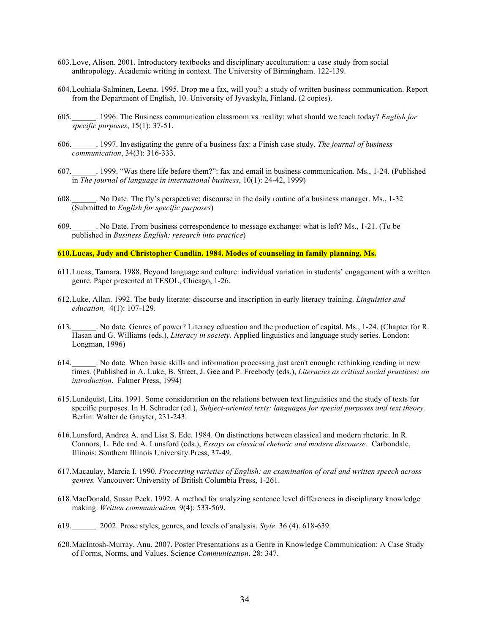- 603.Love, Alison. 2001. Introductory textbooks and disciplinary acculturation: a case study from social anthropology. Academic writing in context. The University of Birmingham. 122-139.
- 604.Louhiala-Salminen, Leena. 1995. Drop me a fax, will you?: a study of written business communication. Report from the Department of English, 10. University of Jyvaskyla, Finland. (2 copies).
- 605.\_\_\_\_\_\_. 1996. The Business communication classroom vs. reality: what should we teach today? *English for specific purposes*, 15(1): 37-51.
- 606.\_\_\_\_\_\_. 1997. Investigating the genre of a business fax: a Finish case study. *The journal of business communication*, 34(3): 316-333.
- 607.\_\_\_\_\_\_. 1999. "Was there life before them?": fax and email in business communication. Ms., 1-24. (Published in *The journal of language in international business*, 10(1): 24-42, 1999)
- 608.\_\_\_\_\_\_. No Date. The fly's perspective: discourse in the daily routine of a business manager. Ms., 1-32 (Submitted to *English for specific purposes*)
- 609.\_\_\_\_\_\_. No Date. From business correspondence to message exchange: what is left? Ms., 1-21. (To be published in *Business English: research into practice*)

## **610.Lucas, Judy and Christopher Candlin. 1984. Modes of counseling in family planning. Ms.**

- 611.Lucas, Tamara. 1988. Beyond language and culture: individual variation in students' engagement with a written genre. Paper presented at TESOL, Chicago, 1-26.
- 612.Luke, Allan. 1992. The body literate: discourse and inscription in early literacy training. *Linguistics and education,* 4(1): 107-129.
- 613.\_\_\_\_\_\_. No date. Genres of power? Literacy education and the production of capital. Ms., 1-24. (Chapter for R. Hasan and G. Williams (eds.), *Literacy in society.* Applied linguistics and language study series. London: Longman, 1996)
- 614.\_\_\_\_\_\_. No date. When basic skills and information processing just aren't enough: rethinking reading in new times. (Published in A. Luke, B. Street, J. Gee and P. Freebody (eds.), *Literacies as critical social practices: an introduction*. Falmer Press, 1994)
- 615.Lundquist, Lita. 1991. Some consideration on the relations between text linguistics and the study of texts for specific purposes. In H. Schroder (ed.), *Subject-oriented texts: languages for special purposes and text theory.* Berlin: Walter de Gruyter, 231-243.
- 616.Lunsford, Andrea A. and Lisa S. Ede. 1984. On distinctions between classical and modern rhetoric. In R. Connors, L. Ede and A. Lunsford (eds.), *Essays on classical rhetoric and modern discourse.* Carbondale, Illinois: Southern Illinois University Press, 37-49.
- 617.Macaulay, Marcia I. 1990. *Processing varieties of English: an examination of oral and written speech across genres.* Vancouver: University of British Columbia Press, 1-261.
- 618.MacDonald, Susan Peck. 1992. A method for analyzing sentence level differences in disciplinary knowledge making. *Written communication,* 9(4): 533-569.
- 619.\_\_\_\_\_\_. 2002. Prose styles, genres, and levels of analysis. *Style*. 36 (4). 618-639.
- 620.MacIntosh-Murray, Anu. 2007. Poster Presentations as a Genre in Knowledge Communication: A Case Study of Forms, Norms, and Values. Science *Communication*. 28: 347.

 $\ddot{\phantom{0}}$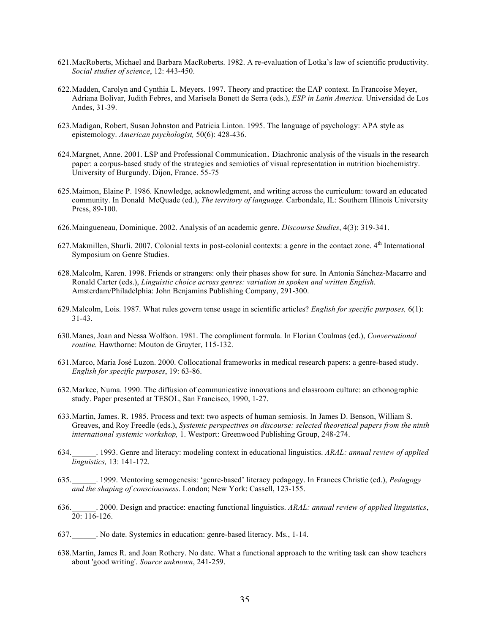- 621.MacRoberts, Michael and Barbara MacRoberts. 1982. A re-evaluation of Lotka's law of scientific productivity. *Social studies of science*, 12: 443-450.
- 622.Madden, Carolyn and Cynthia L. Meyers. 1997. Theory and practice: the EAP context. In Francoise Meyer, Adriana Bolívar, Judith Febres, and Marisela Bonett de Serra (eds.), *ESP in Latin America*. Universidad de Los Andes, 31-39.
- 623.Madigan, Robert, Susan Johnston and Patricia Linton. 1995. The language of psychology: APA style as epistemology. *American psychologist,* 50(6): 428-436.
- 624.Margnet, Anne. 2001. LSP and Professional Communication. Diachronic analysis of the visuals in the research paper: a corpus-based study of the strategies and semiotics of visual representation in nutrition biochemistry. University of Burgundy. Dijon, France. 55-75
- 625.Maimon, Elaine P. 1986. Knowledge, acknowledgment, and writing across the curriculum: toward an educated community. In Donald McQuade (ed.), *The territory of language.* Carbondale, IL: Southern Illinois University Press, 89-100.
- 626.Maingueneau, Dominique. 2002. Analysis of an academic genre. *Discourse Studies*, 4(3): 319-341.
- 627. Makmillen, Shurli. 2007. Colonial texts in post-colonial contexts: a genre in the contact zone. 4<sup>th</sup> International Symposium on Genre Studies.
- 628.Malcolm, Karen. 1998. Friends or strangers: only their phases show for sure. In Antonia Sánchez-Macarro and Ronald Carter (eds.), *Linguistic choice across genres: variation in spoken and written English*. Amsterdam/Philadelphia: John Benjamins Publishing Company, 291-300.
- 629.Malcolm, Lois. 1987. What rules govern tense usage in scientific articles? *English for specific purposes,* 6(1): 31-43.
- 630.Manes, Joan and Nessa Wolfson. 1981. The compliment formula. In Florian Coulmas (ed.), *Conversational routine.* Hawthorne: Mouton de Gruyter, 115-132.
- 631.Marco, Maria José Luzon. 2000. Collocational frameworks in medical research papers: a genre-based study. *English for specific purposes*, 19: 63-86.
- 632.Markee, Numa. 1990. The diffusion of communicative innovations and classroom culture: an ethonographic study. Paper presented at TESOL, San Francisco, 1990, 1-27.
- 633.Martin, James. R. 1985. Process and text: two aspects of human semiosis. In James D. Benson, William S. Greaves, and Roy Freedle (eds.), *Systemic perspectives on discourse: selected theoretical papers from the ninth international systemic workshop,* 1. Westport: Greenwood Publishing Group, 248-274.
- 634.\_\_\_\_\_\_. 1993. Genre and literacy: modeling context in educational linguistics. *ARAL: annual review of applied linguistics,* 13: 141-172.
- 635.\_\_\_\_\_\_. 1999. Mentoring semogenesis: 'genre-based' literacy pedagogy. In Frances Christie (ed.), *Pedagogy and the shaping of consciousness*. London; New York: Cassell, 123-155.
- 636.\_\_\_\_\_\_. 2000. Design and practice: enacting functional linguistics. *ARAL: annual review of applied linguistics*,  $20: 116-126.$
- 637.\_\_\_\_\_\_. No date. Systemics in education: genre-based literacy. Ms., 1-14.
- 638.Martin, James R. and Joan Rothery. No date. What a functional approach to the writing task can show teachers about 'good writing'. *Source unknown*, 241-259.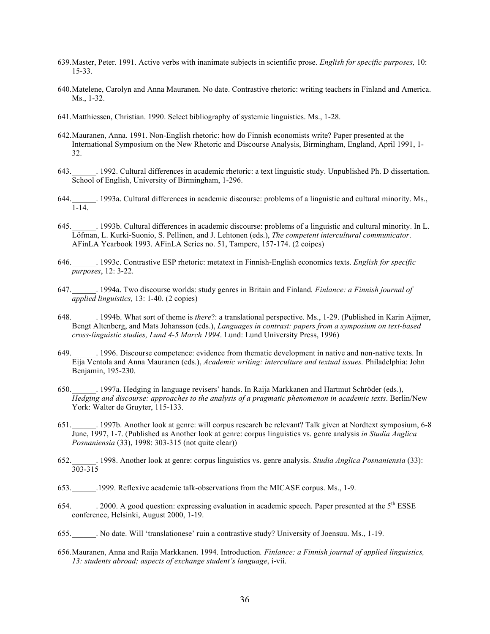- 639.Master, Peter. 1991. Active verbs with inanimate subjects in scientific prose. *English for specific purposes,* 10: 15-33.
- 640.Matelene, Carolyn and Anna Mauranen. No date. Contrastive rhetoric: writing teachers in Finland and America. Ms., 1-32.
- 641.Matthiessen, Christian. 1990. Select bibliography of systemic linguistics. Ms., 1-28.
- 642.Mauranen, Anna. 1991. Non-English rhetoric: how do Finnish economists write? Paper presented at the International Symposium on the New Rhetoric and Discourse Analysis, Birmingham, England, April 1991, 1- 32.
- 643.\_\_\_\_\_\_. 1992. Cultural differences in academic rhetoric: a text linguistic study. Unpublished Ph. D dissertation. School of English, University of Birmingham, 1-296.
- 644.\_\_\_\_\_\_. 1993a. Cultural differences in academic discourse: problems of a linguistic and cultural minority. Ms., 1-14.
- 645.\_\_\_\_\_\_. 1993b. Cultural differences in academic discourse: problems of a linguistic and cultural minority. In L. Löfman, L. Kurki-Suonio, S. Pellinen, and J. Lehtonen (eds.), *The competent intercultural communicator*. AFinLA Yearbook 1993. AFinLA Series no. 51, Tampere, 157-174. (2 coipes)
- 646.\_\_\_\_\_\_. 1993c. Contrastive ESP rhetoric: metatext in Finnish-English economics texts. *English for specific purposes*, 12: 3-22.
- 647.\_\_\_\_\_\_. 1994a. Two discourse worlds: study genres in Britain and Finland*. Finlance: a Finnish journal of applied linguistics,* 13: 1-40. (2 copies)
- 648.\_\_\_\_\_\_. 1994b. What sort of theme is *there*?: a translational perspective. Ms., 1-29. (Published in Karin Aijmer, Bengt Altenberg, and Mats Johansson (eds.), *Languages in contrast: papers from a symposium on text-based cross-linguistic studies, Lund 4-5 March 1994*. Lund: Lund University Press, 1996)
- 649.\_\_\_\_\_\_. 1996. Discourse competence: evidence from thematic development in native and non-native texts. In Eija Ventola and Anna Mauranen (eds.), *Academic writing: interculture and textual issues.* Philadelphia: John Benjamin, 195-230.
- 650.\_\_\_\_\_\_. 1997a. Hedging in language revisers' hands. In Raija Markkanen and Hartmut Schröder (eds.), *Hedging and discourse: approaches to the analysis of a pragmatic phenomenon in academic texts*. Berlin/New York: Walter de Gruyter, 115-133.
- 651.\_\_\_\_\_\_. 1997b. Another look at genre: will corpus research be relevant? Talk given at Nordtext symposium, 6-8 June, 1997, 1-7. (Published as Another look at genre: corpus linguistics vs. genre analysis *in Studia Anglica Posnaniensia* (33), 1998: 303-315 (not quite clear))
- 652.\_\_\_\_\_\_. 1998. Another look at genre: corpus linguistics vs. genre analysis. *Studia Anglica Posnaniensia* (33): 303-315
- 653.\_\_\_\_\_\_.1999. Reflexive academic talk-observations from the MICASE corpus. Ms., 1-9.
- 654. 2000. A good question: expressing evaluation in academic speech. Paper presented at the 5<sup>th</sup> ESSE conference, Helsinki, August 2000, 1-19.
- 655.\_\_\_\_\_\_. No date. Will 'translationese' ruin a contrastive study? University of Joensuu. Ms., 1-19.
- 656.Mauranen, Anna and Raija Markkanen. 1994. Introduction*. Finlance: a Finnish journal of applied linguistics, 13: students abroad; aspects of exchange student's language*, i-vii.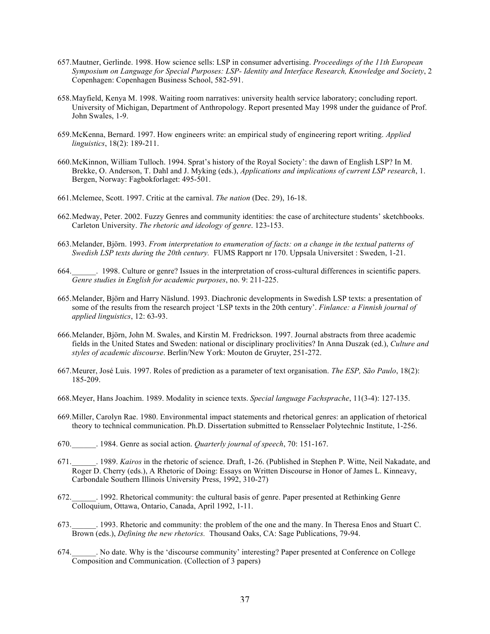- 657.Mautner, Gerlinde. 1998. How science sells: LSP in consumer advertising. *Proceedings of the 11th European Symposium on Language for Special Purposes: LSP- Identity and Interface Research, Knowledge and Society*, 2 Copenhagen: Copenhagen Business School, 582-591.
- 658.Mayfield, Kenya M. 1998. Waiting room narratives: university health service laboratory; concluding report. University of Michigan, Department of Anthropology. Report presented May 1998 under the guidance of Prof. John Swales, 1-9.
- 659.McKenna, Bernard. 1997. How engineers write: an empirical study of engineering report writing. *Applied linguistics*, 18(2): 189-211.
- 660.McKinnon, William Tulloch. 1994. Sprat's history of the Royal Society': the dawn of English LSP? In M. Brekke, O. Anderson, T. Dahl and J. Myking (eds.), *Applications and implications of current LSP research*, 1. Bergen, Norway: Fagbokforlaget: 495-501.
- 661.Mclemee, Scott. 1997. Critic at the carnival. *The nation* (Dec. 29), 16-18.
- 662.Medway, Peter. 2002. Fuzzy Genres and community identities: the case of architecture students' sketchbooks. Carleton University. *The rhetoric and ideology of genre*. 123-153.
- 663.Melander, Björn. 1993. *From interpretation to enumeration of facts: on a change in the textual patterns of Swedish LSP texts during the 20th century.* FUMS Rapport nr 170. Uppsala Universitet : Sweden, 1-21.
- 664.\_\_\_\_\_\_. 1998. Culture or genre? Issues in the interpretation of cross-cultural differences in scientific papers. *Genre studies in English for academic purposes*, no. 9: 211-225.
- 665.Melander, Björn and Harry Näslund. 1993. Diachronic developments in Swedish LSP texts: a presentation of some of the results from the research project 'LSP texts in the 20th century'. *Finlance: a Finnish journal of applied linguistics*, 12: 63-93.
- 666.Melander, Björn, John M. Swales, and Kirstin M. Fredrickson. 1997. Journal abstracts from three academic fields in the United States and Sweden: national or disciplinary proclivities? In Anna Duszak (ed.), *Culture and styles of academic discourse*. Berlin/New York: Mouton de Gruyter, 251-272.
- 667.Meurer, José Luis. 1997. Roles of prediction as a parameter of text organisation. *The ESP, São Paulo*, 18(2): 185-209.
- 668.Meyer, Hans Joachim. 1989. Modality in science texts. *Special language Fachsprache*, 11(3-4): 127-135.
- 669.Miller, Carolyn Rae. 1980. Environmental impact statements and rhetorical genres: an application of rhetorical theory to technical communication. Ph.D. Dissertation submitted to Rensselaer Polytechnic Institute, 1-256.
- 670.\_\_\_\_\_\_. 1984. Genre as social action. *Quarterly journal of speech*, 70: 151-167.
- 671.\_\_\_\_\_\_. 1989. *Kairos* in the rhetoric of science. Draft, 1-26. (Published in Stephen P. Witte, Neil Nakadate, and Roger D. Cherry (eds.), A Rhetoric of Doing: Essays on Written Discourse in Honor of James L. Kinneavy, Carbondale Southern Illinois University Press, 1992, 310-27)
- 672.\_\_\_\_\_\_. 1992. Rhetorical community: the cultural basis of genre. Paper presented at Rethinking Genre Colloquium, Ottawa, Ontario, Canada, April 1992, 1-11.
- 673.\_\_\_\_\_\_. 1993. Rhetoric and community: the problem of the one and the many. In Theresa Enos and Stuart C. Brown (eds.), *Defining the new rhetorics.* Thousand Oaks, CA: Sage Publications, 79-94.
- 674.\_\_\_\_\_\_. No date. Why is the 'discourse community' interesting? Paper presented at Conference on College Composition and Communication. (Collection of 3 papers)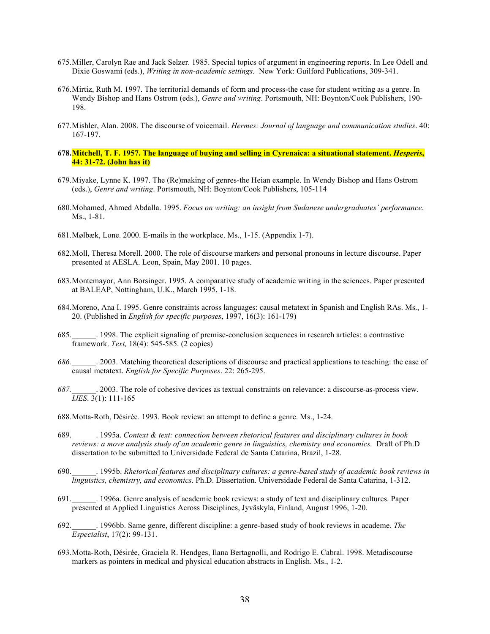- 675.Miller, Carolyn Rae and Jack Selzer. 1985. Special topics of argument in engineering reports. In Lee Odell and Dixie Goswami (eds.), *Writing in non-academic settings.* New York: Guilford Publications, 309-341.
- 676.Mirtiz, Ruth M. 1997. The territorial demands of form and process-the case for student writing as a genre. In Wendy Bishop and Hans Ostrom (eds.), *Genre and writing*. Portsmouth, NH: Boynton/Cook Publishers, 190- 198.
- 677.Mishler, Alan. 2008. The discourse of voicemail. *Hermes: Journal of language and communication studies*. 40: 167-197.
- **678.Mitchell, T. F. 1957. The language of buying and selling in Cyrenaica: a situational statement.** *Hesperis***, 44: 31-72. (John has it)**
- 679.Miyake, Lynne K. 1997. The (Re)making of genres-the Heian example. In Wendy Bishop and Hans Ostrom (eds.), *Genre and writing*. Portsmouth, NH: Boynton/Cook Publishers, 105-114
- 680.Mohamed, Ahmed Abdalla. 1995. *Focus on writing: an insight from Sudanese undergraduates' performance*. Ms., 1-81.
- 681.Mølbæk, Lone. 2000. E-mails in the workplace. Ms., 1-15. (Appendix 1-7).
- 682.Moll, Theresa Morell. 2000. The role of discourse markers and personal pronouns in lecture discourse. Paper presented at AESLA. Leon, Spain, May 2001. 10 pages.
- 683.Montemayor, Ann Borsinger. 1995. A comparative study of academic writing in the sciences. Paper presented at BALEAP, Nottingham, U.K., March 1995, 1-18.
- 684.Moreno, Ana I. 1995. Genre constraints across languages: causal metatext in Spanish and English RAs. Ms., 1- 20. (Published in *English for specific purposes*, 1997, 16(3): 161-179)
- 685.\_\_\_\_\_\_. 1998. The explicit signaling of premise-conclusion sequences in research articles: a contrastive framework. *Text,* 18(4): 545-585. (2 copies)
- *686.*\_\_\_\_\_\_. 2003. Matching theoretical descriptions of discourse and practical applications to teaching: the case of causal metatext. *English for Specific Purposes*. 22: 265-295.
- *687.*\_\_\_\_\_\_. 2003. The role of cohesive devices as textual constraints on relevance: a discourse-as-process view. *IJES*. 3(1): 111-165
- 688.Motta-Roth, Désirée. 1993. Book review: an attempt to define a genre. Ms., 1-24.
- 689.\_\_\_\_\_\_. 1995a. *Context & text: connection between rhetorical features and disciplinary cultures in book reviews: a move analysis study of an academic genre in linguistics, chemistry and economics.* Draft of Ph.D dissertation to be submitted to Universidade Federal de Santa Catarina, Brazil, 1-28.
- 690.\_\_\_\_\_\_. 1995b. *Rhetorical features and disciplinary cultures: a genre-based study of academic book reviews in linguistics, chemistry, and economics*. Ph.D. Dissertation. Universidade Federal de Santa Catarina, 1-312.
- 691.\_\_\_\_\_\_. 1996a. Genre analysis of academic book reviews: a study of text and disciplinary cultures. Paper presented at Applied Linguistics Across Disciplines, Jyväskyla, Finland, August 1996, 1-20.
- 692.\_\_\_\_\_\_. 1996bb. Same genre, different discipline: a genre-based study of book reviews in academe. *The Especialist*, 17(2): 99-131.
- 693.Motta-Roth, Désirée, Graciela R. Hendges, Ilana Bertagnolli, and Rodrigo E. Cabral. 1998. Metadiscourse markers as pointers in medical and physical education abstracts in English. Ms., 1-2.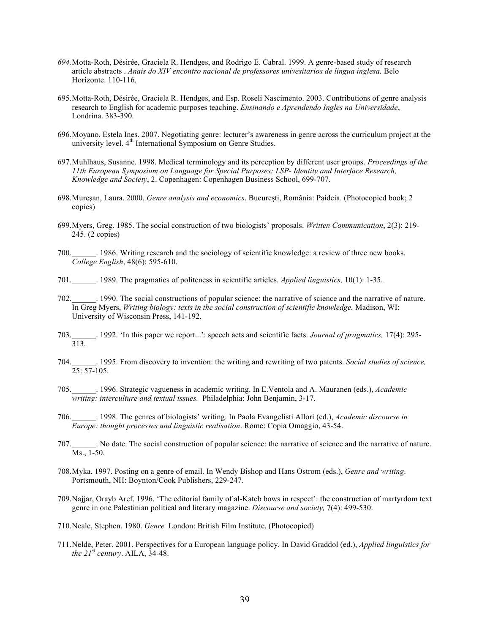- *694.*Motta-Roth, Désirée, Graciela R. Hendges, and Rodrigo E. Cabral. 1999. A genre-based study of research article abstracts . *Anais do XIV encontro nacional de professores univesitarios de lingua inglesa.* Belo Horizonte. 110-116.
- 695.Motta-Roth, Désirée, Graciela R. Hendges, and Esp. Roseli Nascimento. 2003. Contributions of genre analysis research to English for academic purposes teaching. *Ensinando e Aprendendo Ingles na Universidade*, Londrina. 383-390.
- 696.Moyano, Estela Ines. 2007. Negotiating genre: lecturer's awareness in genre across the curriculum project at the university level. 4<sup>th</sup> International Symposium on Genre Studies.
- 697.Muhlhaus, Susanne. 1998. Medical terminology and its perception by different user groups. *Proceedings of the 11th European Symposium on Language for Special Purposes: LSP- Identity and Interface Research, Knowledge and Society*, 2. Copenhagen: Copenhagen Business School, 699-707.
- 698.Mureşan, Laura. 2000. *Genre analysis and economics*. Bucureşti, România: Paideia. (Photocopied book; 2 copies)
- 699.Myers, Greg. 1985. The social construction of two biologists' proposals. *Written Communication*, 2(3): 219- 245. (2 copies)
- 700.\_\_\_\_\_\_. 1986. Writing research and the sociology of scientific knowledge: a review of three new books. *College English*, 48(6): 595-610.
- 701.\_\_\_\_\_\_. 1989. The pragmatics of politeness in scientific articles. *Applied linguistics,* 10(1): 1-35.
- 702.\_\_\_\_\_\_. 1990. The social constructions of popular science: the narrative of science and the narrative of nature. In Greg Myers, *Writing biology: texts in the social construction of scientific knowledge.* Madison, WI: University of Wisconsin Press, 141-192.
- 703.\_\_\_\_\_\_. 1992. 'In this paper we report...': speech acts and scientific facts. *Journal of pragmatics,* 17(4): 295- 313.
- 704.\_\_\_\_\_\_. 1995. From discovery to invention: the writing and rewriting of two patents. *Social studies of science,*   $25: 57-105.$
- 705.\_\_\_\_\_\_. 1996. Strategic vagueness in academic writing. In E.Ventola and A. Mauranen (eds.), *Academic writing: interculture and textual issues.* Philadelphia: John Benjamin, 3-17.
- 706.\_\_\_\_\_\_. 1998. The genres of biologists' writing. In Paola Evangelisti Allori (ed.), *Academic discourse in Europe: thought processes and linguistic realisation*. Rome: Copia Omaggio, 43-54.
- 707.\_\_\_\_\_\_. No date. The social construction of popular science: the narrative of science and the narrative of nature. Ms., 1-50.
- 708.Myka. 1997. Posting on a genre of email. In Wendy Bishop and Hans Ostrom (eds.), *Genre and writing*. Portsmouth, NH: Boynton/Cook Publishers, 229-247.
- 709.Najjar, Orayb Aref. 1996. 'The editorial family of al-Kateb bows in respect': the construction of martyrdom text genre in one Palestinian political and literary magazine. *Discourse and society,* 7(4): 499-530.
- 710.Neale, Stephen. 1980. *Genre.* London: British Film Institute. (Photocopied)
- 711.Nelde, Peter. 2001. Perspectives for a European language policy. In David Graddol (ed.), *Applied linguistics for the*  $21^{st}$  *century*. AILA,  $34-48$ .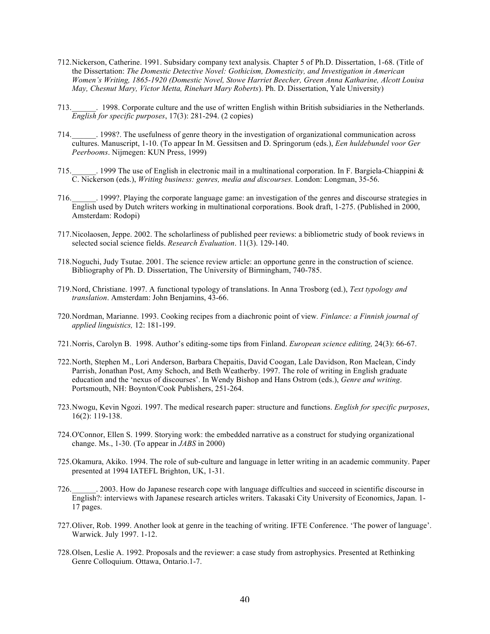- 712.Nickerson, Catherine. 1991. Subsidary company text analysis. Chapter 5 of Ph.D. Dissertation, 1-68. (Title of the Dissertation: *The Domestic Detective Novel: Gothicism, Domesticity, and Investigation in American Women's Writing, 1865-1920 (Domestic Novel, Stowe Harriet Beecher, Green Anna Katharine, Alcott Louisa May, Chesnut Mary, Victor Metta, Rinehart Mary Roberts*). Ph. D. Dissertation, Yale University)
- 713.\_\_\_\_\_\_. 1998. Corporate culture and the use of written English within British subsidiaries in the Netherlands. *English for specific purposes*, 17(3): 281-294. (2 copies)
- 714.\_\_\_\_\_\_. 1998?. The usefulness of genre theory in the investigation of organizational communication across cultures. Manuscript, 1-10. (To appear In M. Gessitsen and D. Springorum (eds.), *Een huldebundel voor Ger Peerbooms*. Nijmegen: KUN Press, 1999)
- 715.\_\_\_\_\_\_. 1999 The use of English in electronic mail in a multinational corporation. In F. Bargiela-Chiappini & C. Nickerson (eds.), *Writing business: genres, media and discourses.* London: Longman, 35-56.
- 716.\_\_\_\_\_\_. 1999?. Playing the corporate language game: an investigation of the genres and discourse strategies in English used by Dutch writers working in multinational corporations. Book draft, 1-275. (Published in 2000, Amsterdam: Rodopi)
- 717.Nicolaosen, Jeppe. 2002. The scholarliness of published peer reviews: a bibliometric study of book reviews in selected social science fields. *Research Evaluation*. 11(3). 129-140.
- 718.Noguchi, Judy Tsutae. 2001. The science review article: an opportune genre in the construction of science. Bibliography of Ph. D. Dissertation, The University of Birmingham, 740-785.
- 719.Nord, Christiane. 1997. A functional typology of translations. In Anna Trosborg (ed.), *Text typology and translation*. Amsterdam: John Benjamins, 43-66.
- 720.Nordman, Marianne. 1993. Cooking recipes from a diachronic point of view*. Finlance: a Finnish journal of applied linguistics,* 12: 181-199.
- 721.Norris, Carolyn B. 1998. Author's editing-some tips from Finland. *European science editing,* 24(3): 66-67.
- 722.North, Stephen M., Lori Anderson, Barbara Chepaitis, David Coogan, Lale Davidson, Ron Maclean, Cindy Parrish, Jonathan Post, Amy Schoch, and Beth Weatherby. 1997. The role of writing in English graduate education and the 'nexus of discourses'. In Wendy Bishop and Hans Ostrom (eds.), *Genre and writing*. Portsmouth, NH: Boynton/Cook Publishers, 251-264.
- 723.Nwogu, Kevin Ngozi. 1997. The medical research paper: structure and functions. *English for specific purposes*, 16(2): 119-138.
- 724.O'Connor, Ellen S. 1999. Storying work: the embedded narrative as a construct for studying organizational change. Ms., 1-30. (To appear in *JABS* in 2000)
- 725.Okamura, Akiko. 1994. The role of sub-culture and language in letter writing in an academic community. Paper presented at 1994 IATEFL Brighton, UK, 1-31.
- 726.\_\_\_\_\_\_. 2003. How do Japanese research cope with language diffculties and succeed in scientific discourse in English?: interviews with Japanese research articles writers. Takasaki City University of Economics, Japan. 1- 17 pages.
- 727.Oliver, Rob. 1999. Another look at genre in the teaching of writing. IFTE Conference. 'The power of language'. Warwick. July 1997. 1-12.
- 728.Olsen, Leslie A. 1992. Proposals and the reviewer: a case study from astrophysics. Presented at Rethinking Genre Colloquium. Ottawa, Ontario.1-7.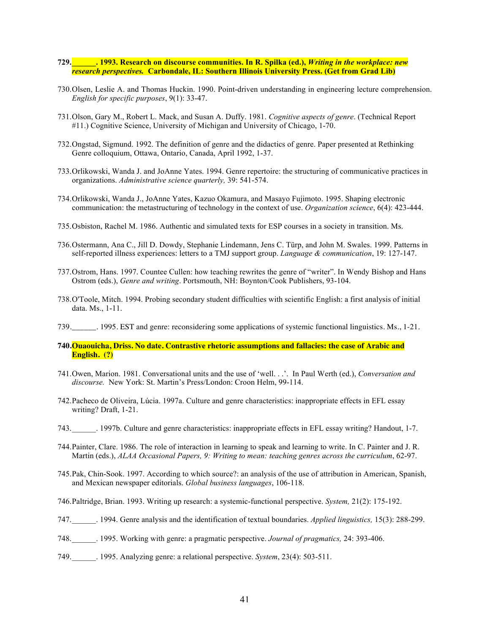- **729.\_\_\_\_\_\_. 1993. Research on discourse communities. In R. Spilka (ed.),** *Writing in the workplace: new research perspectives.* **Carbondale, IL: Southern Illinois University Press. (Get from Grad Lib)**
- 730.Olsen, Leslie A. and Thomas Huckin. 1990. Point-driven understanding in engineering lecture comprehension. *English for specific purposes*, 9(1): 33-47.
- 731.Olson, Gary M., Robert L. Mack, and Susan A. Duffy. 1981. *Cognitive aspects of genre*. (Technical Report #11.) Cognitive Science, University of Michigan and University of Chicago, 1-70.
- 732.Ongstad, Sigmund. 1992. The definition of genre and the didactics of genre. Paper presented at Rethinking Genre colloquium, Ottawa, Ontario, Canada, April 1992, 1-37.
- 733.Orlikowski, Wanda J. and JoAnne Yates. 1994. Genre repertoire: the structuring of communicative practices in organizations. *Administrative science quarterly,* 39: 541-574.
- 734.Orlikowski, Wanda J., JoAnne Yates, Kazuo Okamura, and Masayo Fujimoto. 1995. Shaping electronic communication: the metastructuring of technology in the context of use. *Organization science*, 6(4): 423-444.
- 735.Osbiston, Rachel M. 1986. Authentic and simulated texts for ESP courses in a society in transition. Ms.
- 736.Ostermann, Ana C., Jill D. Dowdy, Stephanie Lindemann, Jens C. Türp, and John M. Swales. 1999. Patterns in self-reported illness experiences: letters to a TMJ support group. *Language & communication*, 19: 127-147.
- 737.Ostrom, Hans. 1997. Countee Cullen: how teaching rewrites the genre of "writer". In Wendy Bishop and Hans Ostrom (eds.), *Genre and writing*. Portsmouth, NH: Boynton/Cook Publishers, 93-104.
- 738.O'Toole, Mitch. 1994. Probing secondary student difficulties with scientific English: a first analysis of initial data. Ms., 1-11.
- 739.  $\ldots$  1995. EST and genre: reconsidering some applications of systemic functional linguistics. Ms., 1-21.
- **740.Ouaouicha, Driss. No date. Contrastive rhetoric assumptions and fallacies: the case of Arabic and English. (?)**
- 741.Owen, Marion. 1981. Conversational units and the use of 'well. . .'. In Paul Werth (ed.), *Conversation and discourse.* New York: St. Martin's Press/London: Croon Helm, 99-114.
- 742.Pacheco de Oliveira, Lúcia. 1997a. Culture and genre characteristics: inappropriate effects in EFL essay writing? Draft, 1-21.
- 743.\_\_\_\_\_\_. 1997b. Culture and genre characteristics: inappropriate effects in EFL essay writing? Handout, 1-7.
- 744.Painter, Clare. 1986. The role of interaction in learning to speak and learning to write. In C. Painter and J. R. Martin (eds.), *ALAA Occasional Papers, 9: Writing to mean: teaching genres across the curriculum*, 62-97.
- 745.Pak, Chin-Sook. 1997. According to which source?: an analysis of the use of attribution in American, Spanish, and Mexican newspaper editorials. *Global business languages*, 106-118.
- 746.Paltridge, Brian. 1993. Writing up research: a systemic-functional perspective. *System,* 21(2): 175-192.
- 747.\_\_\_\_\_\_. 1994. Genre analysis and the identification of textual boundaries. *Applied linguistics,* 15(3): 288-299.
- 748.\_\_\_\_\_\_. 1995. Working with genre: a pragmatic perspective. *Journal of pragmatics,* 24: 393-406.
- 749.\_\_\_\_\_\_. 1995. Analyzing genre: a relational perspective. *System*, 23(4): 503-511.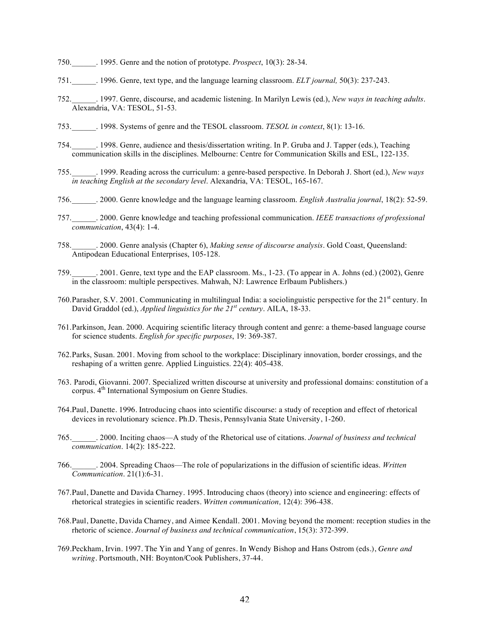- 750.\_\_\_\_\_\_. 1995. Genre and the notion of prototype. *Prospect*, 10(3): 28-34.
- 751.\_\_\_\_\_\_. 1996. Genre, text type, and the language learning classroom. *ELT journal,* 50(3): 237-243.
- 752.\_\_\_\_\_\_. 1997. Genre, discourse, and academic listening. In Marilyn Lewis (ed.), *New ways in teaching adults*. Alexandria, VA: TESOL, 51-53.
- 753.\_\_\_\_\_\_. 1998. Systems of genre and the TESOL classroom. *TESOL in context*, 8(1): 13-16.
- 754.\_\_\_\_\_\_. 1998. Genre, audience and thesis/dissertation writing. In P. Gruba and J. Tapper (eds.), Teaching communication skills in the disciplines. Melbourne: Centre for Communication Skills and ESL, 122-135.
- 755.\_\_\_\_\_\_. 1999. Reading across the curriculum: a genre-based perspective. In Deborah J. Short (ed.), *New ways in teaching English at the secondary level*. Alexandria, VA: TESOL, 165-167.
- 756.\_\_\_\_\_\_. 2000. Genre knowledge and the language learning classroom. *English Australia journal*, 18(2): 52-59.
- 757.\_\_\_\_\_\_. 2000. Genre knowledge and teaching professional communication. *IEEE transactions of professional communication*, 43(4): 1-4.
- 758.\_\_\_\_\_\_. 2000. Genre analysis (Chapter 6), *Making sense of discourse analysis*. Gold Coast, Queensland: Antipodean Educational Enterprises, 105-128.
- 759.\_\_\_\_\_\_. 2001. Genre, text type and the EAP classroom. Ms., 1-23. (To appear in A. Johns (ed.) (2002), Genre in the classroom: multiple perspectives. Mahwah, NJ: Lawrence Erlbaum Publishers.)
- 760. Parasher, S.V. 2001. Communicating in multilingual India: a sociolinguistic perspective for the 21<sup>st</sup> century. In David Graddol (ed.), *Applied linguistics for the 21st century*. AILA, 18-33.
- 761.Parkinson, Jean. 2000. Acquiring scientific literacy through content and genre: a theme-based language course for science students. *English for specific purposes*, 19: 369-387.
- 762.Parks, Susan. 2001. Moving from school to the workplace: Disciplinary innovation, border crossings, and the reshaping of a written genre. Applied Linguistics. 22(4): 405-438.
- 763. Parodi, Giovanni. 2007. Specialized written discourse at university and professional domains: constitution of a corpus. 4<sup>th</sup> International Symposium on Genre Studies.
- 764.Paul, Danette. 1996. Introducing chaos into scientific discourse: a study of reception and effect of rhetorical devices in revolutionary science. Ph.D. Thesis, Pennsylvania State University, 1-260.
- 765.\_\_\_\_\_\_. 2000. Inciting chaos—A study of the Rhetorical use of citations. *Journal of business and technical communication*. 14(2): 185-222.
- 766.\_\_\_\_\_\_. 2004. Spreading Chaos—The role of popularizations in the diffusion of scientific ideas. *Written Communication*. 21(1):6-31.
- 767.Paul, Danette and Davida Charney. 1995. Introducing chaos (theory) into science and engineering: effects of rhetorical strategies in scientific readers. *Written communication,* 12(4): 396-438.
- 768.Paul, Danette, Davida Charney, and Aimee Kendall. 2001. Moving beyond the moment: reception studies in the rhetoric of science. *Journal of business and technical communication*, 15(3): 372-399.
- 769.Peckham, Irvin. 1997. The Yin and Yang of genres. In Wendy Bishop and Hans Ostrom (eds.), *Genre and writing*. Portsmouth, NH: Boynton/Cook Publishers, 37-44.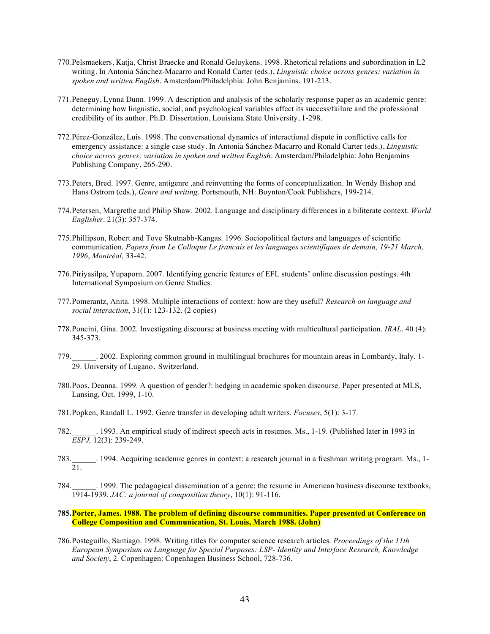- 770.Pelsmaekers, Katja, Christ Braecke and Ronald Geluykens. 1998. Rhetorical relations and subordination in L2 writing. In Antonia Sánchez-Macarro and Ronald Carter (eds.), *Linguistic choice across genres: variation in spoken and written English*. Amsterdam/Philadelphia: John Benjamins, 191-213.
- 771.Peneguy, Lynna Dunn. 1999. A description and analysis of the scholarly response paper as an academic genre: determining how linguistic, social, and psychological variables affect its success/failure and the professional credibility of its author. Ph.D. Dissertation, Louisiana State University, 1-298.
- 772.Pérez-González, Luis. 1998. The conversational dynamics of interactional dispute in conflictive calls for emergency assistance: a single case study. In Antonia Sánchez-Macarro and Ronald Carter (eds.), *Linguistic choice across genres: variation in spoken and written English*. Amsterdam/Philadelphia: John Benjamins Publishing Company, 265-290.
- 773.Peters, Bred. 1997. Genre, antigenre ,and reinventing the forms of conceptualization. In Wendy Bishop and Hans Ostrom (eds.), *Genre and writing*. Portsmouth, NH: Boynton/Cook Publishers, 199-214.
- 774.Petersen, Margrethe and Philip Shaw. 2002. Language and disciplinary differences in a biliterate context. *World Englisher*. 21(3): 357-374.
- 775.Phillipson, Robert and Tove Skutnabb-Kangas. 1996. Sociopolitical factors and languages of scientific communication. *Papers from Le Colloque Le francais et les languages scientifiques de demain, 19-21 March, 1996*, *Montréal*, 33-42.
- 776.Piriyasilpa, Yupaporn. 2007. Identifying generic features of EFL students' online discussion postings. 4th International Symposium on Genre Studies.
- 777.Pomerantz, Anita. 1998. Multiple interactions of context: how are they useful? *Research on language and social interaction*, 31(1): 123-132. (2 copies)
- 778.Poncini, Gina. 2002. Investigating discourse at business meeting with multicultural participation. *IRAL*. 40 (4): 345-373.
- 779. 2002. Exploring common ground in multilingual brochures for mountain areas in Lombardy, Italy. 1-29. University of Lugano. Switzerland.
- 780.Poos, Deanna. 1999. A question of gender?: hedging in academic spoken discourse. Paper presented at MLS, Lansing, Oct. 1999, 1-10.
- 781.Popken, Randall L. 1992. Genre transfer in developing adult writers. *Focuses*, 5(1): 3-17.
- 782.\_\_\_\_\_\_. 1993. An empirical study of indirect speech acts in resumes. Ms., 1-19. (Published later in 1993 in *ESPJ,* 12(3): 239-249.
- 783.\_\_\_\_\_\_. 1994. Acquiring academic genres in context: a research journal in a freshman writing program. Ms., 1- 21.
- 784.\_\_\_\_\_\_. 1999. The pedagogical dissemination of a genre: the resume in American business discourse textbooks, 1914-1939. *JAC: a journal of composition theory*, 10(1): 91-116.
- **785.Porter, James. 1988. The problem of defining discourse communities. Paper presented at Conference on College Composition and Communication, St. Louis, March 1988. (John)**
- 786.Posteguillo, Santiago. 1998. Writing titles for computer science research articles. *Proceedings of the 11th European Symposium on Language for Special Purposes: LSP- Identity and Interface Research, Knowledge and Society*, 2. Copenhagen: Copenhagen Business School, 728-736.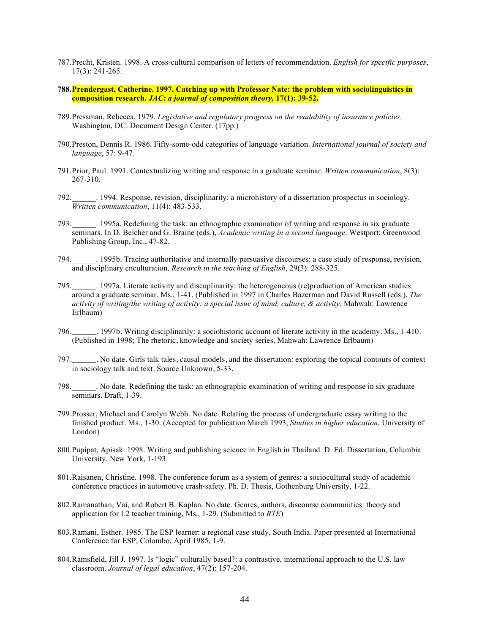- 787.Precht, Kristen. 1998. A cross-cultural comparison of letters of recommendation. *English for specific purposes*, 17(3): 241-265.
- **788.Prendergast, Catherine. 1997. Catching up with Professor Nate: the problem with sociolinguistics in composition research.** *JAC: a journal of composition theory,* **17(1): 39-52.**
- 789.Pressman, Rebecca. 1979. *Legislative and regulatory progress on the readability of insurance policies.* Washington, DC: Document Design Center. (17pp.)
- 790.Preston, Dennis R. 1986. Fifty-some-odd categories of language variation. *International journal of society and language*, 57: 9-47.
- 791.Prior, Paul. 1991. Contextualizing writing and response in a graduate seminar. *Written communication*, 8(3): 267-310.
- 792.\_\_\_\_\_\_. 1994. Response, revision, disciplinarity: a microhistory of a dissertation prospectus in sociology. *Written communication*, 11(4): 483-533.
- 793.\_\_\_\_\_\_. 1995a. Redefining the task: an ethnographic examination of writing and response in six graduate seminars. In D. Belcher and G. Braine (eds.), *Academic writing in a second language*. Westport: Greenwood Publishing Group, Inc., 47-82.
- 794.\_\_\_\_\_\_. 1995b. Tracing authoritative and internally persuasive discourses: a case study of response, revision, and disciplinary enculturation. *Research in the teaching of English*, 29(3): 288-325.
- 795.\_\_\_\_\_\_. 1997a. Literate activity and discuplinarity: the heterogeneous (re)production of American studies around a graduate seminar. Ms., 1-41. (Published in 1997 in Charles Bazerman and David Russell (eds.), *The activity of writing/the writing of activity: a special issue of mind, culture, & activity*, Mahwah: Lawrence Erlbaum)
- 796.\_\_\_\_\_\_. 1997b. Writing disciplinarily: a sociohistoric account of literate activity in the academy. Ms., 1-410. (Published in 1998; The rhetoric, knowledge and society series, Mahwah: Lawrence Erlbaum)
- 797.\_\_\_\_\_\_. No date. Girls talk tales, causal models, and the dissertation: exploring the topical contours of context in sociology talk and text. Source Unknown, 5-33.
- 798.\_\_\_\_\_\_. No date. Redefining the task: an ethnographic examination of writing and response in six graduate seminars. Draft, 1-39.
- 799.Prosser, Michael and Carolyn Webb. No date. Relating the process of undergraduate essay writing to the finished product. Ms., 1-30. (Accepted for publication March 1993, *Studies in higher education*, University of London)
- 800.Pupipat, Apisak. 1998. Writing and publishing science in English in Thailand. D. Ed. Dissertation, Columbia University. New York, 1-193.
- 801.Raisanen, Christine. 1998. The conference forum as a system of genres: a sociocultural study of academic conference practices in automotive crash-safety. Ph. D. Thesis, Gothenburg University, 1-22.
- 802.Ramanathan, Vai, and Robert B. Kaplan. No date. Genres, authors, discourse communities: theory and application for L2 teacher training, Ms., 1-29. (Submitted to *RTE*)
- 803.Ramani, Esther. 1985. The ESP learner: a regional case study, South India. Paper presented at International Conference for ESP, Colombo, April 1985, 1-9.
- 804.Ramsfield, Jill J. 1997. Is "logic" culturally based?: a contrastive, international approach to the U.S. law classroom. *Journal of legal education*, 47(2): 157-204.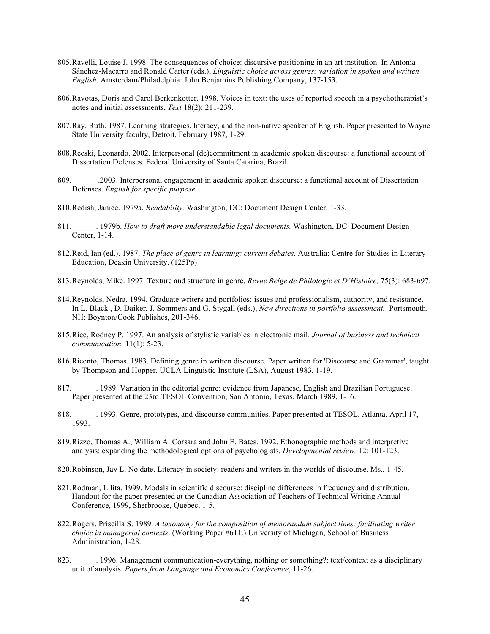- 805.Ravelli, Louise J. 1998. The consequences of choice: discursive positioning in an art institution. In Antonia Sánchez-Macarro and Ronald Carter (eds.), *Linguistic choice across genres: variation in spoken and written English*. Amsterdam/Philadelphia: John Benjamins Publishing Company, 137-153.
- 806.Ravotas, Doris and Carol Berkenkotter. 1998. Voices in text: the uses of reported speech in a psychotherapist's notes and initial assessments, *Text* 18(2): 211-239.
- 807.Ray, Ruth. 1987. Learning strategies, literacy, and the non-native speaker of English. Paper presented to Wayne State University faculty, Detroit, February 1987, 1-29.
- 808.Recski, Leonardo. 2002. Interpersonal (de)commitment in academic spoken discourse: a functional account of Dissertation Defenses. Federal University of Santa Catarina, Brazil.
- 809.\_\_\_\_\_\_ .2003. Interpersonal engagement in academic spoken discourse: a functional account of Dissertation Defenses. *English for specific purpose*.
- 810.Redish, Janice. 1979a. *Readability.* Washington, DC: Document Design Center, 1-33.
- 811.\_\_\_\_\_\_. 1979b. *How to draft more understandable legal documents.* Washington, DC: Document Design Center, 1-14.
- 812.Reid, Ian (ed.). 1987. *The place of genre in learning: current debates.* Australia: Centre for Studies in Literary Education, Deakin University. (125Pp)
- 813.Reynolds, Mike. 1997. Texture and structure in genre. *Revue Belge de Philologie et D'Histoire,* 75(3): 683-697.
- 814.Reynolds, Nedra. 1994. Graduate writers and portfolios: issues and professionalism, authority, and resistance. In L. Black , D. Daiker, J. Sommers and G. Stygall (eds.), *New directions in portfolio assessment.* Portsmouth, NH: Boynton/Cook Publishes, 201-346.
- 815.Rice, Rodney P. 1997. An analysis of stylistic variables in electronic mail. *Journal of business and technical communication,* 11(1): 5-23.
- 816.Ricento, Thomas. 1983. Defining genre in written discourse. Paper written for 'Discourse and Grammar', taught by Thompson and Hopper, UCLA Linguistic Institute (LSA), August 1983, 1-19.
- 817.\_\_\_\_\_\_. 1989. Variation in the editorial genre: evidence from Japanese, English and Brazilian Portuguese. Paper presented at the 23rd TESOL Convention, San Antonio, Texas, March 1989, 1-16.
- 818.\_\_\_\_\_\_. 1993. Genre, prototypes, and discourse communities. Paper presented at TESOL, Atlanta, April 17, 1993.
- 819.Rizzo, Thomas A., William A. Corsara and John E. Bates. 1992. Ethonographic methods and interpretive analysis: expanding the methodological options of psychologists. *Developmental review,* 12: 101-123.
- 820.Robinson, Jay L. No date. Literacy in society: readers and writers in the worlds of discourse. Ms., 1-45.
- 821.Rodman, Lilita. 1999. Modals in scientific discourse: discipline differences in frequency and distribution. Handout for the paper presented at the Canadian Association of Teachers of Technical Writing Annual Conference, 1999, Sherbrooke, Quebec, 1-5.
- 822.Rogers, Priscilla S. 1989. *A taxonomy for the composition of memorandum subject lines: facilitating writer choice in managerial contexts*. (Working Paper #611.) University of Michigan, School of Business Administration, 1-28.
- 823. 1996. Management communication-everything, nothing or something?: text/context as a disciplinary unit of analysis. *Papers from Language and Economics Conference*, 11-26.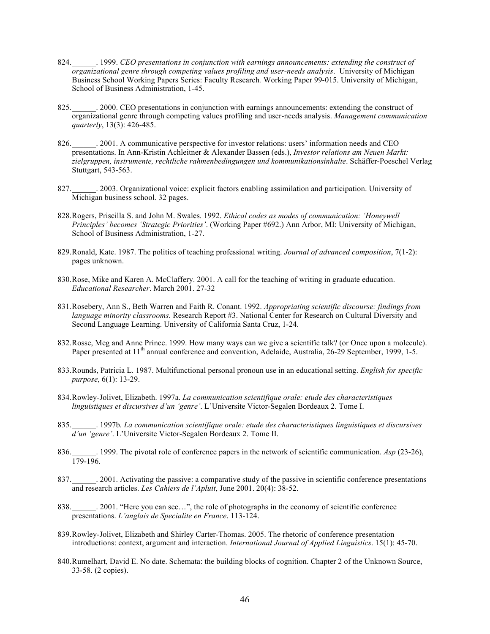- 824. <sup>1999</sup>. *CEO presentations in conjunction with earnings announcements: extending the construct of organizational genre through competing values profiling and user-needs analysis*. University of Michigan Business School Working Papers Series: Faculty Research*.* Working Paper 99-015. University of Michigan, School of Business Administration, 1-45.
- 825. 2000. CEO presentations in conjunction with earnings announcements: extending the construct of organizational genre through competing values profiling and user-needs analysis. *Management communication quarterly*, 13(3): 426-485.
- 826. 2001. A communicative perspective for investor relations: users' information needs and CEO presentations. In Ann-Kristin Achleitner & Alexander Bassen (eds.), *Investor relations am Neuen Markt: zielgruppen, instrumente, rechtliche rahmenbedingungen und kommunikationsinhalte*. Schäffer-Poeschel Verlag Stuttgart, 543-563.
- 827. 2003. Organizational voice: explicit factors enabling assimilation and participation. University of Michigan business school. 32 pages.
- 828.Rogers, Priscilla S. and John M. Swales. 1992. *Ethical codes as modes of communication: 'Honeywell Principles' becomes 'Strategic Priorities'*. (Working Paper #692.) Ann Arbor, MI: University of Michigan, School of Business Administration, 1-27.
- 829.Ronald, Kate. 1987. The politics of teaching professional writing. *Journal of advanced composition*, 7(1-2): pages unknown.
- 830.Rose, Mike and Karen A. McClaffery. 2001. A call for the teaching of writing in graduate education. *Educational Researcher*. March 2001. 27-32
- 831.Rosebery, Ann S., Beth Warren and Faith R. Conant. 1992. *Appropriating scientific discourse: findings from language minority classrooms.* Research Report #3. National Center for Research on Cultural Diversity and Second Language Learning. University of California Santa Cruz, 1-24.
- 832.Rosse, Meg and Anne Prince. 1999. How many ways can we give a scientific talk? (or Once upon a molecule). Paper presented at  $11<sup>th</sup>$  annual conference and convention, Adelaide, Australia, 26-29 September, 1999, 1-5.
- 833.Rounds, Patricia L. 1987. Multifunctional personal pronoun use in an educational setting. *English for specific purpose*, 6(1): 13-29.
- 834.Rowley-Jolivet, Elizabeth. 1997a. *La communication scientifique orale: etude des characteristiques linguistiques et discursives d'un 'genre'*. L'Universite Victor-Segalen Bordeaux 2. Tome I.
- 835.\_\_\_\_\_\_. 1997b*. La communication scientifique orale: etude des characteristiques linguistiques et discursives d'un 'genre'*. L'Universite Victor-Segalen Bordeaux 2. Tome II.
- 836.\_\_\_\_\_\_. 1999. The pivotal role of conference papers in the network of scientific communication. *Asp* (23-26), 179-196.
- 837. 2001. Activating the passive: a comparative study of the passive in scientific conference presentations and research articles. *Les Cahiers de l'Apluit*, June 2001. 20(4): 38-52.
- 838. 2001. "Here you can see...", the role of photographs in the economy of scientific conference presentations. *L'anglais de Specialite en France*. 113-124.
- 839.Rowley-Jolivet, Elizabeth and Shirley Carter-Thomas. 2005. The rhetoric of conference presentation introductions: context, argument and interaction. *International Journal of Applied Linguistics*. 15(1): 45-70.
- 840.Rumelhart, David E. No date. Schemata: the building blocks of cognition. Chapter 2 of the Unknown Source, 33-58. (2 copies).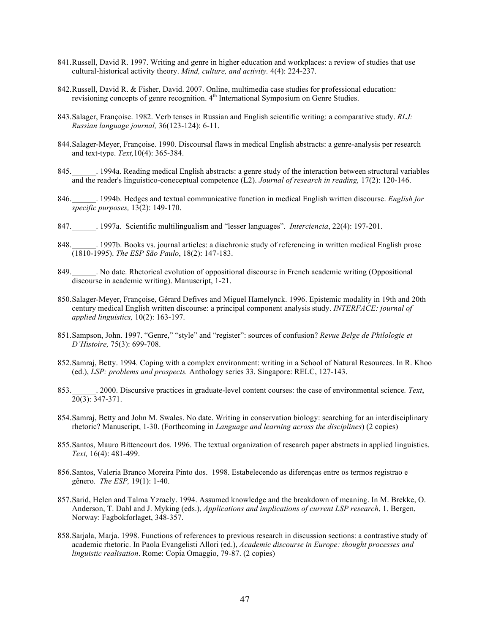- 841.Russell, David R. 1997. Writing and genre in higher education and workplaces: a review of studies that use cultural-historical activity theory. *Mind, culture, and activity.* 4(4): 224-237.
- 842.Russell, David R. & Fisher, David. 2007. Online, multimedia case studies for professional education: revisioning concepts of genre recognition. 4<sup>th</sup> International Symposium on Genre Studies.
- 843.Salager, Françoise. 1982. Verb tenses in Russian and English scientific writing: a comparative study. *RLJ: Russian language journal,* 36(123-124): 6-11.
- 844.Salager-Meyer, Françoise. 1990. Discoursal flaws in medical English abstracts: a genre-analysis per research and text-type. *Text,*10(4): 365-384.
- 845.\_\_\_\_\_\_. 1994a. Reading medical English abstracts: a genre study of the interaction between structural variables and the reader's linguistico-coneceptual competence (L2). *Journal of research in reading,* 17(2): 120-146.
- 846.\_\_\_\_\_\_. 1994b. Hedges and textual communicative function in medical English written discourse. *English for specific purposes,* 13(2): 149-170.
- 847.\_\_\_\_\_\_. 1997a. Scientific multilingualism and "lesser languages". *Interciencia*, 22(4): 197-201.
- 848. Let 1997b. Books vs. journal articles: a diachronic study of referencing in written medical English prose (1810-1995). *The ESP São Paulo*, 18(2): 147-183.
- 849. No date. Rhetorical evolution of oppositional discourse in French academic writing (Oppositional discourse in academic writing). Manuscript, 1-21.
- 850.Salager-Meyer, Françoise, Gérard Defives and Miguel Hamelynck. 1996. Epistemic modality in 19th and 20th century medical English written discourse: a principal component analysis study. *INTERFACE: journal of applied linguistics,* 10(2): 163-197.
- 851.Sampson, John. 1997. "Genre," "style" and "register": sources of confusion? *Revue Belge de Philologie et D'Histoire,* 75(3): 699-708.
- 852.Samraj, Betty. 1994. Coping with a complex environment: writing in a School of Natural Resources. In R. Khoo (ed.), *LSP: problems and prospects.* Anthology series 33. Singapore: RELC, 127-143.
- 853.\_\_\_\_\_\_. 2000. Discursive practices in graduate-level content courses: the case of environmental science*. Text*, 20(3): 347-371.
- 854.Samraj, Betty and John M. Swales. No date. Writing in conservation biology: searching for an interdisciplinary rhetoric? Manuscript, 1-30. (Forthcoming in *Language and learning across the disciplines*) (2 copies)
- 855.Santos, Mauro Bittencourt dos. 1996. The textual organization of research paper abstracts in applied linguistics. *Text,* 16(4): 481-499.
- 856.Santos, Valeria Branco Moreira Pinto dos. 1998. Estabelecendo as diferenças entre os termos registrao e gênero*. The ESP,* 19(1): 1-40.
- 857.Sarid, Helen and Talma Yzraely. 1994. Assumed knowledge and the breakdown of meaning. In M. Brekke, O. Anderson, T. Dahl and J. Myking (eds.), *Applications and implications of current LSP research*, 1. Bergen, Norway: Fagbokforlaget, 348-357.
- 858.Sarjala, Marja. 1998. Functions of references to previous research in discussion sections: a contrastive study of academic rhetoric. In Paola Evangelisti Allori (ed.), *Academic discourse in Europe: thought processes and linguistic realisation*. Rome: Copia Omaggio, 79-87. (2 copies)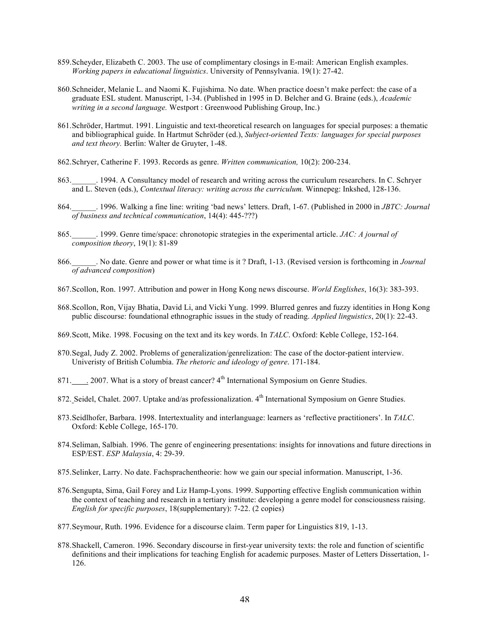- 859.Scheyder, Elizabeth C. 2003. The use of complimentary closings in E-mail: American English examples. *Working papers in educational linguistics*. University of Pennsylvania. 19(1): 27-42.
- 860.Schneider, Melanie L. and Naomi K. Fujishima. No date. When practice doesn't make perfect: the case of a graduate ESL student. Manuscript, 1-34. (Published in 1995 in D. Belcher and G. Braine (eds.), *Academic writing in a second language.* Westport : Greenwood Publishing Group, Inc.)
- 861.Schröder, Hartmut. 1991. Linguistic and text-theoretical research on languages for special purposes: a thematic and bibliographical guide. In Hartmut Schröder (ed.), *Subject-oriented Texts: languages for special purposes and text theory.* Berlin: Walter de Gruyter, 1-48.
- 862.Schryer, Catherine F. 1993. Records as genre. *Written communication,* 10(2): 200-234.
- 863. 1994. A Consultancy model of research and writing across the curriculum researchers. In C. Schryer and L. Steven (eds.), *Contextual literacy: writing across the curriculum.* Winnepeg: Inkshed, 128-136.
- 864.\_\_\_\_\_\_. 1996. Walking a fine line: writing 'bad news' letters. Draft, 1-67. (Published in 2000 in *JBTC: Journal of business and technical communication*, 14(4): 445-???)
- 865.\_\_\_\_\_\_. 1999. Genre time/space: chronotopic strategies in the experimental article. *JAC: A journal of composition theory*, 19(1): 81-89
- 866.\_\_\_\_\_\_. No date. Genre and power or what time is it ? Draft, 1-13. (Revised version is forthcoming in *Journal of advanced composition*)
- 867.Scollon, Ron. 1997. Attribution and power in Hong Kong news discourse. *World Englishes*, 16(3): 383-393.
- 868.Scollon, Ron, Vijay Bhatia, David Li, and Vicki Yung. 1999. Blurred genres and fuzzy identities in Hong Kong public discourse: foundational ethnographic issues in the study of reading. *Applied linguistics*, 20(1): 22-43.
- 869.Scott, Mike. 1998. Focusing on the text and its key words. In *TALC*. Oxford: Keble College, 152-164.
- 870.Segal, Judy Z. 2002. Problems of generalization/genrelization: The case of the doctor-patient interview. Univeristy of British Columbia. *The rhetoric and ideology of genre*. 171-184.
- 871. . . 2007. What is a story of breast cancer? 4<sup>th</sup> International Symposium on Genre Studies.
- 872. Seidel, Chalet. 2007. Uptake and/as professionalization. 4<sup>th</sup> International Symposium on Genre Studies.
- 873.Seidlhofer, Barbara. 1998. Intertextuality and interlanguage: learners as 'reflective practitioners'. In *TALC*. Oxford: Keble College, 165-170.
- 874.Seliman, Salbiah. 1996. The genre of engineering presentations: insights for innovations and future directions in ESP/EST. *ESP Malaysia*, 4: 29-39.
- 875.Selinker, Larry. No date. Fachsprachentheorie: how we gain our special information. Manuscript, 1-36.
- 876.Sengupta, Sima, Gail Forey and Liz Hamp-Lyons. 1999. Supporting effective English communication within the context of teaching and research in a tertiary institute: developing a genre model for consciousness raising. *English for specific purposes*, 18(supplementary): 7-22. (2 copies)
- 877.Seymour, Ruth. 1996. Evidence for a discourse claim. Term paper for Linguistics 819, 1-13.
- 878.Shackell, Cameron. 1996. Secondary discourse in first-year university texts: the role and function of scientific definitions and their implications for teaching English for academic purposes. Master of Letters Dissertation, 1- 126.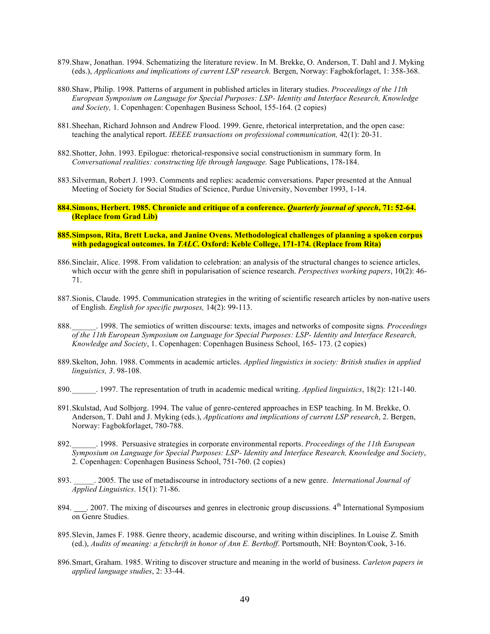- 879.Shaw, Jonathan. 1994. Schematizing the literature review. In M. Brekke, O. Anderson, T. Dahl and J. Myking (eds.), *Applications and implications of current LSP research.* Bergen, Norway: Fagbokforlaget, 1: 358-368.
- 880.Shaw, Philip. 1998. Patterns of argument in published articles in literary studies. *Proceedings of the 11th European Symposium on Language for Special Purposes: LSP- Identity and Interface Research, Knowledge and Society,* 1. Copenhagen: Copenhagen Business School, 155-164. (2 copies)
- 881.Sheehan, Richard Johnson and Andrew Flood. 1999. Genre, rhetorical interpretation, and the open case: teaching the analytical report. *IEEEE transactions on professional communication,* 42(1): 20-31.
- 882.Shotter, John. 1993. Epilogue: rhetorical-responsive social constructionism in summary form. In *Conversational realities: constructing life through language.* Sage Publications, 178-184.
- 883.Silverman, Robert J. 1993. Comments and replies: academic conversations. Paper presented at the Annual Meeting of Society for Social Studies of Science, Purdue University, November 1993, 1-14.
- **884.Simons, Herbert. 1985. Chronicle and critique of a conference.** *Quarterly journal of speech***, 71: 52-64. (Replace from Grad Lib)**
- **885.Simpson, Rita, Brett Lucka, and Janine Ovens. Methodological challenges of planning a spoken corpus with pedagogical outcomes. In** *TALC***. Oxford: Keble College, 171-174. (Replace from Rita)**
- 886.Sinclair, Alice. 1998. From validation to celebration: an analysis of the structural changes to science articles, which occur with the genre shift in popularisation of science research. *Perspectives working papers*, 10(2): 46- 71.
- 887.Sionis, Claude. 1995. Communication strategies in the writing of scientific research articles by non-native users of English. *English for specific purposes,* 14(2): 99-113.
- 888.\_\_\_\_\_\_. 1998. The semiotics of written discourse: texts, images and networks of composite signs*. Proceedings of the 11th European Symposium on Language for Special Purposes: LSP- Identity and Interface Research, Knowledge and Society*, 1. Copenhagen: Copenhagen Business School, 165- 173. (2 copies)
- 889.Skelton, John. 1988. Comments in academic articles. *Applied linguistics in society: British studies in applied linguistics, 3*. 98-108.
- 890.\_\_\_\_\_\_. 1997. The representation of truth in academic medical writing. *Applied linguistics*, 18(2): 121-140.
- 891.Skulstad, Aud Solbjorg. 1994. The value of genre-centered approaches in ESP teaching. In M. Brekke, O. Anderson, T. Dahl and J. Myking (eds.), *Applications and implications of current LSP research*, 2. Bergen, Norway: Fagbokforlaget, 780-788.
- 892.\_\_\_\_\_\_. 1998. Persuasive strategies in corporate environmental reports. *Proceedings of the 11th European Symposium on Language for Special Purposes: LSP- Identity and Interface Research, Knowledge and Society*, 2. Copenhagen: Copenhagen Business School, 751-760. (2 copies)
- 893. \_\_\_\_\_. 2005. The use of metadiscourse in introductory sections of a new genre. *International Journal of Applied Linguistics*. 15(1): 71-86.
- 894. . . 2007. The mixing of discourses and genres in electronic group discussions. 4<sup>th</sup> International Symposium on Genre Studies.
- 895.Slevin, James F. 1988. Genre theory, academic discourse, and writing within disciplines. In Louise Z. Smith (ed.), *Audits of meaning: a fetschrift in honor of Ann E. Berthoff*. Portsmouth, NH: Boynton/Cook, 3-16.
- 896.Smart, Graham. 1985. Writing to discover structure and meaning in the world of business. *Carleton papers in applied language studies*, 2: 33-44.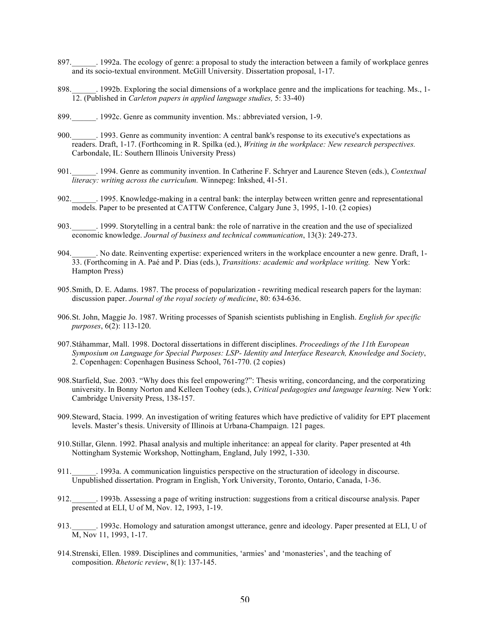- 897. 1992a. The ecology of genre: a proposal to study the interaction between a family of workplace genres and its socio-textual environment. McGill University. Dissertation proposal, 1-17.
- 898. 1992b. Exploring the social dimensions of a workplace genre and the implications for teaching. Ms., 1-12. (Published in *Carleton papers in applied language studies,* 5: 33-40)
- 899. 1992c. Genre as community invention. Ms.: abbreviated version, 1-9.
- 900.\_\_\_\_\_\_. 1993. Genre as community invention: A central bank's response to its executive's expectations as readers. Draft, 1-17. (Forthcoming in R. Spilka (ed.), *Writing in the workplace: New research perspectives.* Carbondale, IL: Southern Illinois University Press)
- 901.\_\_\_\_\_\_. 1994. Genre as community invention. In Catherine F. Schryer and Laurence Steven (eds.), *Contextual literacy: writing across the curriculum.* Winnepeg: Inkshed, 41-51.
- 902.\_\_\_\_\_\_. 1995. Knowledge-making in a central bank: the interplay between written genre and representational models. Paper to be presented at CATTW Conference, Calgary June 3, 1995, 1-10. (2 copies)
- 903.\_\_\_\_\_\_. 1999. Storytelling in a central bank: the role of narrative in the creation and the use of specialized economic knowledge. *Journal of business and technical communication*, 13(3): 249-273.
- 904. No date. Reinventing expertise: experienced writers in the workplace encounter a new genre. Draft, 1-33. (Forthcoming in A. Paé and P. Dias (eds.), *Transitions: academic and workplace writing.* New York: Hampton Press)
- 905.Smith, D. E. Adams. 1987. The process of popularization rewriting medical research papers for the layman: discussion paper. *Journal of the royal society of medicine*, 80: 634-636.
- 906.St. John, Maggie Jo. 1987. Writing processes of Spanish scientists publishing in English. *English for specific purposes*, 6(2): 113-120.
- 907.Ståhammar, Mall. 1998. Doctoral dissertations in different disciplines. *Proceedings of the 11th European Symposium on Language for Special Purposes: LSP- Identity and Interface Research, Knowledge and Society*, 2. Copenhagen: Copenhagen Business School, 761-770. (2 copies)
- 908.Starfield, Sue. 2003. "Why does this feel empowering?": Thesis writing, concordancing, and the corporatizing university. In Bonny Norton and Kelleen Toohey (eds.), *Critical pedagogies and language learning.* New York: Cambridge University Press, 138-157.
- 909.Steward, Stacia. 1999. An investigation of writing features which have predictive of validity for EPT placement levels. Master's thesis. University of Illinois at Urbana-Champaign. 121 pages.
- 910.Stillar, Glenn. 1992. Phasal analysis and multiple inheritance: an appeal for clarity. Paper presented at 4th Nottingham Systemic Workshop, Nottingham, England, July 1992, 1-330.
- 911.\_\_\_\_\_\_. 1993a. A communication linguistics perspective on the structuration of ideology in discourse. Unpublished dissertation. Program in English, York University, Toronto, Ontario, Canada, 1-36.
- 912. 1993b. Assessing a page of writing instruction: suggestions from a critical discourse analysis. Paper presented at ELI, U of M, Nov. 12, 1993, 1-19.
- 913.\_\_\_\_\_\_. 1993c. Homology and saturation amongst utterance, genre and ideology. Paper presented at ELI, U of M, Nov 11, 1993, 1-17.
- 914.Strenski, Ellen. 1989. Disciplines and communities, 'armies' and 'monasteries', and the teaching of composition. *Rhetoric review*, 8(1): 137-145.

.<br>.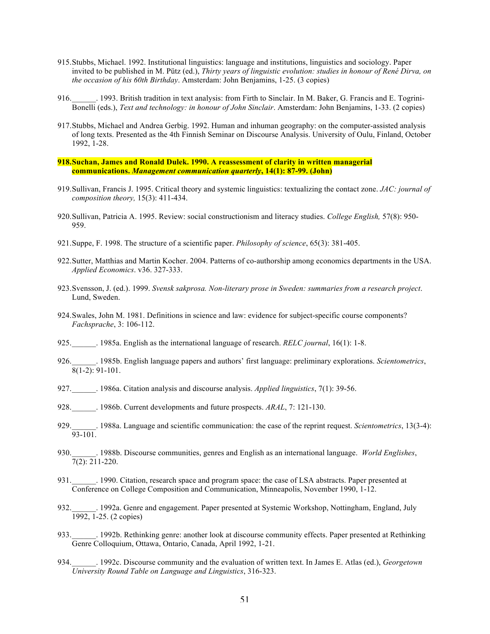- 915.Stubbs, Michael. 1992. Institutional linguistics: language and institutions, linguistics and sociology. Paper invited to be published in M. Pütz (ed.), *Thirty years of linguistic evolution: studies in honour of René Dirva, on the occasion of his 60th Birthday*. Amsterdam: John Benjamins, 1-25. (3 copies)
- 916.\_\_\_\_\_\_. 1993. British tradition in text analysis: from Firth to Sinclair. In M. Baker, G. Francis and E. Togrini-Bonelli (eds.), *Text and technology: in honour of John Sinclair*. Amsterdam: John Benjamins, 1-33. (2 copies)
- 917.Stubbs, Michael and Andrea Gerbig. 1992. Human and inhuman geography: on the computer-assisted analysis of long texts. Presented as the 4th Finnish Seminar on Discourse Analysis. University of Oulu, Finland, October 1992, 1-28.
- **918.Suchan, James and Ronald Dulek. 1990. A reassessment of clarity in written managerial communications.** *Management communication quarterly***, 14(1): 87-99. (John)**
- 919.Sullivan, Francis J. 1995. Critical theory and systemic linguistics: textualizing the contact zone. *JAC: journal of composition theory,* 15(3): 411-434.
- 920.Sullivan, Patricia A. 1995. Review: social constructionism and literacy studies. *College English,* 57(8): 950- 959.
- 921.Suppe, F. 1998. The structure of a scientific paper. *Philosophy of science*, 65(3): 381-405.
- 922.Sutter, Matthias and Martin Kocher. 2004. Patterns of co-authorship among economics departments in the USA. *Applied Economics*. v36. 327-333.
- 923.Svensson, J. (ed.). 1999. *Svensk sakprosa. Non-literary prose in Sweden: summaries from a research project*. Lund, Sweden.
- 924.Swales, John M. 1981. Definitions in science and law: evidence for subject-specific course components? *Fachsprache*, 3: 106-112.
- 925.\_\_\_\_\_\_. 1985a. English as the international language of research. *RELC journal*, 16(1): 1-8.
- 926.\_\_\_\_\_\_. 1985b. English language papers and authors' first language: preliminary explorations. *Scientometrics*,  $\sqrt{8(1-2)}$ : 91-101.
- 927.\_\_\_\_\_\_. 1986a. Citation analysis and discourse analysis. *Applied linguistics*, 7(1): 39-56.
- 928.\_\_\_\_\_\_. 1986b. Current developments and future prospects. *ARAL*, 7: 121-130.
- 929.\_\_\_\_\_\_. 1988a. Language and scientific communication: the case of the reprint request. *Scientometrics*, 13(3-4): 93-101.
- 930.\_\_\_\_\_\_. 1988b. Discourse communities, genres and English as an international language. *World Englishes*, 7(2): 211-220.
- 931.\_\_\_\_\_\_\_. 1990. Citation, research space and program space: the case of LSA abstracts. Paper presented at Conference on College Composition and Communication, Minneapolis, November 1990, 1-12.
- 932.\_\_\_\_\_\_. 1992a. Genre and engagement. Paper presented at Systemic Workshop, Nottingham, England, July 1992, 1-25. (2 copies)
- 933.\_\_\_\_\_\_. 1992b. Rethinking genre: another look at discourse community effects. Paper presented at Rethinking Genre Colloquium, Ottawa, Ontario, Canada, April 1992, 1-21.
- 934.\_\_\_\_\_\_. 1992c. Discourse community and the evaluation of written text. In James E. Atlas (ed.), *Georgetown University Round Table on Language and Linguistics*, 316-323.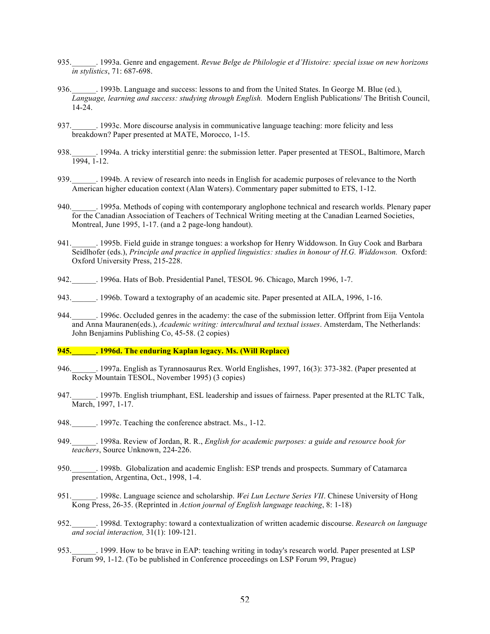- 935.\_\_\_\_\_\_. 1993a. Genre and engagement. *Revue Belge de Philologie et d'Histoire: special issue on new horizons in stylistics*, 71: 687-698.
- 936.\_\_\_\_\_\_. 1993b. Language and success: lessons to and from the United States. In George M. Blue (ed.), *Language, learning and success: studying through English.* Modern English Publications/ The British Council, 14-24.
- 937. 1993c. More discourse analysis in communicative language teaching: more felicity and less breakdown? Paper presented at MATE, Morocco, 1-15.
- 938. Letter 1994a. A tricky interstitial genre: the submission letter. Paper presented at TESOL, Baltimore, March 1994, 1-12.
- 939.\_\_\_\_\_\_. 1994b. A review of research into needs in English for academic purposes of relevance to the North American higher education context (Alan Waters). Commentary paper submitted to ETS, 1-12.
- 940.\_\_\_\_\_\_. 1995a. Methods of coping with contemporary anglophone technical and research worlds. Plenary paper for the Canadian Association of Teachers of Technical Writing meeting at the Canadian Learned Societies, Montreal, June 1995, 1-17. (and a 2 page-long handout).
- 941.\_\_\_\_\_\_. 1995b. Field guide in strange tongues: a workshop for Henry Widdowson. In Guy Cook and Barbara Seidlhofer (eds.), *Principle and practice in applied linguistics: studies in honour of H.G. Widdowson.* Oxford: Oxford University Press, 215-228.
- 942. 1996a. Hats of Bob. Presidential Panel, TESOL 96. Chicago, March 1996, 1-7.
- 943. 1996b. Toward a textography of an academic site. Paper presented at AILA, 1996, 1-16.
- 944. 1996c. Occluded genres in the academy: the case of the submission letter. Offprint from Eija Ventola and Anna Mauranen(eds.), *Academic writing: intercultural and textual issues*. Amsterdam, The Netherlands: John Benjamins Publishing Co, 45-58. (2 copies)

## **945.\_\_\_\_\_\_. 1996d. The enduring Kaplan legacy. Ms. (Will Replace)**

- 946.\_\_\_\_\_\_. 1997a. English as Tyrannosaurus Rex. World Englishes, 1997, 16(3): 373-382. (Paper presented at Rocky Mountain TESOL, November 1995) (3 copies)
- 947.\_\_\_\_\_\_. 1997b. English triumphant, ESL leadership and issues of fairness. Paper presented at the RLTC Talk, March, 1997, 1-17.
- 948.  $\qquad \qquad$  1997c. Teaching the conference abstract. Ms., 1-12.
- 949.\_\_\_\_\_\_. 1998a. Review of Jordan, R. R., *English for academic purposes: a guide and resource book for teachers*, Source Unknown, 224-226.
- 950.\_\_\_\_\_\_. 1998b. Globalization and academic English: ESP trends and prospects. Summary of Catamarca presentation, Argentina, Oct., 1998, 1-4.
- 951.\_\_\_\_\_\_. 1998c. Language science and scholarship. *Wei Lun Lecture Series VII*. Chinese University of Hong Kong Press, 26-35. (Reprinted in *Action journal of English language teaching*, 8: 1-18)
- 952.\_\_\_\_\_\_. 1998d. Textography: toward a contextualization of written academic discourse. *Research on language and social interaction,* 31(1): 109-121.
- 953.\_\_\_\_\_\_. 1999. How to be brave in EAP: teaching writing in today's research world. Paper presented at LSP Forum 99, 1-12. (To be published in Conference proceedings on LSP Forum 99, Prague)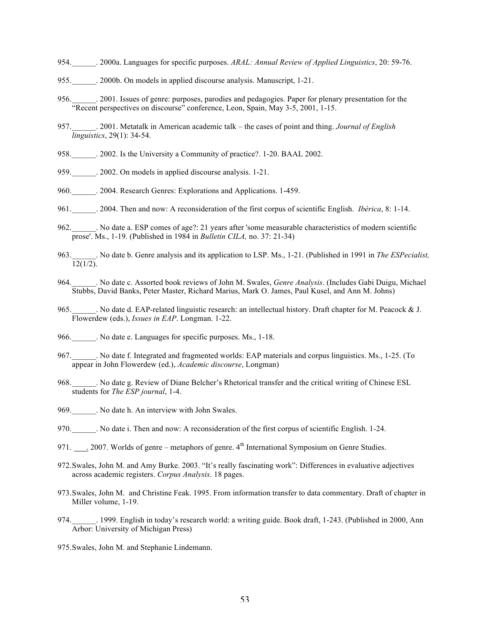- 954.\_\_\_\_\_\_. 2000a. Languages for specific purposes. *ARAL: Annual Review of Applied Linguistics*, 20: 59-76.
- 955.\_\_\_\_\_\_. 2000b. On models in applied discourse analysis. Manuscript, 1-21.
- 956.\_\_\_\_\_\_. 2001. Issues of genre: purposes, parodies and pedagogies. Paper for plenary presentation for the "Recent perspectives on discourse" conference, Leon, Spain, May 3-5, 2001, 1-15.
- 957.\_\_\_\_\_\_. 2001. Metatalk in American academic talk the cases of point and thing. *Journal of English linguistics*, 29(1): 34-54.
- 958.\_\_\_\_\_\_. 2002. Is the University a Community of practice?. 1-20. BAAL 2002.
- 959.  $\qquad \qquad .2002$ . On models in applied discourse analysis. 1-21.
- 960. 2004. Research Genres: Explorations and Applications. 1-459.
- 961.\_\_\_\_\_\_. 2004. Then and now: A reconsideration of the first corpus of scientific English. *Ibérica*, 8: 1-14.
- 962.\_\_\_\_\_\_. No date a. ESP comes of age?: 21 years after 'some measurable characteristics of modern scientific prose'. Ms., 1-19. (Published in 1984 in *Bulletin CILA,* no. 37: 21-34)
- 963.\_\_\_\_\_\_. No date b. Genre analysis and its application to LSP. Ms., 1-21. (Published in 1991 in *The ESPecialist,*   $\overline{12(1/2)}$ .
- 964.\_\_\_\_\_\_. No date c. Assorted book reviews of John M. Swales, *Genre Analysis*. (Includes Gabi Duigu, Michael Stubbs, David Banks, Peter Master, Richard Marius, Mark O. James, Paul Kusel, and Ann M. Johns)
- 965. No date d. EAP-related linguistic research: an intellectual history. Draft chapter for M. Peacock & J. Flowerdew (eds.), *Issues in EAP*. Longman. 1-22.
- 966. No date e. Languages for specific purposes. Ms., 1-18.
- 967.\_\_\_\_\_\_. No date f. Integrated and fragmented worlds: EAP materials and corpus linguistics. Ms., 1-25. (To appear in John Flowerdew (ed.), *Academic discourse*, Longman)
- 968.\_\_\_\_\_\_. No date g. Review of Diane Belcher's Rhetorical transfer and the critical writing of Chinese ESL students for *The ESP journal*, 1-4.
- 969. No date h. An interview with John Swales.
- 970. No date i. Then and now: A reconsideration of the first corpus of scientific English. 1-24.
- 971. . . 2007. Worlds of genre metaphors of genre. 4<sup>th</sup> International Symposium on Genre Studies.
- 972.Swales, John M. and Amy Burke. 2003. "It's really fascinating work": Differences in evaluative adjectives across academic registers. *Corpus Analysis*. 18 pages.
- 973.Swales, John M. and Christine Feak. 1995. From information transfer to data commentary. Draft of chapter in Miller volume, 1-19.
- 974. 1999. English in today's research world: a writing guide. Book draft, 1-243. (Published in 2000, Ann Arbor: University of Michigan Press)
- 975.Swales, John M. and Stephanie Lindemann.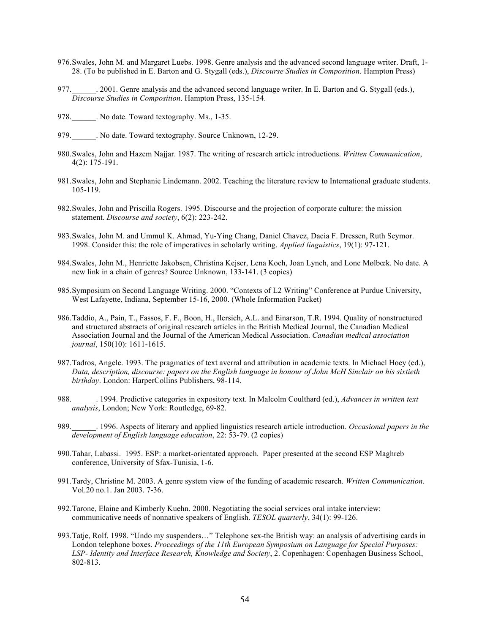- 976.Swales, John M. and Margaret Luebs. 1998. Genre analysis and the advanced second language writer. Draft, 1- 28. (To be published in E. Barton and G. Stygall (eds.), *Discourse Studies in Composition*. Hampton Press)
- 977. 2001. Genre analysis and the advanced second language writer. In E. Barton and G. Stygall (eds.), *Discourse Studies in Composition*. Hampton Press, 135-154.
- 978. No date. Toward textography. Ms., 1-35.
- 979. No date. Toward textography. Source Unknown, 12-29.
- 980.Swales, John and Hazem Najjar. 1987. The writing of research article introductions. *Written Communication*, 4(2): 175-191.
- 981.Swales, John and Stephanie Lindemann. 2002. Teaching the literature review to International graduate students. 105-119.
- 982.Swales, John and Priscilla Rogers. 1995. Discourse and the projection of corporate culture: the mission statement. *Discourse and society*, 6(2): 223-242.
- 983.Swales, John M. and Ummul K. Ahmad, Yu-Ying Chang, Daniel Chavez, Dacia F. Dressen, Ruth Seymor. 1998. Consider this: the role of imperatives in scholarly writing. *Applied linguistics*, 19(1): 97-121.
- 984.Swales, John M., Henriette Jakobsen, Christina Kejser, Lena Koch, Joan Lynch, and Lone Mølbœk. No date. A new link in a chain of genres? Source Unknown, 133-141. (3 copies)
- 985.Symposium on Second Language Writing. 2000. "Contexts of L2 Writing" Conference at Purdue University, West Lafayette, Indiana, September 15-16, 2000. (Whole Information Packet)
- 986.Taddio, A., Pain, T., Fassos, F. F., Boon, H., Ilersich, A.L. and Einarson, T.R. 1994. Quality of nonstructured and structured abstracts of original research articles in the British Medical Journal, the Canadian Medical Association Journal and the Journal of the American Medical Association. *Canadian medical association journal*, 150(10): 1611-1615.
- 987.Tadros, Angele. 1993. The pragmatics of text averral and attribution in academic texts. In Michael Hoey (ed.), *Data, description, discourse: papers on the English language in honour of John McH Sinclair on his sixtieth birthday*. London: HarperCollins Publishers, 98-114.
- 988.\_\_\_\_\_\_. 1994. Predictive categories in expository text. In Malcolm Coulthard (ed.), *Advances in written text analysis*, London; New York: Routledge, 69-82.
- 989.\_\_\_\_\_\_. 1996. Aspects of literary and applied linguistics research article introduction. *Occasional papers in the development of English language education*, 22: 53-79. (2 copies)
- 990.Tahar, Labassi. 1995. ESP: a market-orientated approach. Paper presented at the second ESP Maghreb conference, University of Sfax-Tunisia, 1-6.
- 991.Tardy, Christine M. 2003. A genre system view of the funding of academic research. *Written Communication*. Vol.20 no.1. Jan 2003. 7-36.
- 992.Tarone, Elaine and Kimberly Kuehn. 2000. Negotiating the social services oral intake interview: communicative needs of nonnative speakers of English. *TESOL quarterly*, 34(1): 99-126.
- 993.Tatje, Rolf. 1998. "Undo my suspenders…" Telephone sex-the British way: an analysis of advertising cards in London telephone boxes. *Proceedings of the 11th European Symposium on Language for Special Purposes: LSP- Identity and Interface Research, Knowledge and Society*, 2. Copenhagen: Copenhagen Business School, 802-813.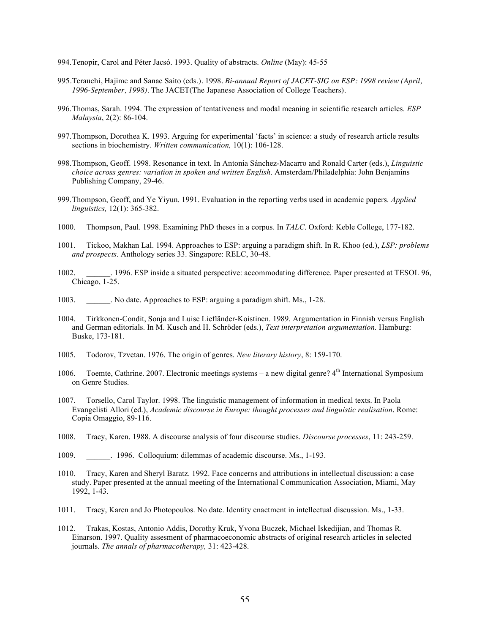- 994.Tenopir, Carol and Péter Jacsó. 1993. Quality of abstracts. *Online* (May): 45-55
- 995.Terauchi, Hajime and Sanae Saito (eds.). 1998. *Bi-annual Report of JACET-SIG on ESP: 1998 review (April, 1996-September, 1998).* The JACET(The Japanese Association of College Teachers).
- 996.Thomas, Sarah. 1994. The expression of tentativeness and modal meaning in scientific research articles. *ESP Malaysia*, 2(2): 86-104.
- 997.Thompson, Dorothea K. 1993. Arguing for experimental 'facts' in science: a study of research article results sections in biochemistry. *Written communication,* 10(1): 106-128.
- 998.Thompson, Geoff. 1998. Resonance in text. In Antonia Sánchez-Macarro and Ronald Carter (eds.), *Linguistic choice across genres: variation in spoken and written English*. Amsterdam/Philadelphia: John Benjamins Publishing Company, 29-46.
- 999.Thompson, Geoff, and Ye Yiyun. 1991. Evaluation in the reporting verbs used in academic papers. *Applied linguistics,* 12(1): 365-382.
- 1000. Thompson, Paul. 1998. Examining PhD theses in a corpus. In *TALC*. Oxford: Keble College, 177-182.
- 1001. Tickoo, Makhan Lal. 1994. Approaches to ESP: arguing a paradigm shift. In R. Khoo (ed.), *LSP: problems and prospects*. Anthology series 33. Singapore: RELC, 30-48.
- 1002. \_\_\_\_\_\_. 1996. ESP inside a situated perspective: accommodating difference. Paper presented at TESOL 96, Chicago, 1-25.
- 1003. \_\_\_\_\_\_. No date. Approaches to ESP: arguing a paradigm shift. Ms., 1-28.
- 1004. Tirkkonen-Condit, Sonja and Luise Liefländer-Koistinen. 1989. Argumentation in Finnish versus English and German editorials. In M. Kusch and H. Schröder (eds.), *Text interpretation argumentation.* Hamburg: Buske, 173-181.
- 1005. Todorov, Tzvetan. 1976. The origin of genres. *New literary history*, 8: 159-170.
- 1006. Toemte, Cathrine. 2007. Electronic meetings systems a new digital genre?  $4<sup>th</sup>$  International Symposium on Genre Studies.
- 1007. Torsello, Carol Taylor. 1998. The linguistic management of information in medical texts. In Paola Evangelisti Allori (ed.), *Academic discourse in Europe: thought processes and linguistic realisation*. Rome: Copia Omaggio, 89-116.
- 1008. Tracy, Karen. 1988. A discourse analysis of four discourse studies. *Discourse processes*, 11: 243-259.
- 1009. \_\_\_\_\_\_. 1996. Colloquium: dilemmas of academic discourse. Ms., 1-193.
- 1010. Tracy, Karen and Sheryl Baratz. 1992. Face concerns and attributions in intellectual discussion: a case study. Paper presented at the annual meeting of the International Communication Association, Miami, May 1992, 1-43.
- 1011. Tracy, Karen and Jo Photopoulos. No date. Identity enactment in intellectual discussion. Ms., 1-33.
- 1012. Trakas, Kostas, Antonio Addis, Dorothy Kruk, Yvona Buczek, Michael Iskedijian, and Thomas R. Einarson. 1997. Quality assesment of pharmacoeconomic abstracts of original research articles in selected journals. *The annals of pharmacotherapy,* 31: 423-428.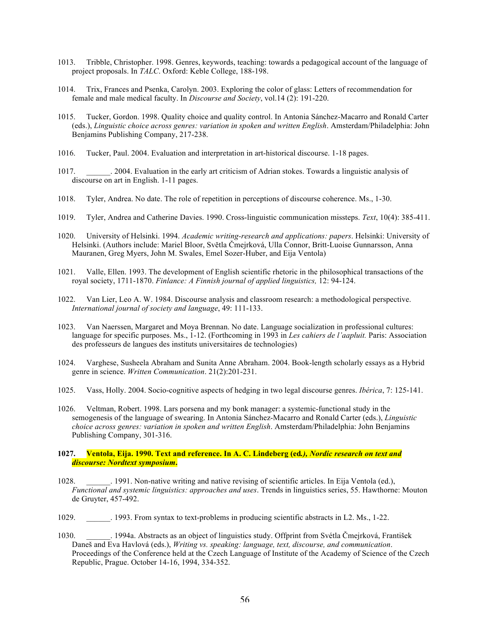- 1013. Tribble, Christopher. 1998. Genres, keywords, teaching: towards a pedagogical account of the language of project proposals. In *TALC*. Oxford: Keble College, 188-198.
- 1014. Trix, Frances and Psenka, Carolyn. 2003. Exploring the color of glass: Letters of recommendation for female and male medical faculty. In *Discourse and Society*, vol.14 (2): 191-220.
- 1015. Tucker, Gordon. 1998. Quality choice and quality control. In Antonia Sánchez-Macarro and Ronald Carter (eds.), *Linguistic choice across genres: variation in spoken and written English*. Amsterdam/Philadelphia: John Benjamins Publishing Company, 217-238.
- 1016. Tucker, Paul. 2004. Evaluation and interpretation in art-historical discourse. 1-18 pages.
- 1017. \_\_\_\_\_\_. 2004. Evaluation in the early art criticism of Adrian stokes. Towards a linguistic analysis of discourse on art in English. 1-11 pages.
- 1018. Tyler, Andrea. No date. The role of repetition in perceptions of discourse coherence. Ms., 1-30.
- 1019. Tyler, Andrea and Catherine Davies. 1990. Cross-linguistic communication missteps. *Text*, 10(4): 385-411.
- 1020. University of Helsinki. 1994. *Academic writing-research and applications: papers*. Helsinki: University of Helsinki. (Authors include: Mariel Bloor, Svĕtla Čmejrková, Ulla Connor, Britt-Luoise Gunnarsson, Anna Mauranen, Greg Myers, John M. Swales, Emel Sozer-Huber, and Eija Ventola)
- 1021. Valle, Ellen. 1993. The development of English scientific rhetoric in the philosophical transactions of the royal society, 1711-1870. *Finlance: A Finnish journal of applied linguistics,* 12: 94-124.
- 1022. Van Lier, Leo A. W. 1984. Discourse analysis and classroom research: a methodological perspective. *International journal of society and language*, 49: 111-133.
- 1023. Van Naerssen, Margaret and Moya Brennan. No date. Language socialization in professional cultures: language for specific purposes. Ms., 1-12. (Forthcoming in 1993 in *Les cahiers de l'aapluit.* Paris: Association des professeurs de langues des instituts universitaires de technologies)
- 1024. Varghese, Susheela Abraham and Sunita Anne Abraham. 2004. Book-length scholarly essays as a Hybrid genre in science. *Written Communication*. 21(2):201-231.
- 1025. Vass, Holly. 2004. Socio-cognitive aspects of hedging in two legal discourse genres. *Ibérica*, 7: 125-141.
- 1026. Veltman, Robert. 1998. Lars porsena and my bonk manager: a systemic-functional study in the semogenesis of the language of swearing. In Antonia Sánchez-Macarro and Ronald Carter (eds.), *Linguistic choice across genres: variation in spoken and written English*. Amsterdam/Philadelphia: John Benjamins Publishing Company, 301-316.

# **1027. Ventola, Eija. 1990. Text and reference. In A. C. Lindeberg (ed***.), Nordic research on text and discourse: Nordtext symposium***.**

- 1028. \_\_\_\_\_\_. 1991. Non-native writing and native revising of scientific articles. In Eija Ventola (ed.), *Functional and systemic linguistics: approaches and uses*. Trends in linguistics series, 55. Hawthorne: Mouton de Gruyter, 457-492.
- 1029. \_\_\_\_\_\_. 1993. From syntax to text-problems in producing scientific abstracts in L2. Ms., 1-22.
- 1030. \_\_\_\_\_\_. 1994a. Abstracts as an object of linguistics study. Offprint from Svétla Čmejrková, František Daneš and Eva Havlová (eds.), *Writing vs. speaking: language, text, discourse, and communication*. Proceedings of the Conference held at the Czech Language of Institute of the Academy of Science of the Czech Republic, Prague. October 14-16, 1994, 334-352.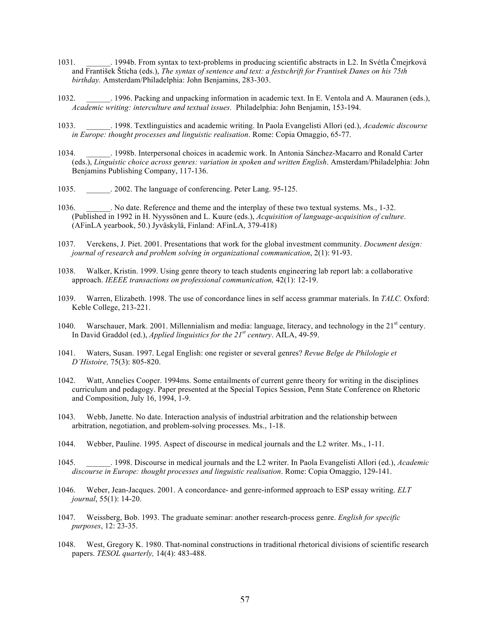- 1031. \_\_\_\_\_\_. 1994b. From syntax to text-problems in producing scientific abstracts in L2. In Svétla Čmejrková and František Štícha (eds.), *The syntax of sentence and text: a festschrift for Frantisek Danes on his 75th birthday.* Amsterdam/Philadelphia: John Benjamins, 283-303.
- 1032. \_\_\_\_\_\_. 1996. Packing and unpacking information in academic text. In E. Ventola and A. Mauranen (eds.), *Academic writing: interculture and textual issues.* Philadelphia: John Benjamin, 153-194.
- 1033. \_\_\_\_\_\_. 1998. Textlinguistics and academic writing. In Paola Evangelisti Allori (ed.), *Academic discourse in Europe: thought processes and linguistic realisation*. Rome: Copia Omaggio, 65-77.
- 1034. \_\_\_\_\_\_. 1998b. Interpersonal choices in academic work. In Antonia Sánchez-Macarro and Ronald Carter (eds.), *Linguistic choice across genres: variation in spoken and written English*. Amsterdam/Philadelphia: John Benjamins Publishing Company, 117-136.
- 1035. 2002. The language of conferencing. Peter Lang. 95-125.
- 1036. \_\_\_\_\_\_. No date. Reference and theme and the interplay of these two textual systems. Ms., 1-32. (Published in 1992 in H. Nyyssönen and L. Kuure (eds.), *Acquisition of language-acquisition of culture*. (AFinLA yearbook, 50.) Jyväskylä, Finland: AFinLA, 379-418)
- 1037. Verckens, J. Piet. 2001. Presentations that work for the global investment community. *Document design: journal of research and problem solving in organizational communication*, 2(1): 91-93.
- 1038. Walker, Kristin. 1999. Using genre theory to teach students engineering lab report lab: a collaborative approach. *IEEEE transactions on professional communication,* 42(1): 12-19.
- 1039. Warren, Elizabeth. 1998. The use of concordance lines in self access grammar materials. In *TALC.* Oxford: Keble College, 213-221.
- 1040. Warschauer, Mark. 2001. Millennialism and media: language, literacy, and technology in the 21<sup>st</sup> century. In David Graddol (ed.), *Applied linguistics for the 21st century*. AILA, 49-59.
- 1041. Waters, Susan. 1997. Legal English: one register or several genres? *Revue Belge de Philologie et D'Histoire,* 75(3): 805-820.
- 1042. Watt, Annelies Cooper. 1994ms. Some entailments of current genre theory for writing in the disciplines curriculum and pedagogy. Paper presented at the Special Topics Session, Penn State Conference on Rhetoric and Composition, July 16, 1994, 1-9.
- 1043. Webb, Janette. No date. Interaction analysis of industrial arbitration and the relationship between arbitration, negotiation, and problem-solving processes. Ms., 1-18.
- 1044. Webber, Pauline. 1995. Aspect of discourse in medical journals and the L2 writer. Ms., 1-11.
- 1045. \_\_\_\_\_\_. 1998. Discourse in medical journals and the L2 writer. In Paola Evangelisti Allori (ed.), *Academic discourse in Europe: thought processes and linguistic realisation*. Rome: Copia Omaggio, 129-141.
- 1046. Weber, Jean-Jacques. 2001. A concordance- and genre-informed approach to ESP essay writing. *ELT journal*, 55(1): 14-20.
- 1047. Weissberg, Bob. 1993. The graduate seminar: another research-process genre. *English for specific purposes*, 12: 23-35.
- 1048. West, Gregory K. 1980. That-nominal constructions in traditional rhetorical divisions of scientific research papers. *TESOL quarterly,* 14(4): 483-488.

: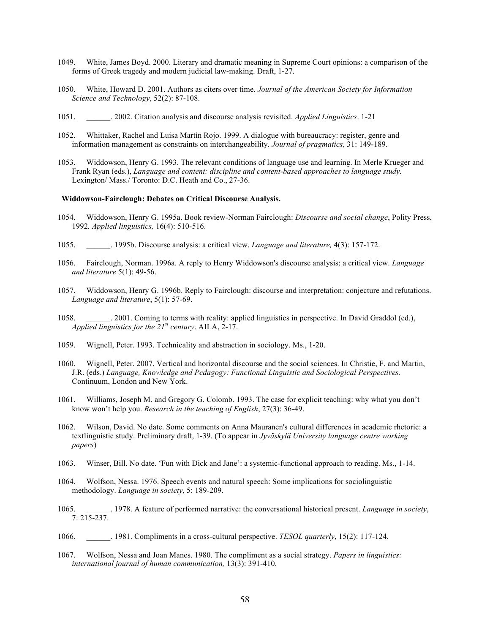- 1049. White, James Boyd. 2000. Literary and dramatic meaning in Supreme Court opinions: a comparison of the forms of Greek tragedy and modern judicial law-making. Draft, 1-27.
- 1050. White, Howard D. 2001. Authors as citers over time. *Journal of the American Society for Information Science and Technology*, 52(2): 87-108.
- 1051. \_\_\_\_\_\_. 2002. Citation analysis and discourse analysis revisited. *Applied Linguistics*. 1-21
- 1052. Whittaker, Rachel and Luisa Martín Rojo. 1999. A dialogue with bureaucracy: register, genre and information management as constraints on interchangeability. *Journal of pragmatics*, 31: 149-189.
- 1053. Widdowson, Henry G. 1993. The relevant conditions of language use and learning. In Merle Krueger and Frank Ryan (eds.), *Language and content: discipline and content-based approaches to language study.* Lexington/ Mass./ Toronto: D.C. Heath and Co., 27-36.

#### **Widdowson-Fairclough: Debates on Critical Discourse Analysis.**

- 1054. Widdowson, Henry G. 1995a. Book review-Norman Fairclough: *Discourse and social change*, Polity Press, 1992*. Applied linguistics,* 16(4): 510-516.
- 1055. \_\_\_\_\_\_. 1995b. Discourse analysis: a critical view. *Language and literature,* 4(3): 157-172.
- 1056. Fairclough, Norman. 1996a. A reply to Henry Widdowson's discourse analysis: a critical view. *Language and literature* 5(1): 49-56.
- 1057. Widdowson, Henry G. 1996b. Reply to Fairclough: discourse and interpretation: conjecture and refutations. *Language and literature*, 5(1): 57-69.
- 1058. \_\_\_\_\_\_. 2001. Coming to terms with reality: applied linguistics in perspective. In David Graddol (ed.), *Applied linguistics for the*  $21^{st}$  *century.* AILA,  $2-17$ .
- 1059. Wignell, Peter. 1993. Technicality and abstraction in sociology. Ms., 1-20.
- 1060. Wignell, Peter. 2007. Vertical and horizontal discourse and the social sciences. In Christie, F. and Martin, J.R. (eds.) *Language, Knowledge and Pedagogy: Functional Linguistic and Sociological Perspectives.* Continuum, London and New York.
- 1061. Williams, Joseph M. and Gregory G. Colomb. 1993. The case for explicit teaching: why what you don't know won't help you. *Research in the teaching of English*, 27(3): 36-49.
- 1062. Wilson, David. No date. Some comments on Anna Mauranen's cultural differences in academic rhetoric: a textlinguistic study. Preliminary draft, 1-39. (To appear in *Jyväskylä University language centre working papers*)
- 1063. Winser, Bill. No date. 'Fun with Dick and Jane': a systemic-functional approach to reading. Ms., 1-14.
- 1064. Wolfson, Nessa. 1976. Speech events and natural speech: Some implications for sociolinguistic methodology. *Language in society*, 5: 189-209.
- 1065. \_\_\_\_\_\_. 1978. A feature of performed narrative: the conversational historical present. *Language in society*, 7: 215-237.
- 1066. \_\_\_\_\_\_. 1981. Compliments in a cross-cultural perspective. *TESOL quarterly*, 15(2): 117-124.
- 1067. Wolfson, Nessa and Joan Manes. 1980. The compliment as a social strategy. *Papers in linguistics: international journal of human communication,* 13(3): 391-410.